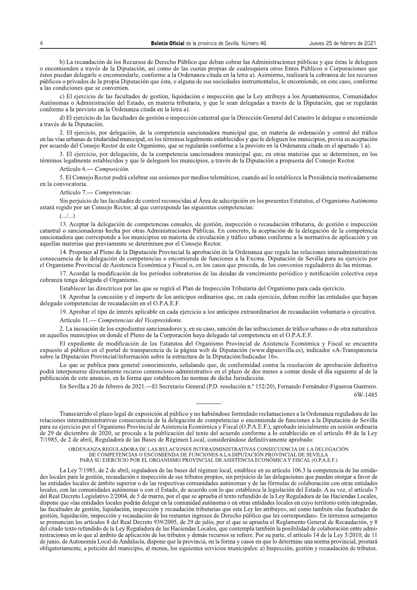b) La recaudación de los Recursos de Derecho Público que deban cobrar las Administraciones públicas y que éstas le deleguen o encomienden a través de la Diputación, así como de las cuotas propias de cualesquiera otros Entes Públicos o Corporaciones que éstos puedan delegarle o encomendarle, conforme a la Ordenanza citada en la letra a). Asimismo, realizará la cobranza de los recursos públicos o privados de la propia Diputación que ésta, o alguna de sus sociedades instrumentales, le encomiende, en este caso, conforme a las condiciones que se convenien.

c) El ejercicio de las facultades de gestión, liquidación e inspección que la Ley atribuye a los Ayuntamientos, Comunidades Autónomas o Administración del Estado, en materia tributaria, y que le sean delegadas a través de la Diputación, que se regularán conforme a la previsto en la Ordenanza citada en la letra a).

d) El ejercicio de las facultades de gestión o inspección catastral que la Dirección General del Catastro le delegue o encomiende a través de la Diputación.

2. El ejercicio, por delegación, de la competencia sancionadora municipal que, en materia de ordenación y control del tráfico en las vías urbanas de titularidad municipal, en los términos legalmente establecidos y que le deleguen los municipios, previa su aceptación por acuerdo del Consejo Rector de este Organismo, que se regularán conforme a la previsto en la Ordenanza citada en el apartado 1.a).

3. El ejercicio, por delegación, de la competencia sancionadora municipal que, en otras materias que se determinen, en los términos legalmente establecidos y que le deleguen los municipios, a través de la Diputación a propuesta del Consejo Rector.

Artículo 6. - Composición.

5. El Consejo Rector podrá celebrar sus sesiones por medios telemáticos, cuando así lo establezca la Presidencia motivadamente en la convocatoria.

Artículo 7. Competencias.

Sin perjuicio de las facultades de control reconocidas al Área de adscripción en los presentes Estatutos, el Organismo Autónomo estará regido por un Consejo Rector, al que corresponde las siguientes competencias:

13. Aceptar la delegación de competencias censales, de gestión, inspección o recaudación tributaria, de gestión e inspección catastral o sancionadoras hecha por otras Administraciones Públicas. En concreto, la aceptación de la delegación de la competencia sancionadora que corresponde a los municipios en materia de circulación y tráfico urbano conforme a la normativa de aplicación y en aquellas materias que previamente se determinen por el Consejo Rector.

14. Proponer al Pleno de la Diputación Provincial la aprobación de la Ordenanza que regule las relaciones interadministrativas consecuencia de la delegación de competencias o encomienda de funciones a la Excma. Diputación de Sevilla para su ejercicio por el Organismo Provincial de Asistencia Económica y Fiscal o, en los casos que proceda, de los convenios reguladores de las mismas.

17. Acordar la modificación de los períodos cobratorios de las deudas de vencimiento periódico y notificación colectiva cuya cobranza tenga delegada el Organismo.

Establecer las directrices por las que se regirá el Plan de Inspección Tributaria del Organismo para cada ejercicio.

18. Aprobar la concesión y el importe de los anticipos ordinarios que, en cada ejercicio, deban recibir las entidades que hayan delegado competencias de recaudación en el O.P.A.E.F.

19. Aprobar el tipo de interés aplicable en cada ejercicio a los anticipos extraordinarios de recaudación voluntaria o ejecutiva.

Artículo 11. — Competencias del Vicepresidente.

2. La incoación de los expedientes sancionadores y, en su caso, sanción de las infracciones de tráfico urbano o de otra naturaleza en aquellos municipios en donde el Pleno de la Corporación haya delegado tal competencia en el O.P.A.E.F.

El expediente de modificación de los Estatutos del Organismo Provincial de Asistencia Económica y Fiscal se encuentra expuesto al público en el portal de transparencia de la página web de Diputación (www.dipusevilla.es), indicador «A-Transparencia sobre la Diputación Provincial/información sobre la estructura de la Diputación/Indicador 16».

Lo que se publica para general conocimiento, señalando que, de conformidad contra la resolución de aprobación definitiva podrá interponerse directamente recurso contencioso-administrativo en el plazo de dos meses a contar desde el día siguiente al de la publicación de este anuncio, en la forma que establecen las normas de dicha Jurisdicción.

En Sevilla a 20 de febrero de 2021.—El Secretario General (P.D. resolución n.º 152/20), Fernando Fernández-Figueroa Guerrero.

6W-1485

Transcurrido el plazo legal de exposición al público y no habiéndose formulado reclamaciones a la Ordenanza reguladora de las relaciones interadministrativas consecuencia de la delegación de competencias o encomienda de funciones a la Diputación de Sevilla para su ejercicio por el Organismo Provincial de Asistencia Económica y Fiscal (O.P.A.E.F.), aprobado inicialmente en sesión ordinaria de 29 de diciembre de 2020, se procede a la publicación del texto del acuerdo conforme a lo establecido en el artículo 49 de la Ley 7/1985, de 2 de abril, Reguladora de las Bases de Régimen Local, considerándose definitivamente aprobado:

ORDENANZA REGULADORA DE LAS RELACIONES INTERADMINISTRATIVAS CONSECUENCIA DE LA DELEGACIÓN DE COMPETENCIAS O ENCOMIENDA DE FUNCIONES A LA DIPUTACIÓN PROVINCIAL DE SEVILLA<br>PARA SU EJERCICIO POR EL ORGANISMO PROVINCIAL DE ASISTENCIA ECONÓMICA Y FISCAL (O.P.A.E.F.)

La Ley 7/1985, de 2 de abril, reguladora de las bases del régimen local, establece en su artículo 106.3 la competencia de las entidades locales para la gestión, recaudación e inspección de sus tributos propios, sin perjuicio de las delegaciones que puedan otorgar a favor de las entidades locales de ámbito superior o de las respectivas comunidades autónomas y de las fórmulas de colaboración con otras entidades locales, con las comunidades autónomas o con el Estado, de acuerdo con lo que establezca la legislación del Estado. A su vez, el artículo 7 del Real Decreto Legislativo 2/2004, de 5 de marzo, por el que se aprueba el texto refundido de la Ley Reguladora de las Haciendas Locales, dispone que «las entidades locales podrán delegar en la comunidad autónoma o en otras entidades locales en cuyo territorio estén integradas, las facultades de gestión, liquidación, inspección y recaudación tributarias que esta Ley les atribuye», así como también «las facultades de gestión, liquidación, inspección y recaudación de los restantes ingresos de Derecho público que les correspondan». En términos semejantes se pronuncian los artículos 8 del Real Decreto 939/2005, de 29 de julio, por el que se aprueba el Reglamento General de Recaudación, y 8 del citado texto refundido de la Ley Reguladora de las Haciendas Locales, que contempla también la posibilidad de colaboración entre administraciones en lo que al ámbito de aplicación de los tributos y demás recursos se refiere. Por su parte, el artículo 14 de la Ley 5/2010, de 11 de junio, de Autonomía Local de Andalucía, dispone que la provincia, en la forma y casos en que lo determine una norma provincial, prestará obligatoriamente, a petición del municipio, al menos, los siguientes servicios municipales: a) Inspección, gestión y recaudación de tributos.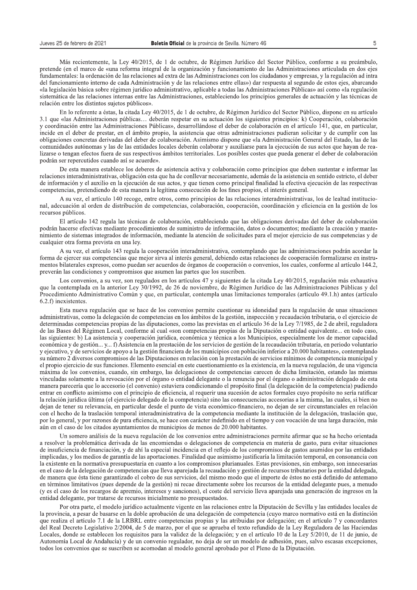s de Sevilla. Número 46<br>5<br>Egimen Jurídico del Sector Público, conforme a su preámbulo,<br>funcionamiento de las Administraciones articulada en dos ejes<br>straciones con los ciudadanos y empresas, y la regulación ad intra<br>s entr Más recientemente, la Ley 40/2015, de 1 de octubre, de Régimen Jurídico del Sector Público, conforme a su preámbulo, pretende (en el marco de «una reforma integral de la organización y funcionamiento de las Administraciones articulada en dos ejes fundamentales: la ordenación de las relaciones ad extra de las Administraciones con los ciudadanos y empresas, y la regulación ad intra del funcionamiento interno de cada Administración y de las relaciones entre ellas») dar respuesta al segundo de estos ejes, abarcando «la legislación básica sobre régimen jurídico administrativo, aplicable a todas las Administraciones Públicas» así como «la regulación sistemática de las relaciones internas entre las Administraciones, estableciendo los principios generales de actuación y las técnicas de relación entre los distintos sujetos públicos».

En lo referente a éstas, la citada Ley 40/2015, de 1 de octubre, de Régimen Jurídico del Sector Público, dispone en su artículo 3.1 que «las Administraciones públicas... deberán respetar en su actuación los siguientes principios: k) Cooperación, colaboración y coordinación entre las Administraciones Públicas», desarrollándose el deber de colaboración en el artículo 141, que, en particular, incide en el deber de prestar, en el ámbito propio, la asistencia que otras administraciones pudieran solicitar y de cumplir con las obligaciones concretas derivadas del deber de colaboración. Asimismo dispone que «la Administración General del Estado, las de las comunidades autónomas y las de las entidades locales deberán colaborar y auxiliarse para la ejecución de sus actos que hayan de realizarse o tengan efectos fuera de sus respectivos ámbitos territoriales. Los posibles costes que pueda generar el deber de colaboración podrán ser repercutidos cuando así se acuerde».

De esta manera establece los deberes de asistencia activa y colaboración como principios que deben sustentar e informar las relaciones interadministrativas, obligación esta que ha de conllevar necesariamente, además de la asistencia en sentido estricto, el deber de información y el auxilio en la ejecución de sus actos, y que tienen como principal finalidad la efectiva ejecución de las respectivas competencias, pretendiendo de esta manera la legítima consecución de los fines propios, el interés general.

A su vez, el artículo 140 recoge, entre otros, como principios de las relaciones interadministrativas, los de lealtad institucional, adecuación al orden de distribución de competencias, colaboración, cooperación, coordinación y eficiencia en la gestión de los recursos públicos.

El artículo 142 regula las técnicas de colaboración, estableciendo que las obligaciones derivadas del deber de colaboración podrán hacerse efectivas mediante procedimientos de suministro de información, datos o documentos: mediante la creación y mantenimiento de sistemas integrados de información, mediante la atención de solicitudes para el mejor ejercicio de sus competencias y de cualquier otra forma prevista en una ley.

A su vez, el artículo 143 regula la cooperación interadministrativa, contemplando que las administraciones podrán acordar la forma de ejercer sus competencias que mejor sirva al interés general, debiendo estas relaciones de cooperación formalizarse en instrumentos bilaterales expresos, como puedan ser acuerdos de órganos de cooperación o convenios, los cuales, conforme al artículo 144.2, preverán las condiciones y compromisos que asumen las partes que los suscriben.

Los convenios, a su vez, son regulados en los artículos 47 y siguientes de la citada Ley 40/2015, regulación más exhaustiva que la contemplada en la anterior Ley 30/1992, de 26 de noviembre, de Régimen Jurídico de las Administraciones Públicas y del Procedimiento Administrativo Común y que, en particular, contempla unas limitaciones temporales (artículo 49.1.h) antes (artículo  $6.2.f$ ) inexistentes.

Esta nueva regulación que se hace de los convenios permite cuestionar su idoneidad para la regulación de unas situaciones administrativas, como la delegación de competencias en los ámbitos de la gestión, inspección y recaudación tributaria, o el ejercicio de determinadas competencias propias de las diputaciones, como las previstas en el artículo 36 de la Ley 7/1985, de 2 de abril, reguladora de las Bases del Régimen Local, conforme al cual «son competencias propias de la Diputación o entidad equivalente... en todo caso, las siguientes: b) La asistencia y cooperación jurídica, económica y técnica a los Municipios, especialmente los de menor capacidad económica y de gestión... y... f) Asistencia en la prestación de los servicios de gestión de la recaudación tributaria, en periodo voluntario y ejecutivo, y de servicios de apoyo a la gestión financiera de los municipios con población inferior a 20.000 habitantes», contemplando su número 2 diversos compromisos de las Diputaciones en relación con la prestación de servicios mínimos de competencia municipal y  $\epsilon$ l propio ejercicio de sus funciones. Elemento esencial en este cuestionamiento es la existencia, en la nueva regulación, de una vigencia máxima de los convenios, cuando, sin embargo, las delegaciones de competencias carecen de dicha limitación, estando las mismas vinculadas solamente a la revocación por el órgano o entidad delegante o la renuncia por el órgano o administración delegado de esta manera parecería que lo accesorio (el convenio) estuviera condicionando el propósito final (la delegación de la competencia) pudiendo entrar en conflicto asimismo con el principio de eficiencia, al requerir una sucesión de actos formales cuyo propósito no sería ratificar la relación jurídica última (el ejercicio delegado de la competencia) sino las consecuencias accesorias a la misma, las cuales, si bien no dejan de tener su relevancia, en particular desde el punto de vista económico-financiero, no dejan de ser circunstanciales en relación con el hecho de la traslación temporal interadministrativa de la competencia mediante la institución de la delegación, traslación que, por lo general, y por razones de pura eficiencia, se hace con carácter indefinido en el tiempo y con vocación de una larga duración, más aún en el caso de los citados ayuntamientos de municipios de menos de 20.000 habitantes.

Un somero análisis de la nueva regulación de los convenios entre administraciones permite afirmar que se ha hecho orientada a resolver la problemática derivada de las encomiendas o delegaciones de competencia en materia de gasto, para evitar situaciones de insuficiencia de financiación, y de ahí la especial incidencia en el reflejo de los compromisos de gastos asumidos por las entidades implicadas, y los medios de garantía de las aportaciones. Finalidad que asimismo justificaría la limitación temporal, en consonancia con la existente en la normativa presupuestaria en cuanto a los compromisos plurianuales. Estas previsiones, sin embargo, son innecesarias en el caso de la delegación de competencias que lleva aparejada la recaudación y gestión de recursos tributarios por la entidad delegada, de manera que ésta tiene garantizado el cobro de sus servicios, del mismo modo que el importe de éstos no está definido de antemano en términos limitativos (pues depende de la gestión) ni recae directamente sobre los recursos de la entidad delegante pues, a menudo (y es el caso de los recargos de apremio, intereses y sanciones), el coste del servicio lleva aparejada una generación de ingresos en la entidad delegante, por tratarse de recursos inicialmente no presupuestados.

Por otra parte, el modelo jurídico actualmente vigente en las relaciones entre la Diputación de Sevilla y las entidades locales de la provincia, a pesar de basarse en la doble aprobación de una delegación de competencia (cuvo marco normativo está en la distinción que realiza el artículo 7.1 de la LRBRL entre competencias propias y las atribuidas por delegación; en el artículo 7 y concordantes del Real Decreto Legislativo 2/2004, de 5 de marzo, por el que se aprueba el texto refundido de la Ley Reguladora de las Haciendas Locales, donde se establecen los requisitos para la validez de la delegación; y en el artículo 10 de la Ley 5/2010, de 11 de junio, de Autonomía Local de Andalucía) y de un convenio regulador, no deja de ser un modelo de adhesión, pues, salvo escasas excepciones, todos los convenios que se suscriben se acomodan al modelo general aprobado por el Pleno de la Diputación.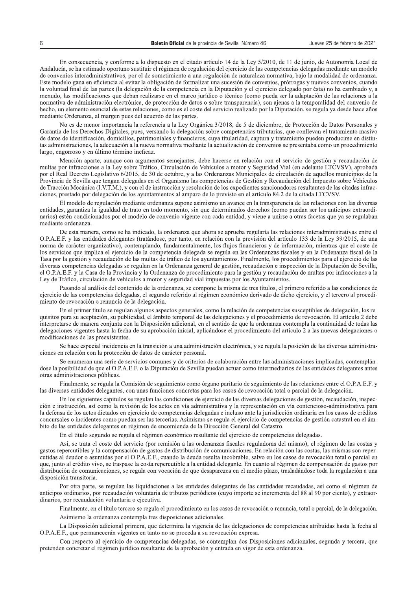En consecuencia, y conforme a lo dispuesto en el citado artículo 14 de la Ley 5/2010, de 11 de junio, de Autonomía Local de Andalucía, se ha estimado oportuno sustituir el régimen de regulación del ejercicio de las competencias delegadas mediante un modelo de convenios interadministrativos, por el de sometimiento a una regulación de naturaleza normativa, bajo la modalidad de ordenanza. Este modelo gana en eficiencia al evitar la obligación de formalizar una sucesión de convenios, prórrogas y nuevos convenios, cuando la voluntad final de las partes (la delegación de la competencia en la Diputación y el ejercicio delegado por ésta) no ha cambiado y, a menudo, las modificaciones que deban realizarse en el marco jurídico o técnico (como pueda ser la adaptación de las relaciones a la normativa de administración electrónica, de protección de datos o sobre transparencia), son ajenas a la temporalidad del convenio de hecho, un elemento esencial de estas relaciones, como es el coste del servicio realizado por la Diputación, se regula ya desde hace años mediante Ordenanza, al margen pues del acuerdo de las partes.

No es de menor importancia la referencia a la Ley Orgánica 3/2018, de 5 de diciembre, de Protección de Datos Personales y Garantía de los Derechos Digitales, pues, versando la delegación sobre competencias tributarias, que conllevan el tratamiento masivo de datos de identificación, domicilios, patrimoniales y financieros, cuya titularidad, captura y tratamiento pueden producirse en distintas administraciones, la adecuación a la nueva normativa mediante la actualización de convenios se presentaba como un procedimiento largo, engorroso y en último término ineficaz.

Mención aparte, aunque con argumentos semejantes, debe hacerse en relación con el servicio de gestión y recaudación de multas por infracciones a la Ley sobre Tráfico, Circulación de Vehículos a motor y Seguridad Vial (en adelante LTCVSV), aprobada por el Real Decreto Legislativo 6/2015, de 30 de octubre, y a las Ordenanzas Municipales de circulación de aquellos municipios de la Provincia de Sevilla que tengan delegadas en el Organismo las competencias de Gestión y Recaudación del Impuesto sobre Vehículos de Tracción Mecánica (I.V.T.M.), y con el de instrucción y resolución de los expedientes sancionadores resultantes de las citadas infracciones, prestado por delegación de los ayuntamientos al amparo de lo previsto en el artículo 84.2 de la citada LTCVSV.

El modelo de regulación mediante ordenanza supone asimismo un avance en la transparencia de las relaciones con las diversas entidades, garantiza la igualdad de trato en todo momento, sin que determinados derechos (como puedan ser los anticipos extraordinarios) estén condicionados por el modelo de convenio vigente con cada entidad, y viene a unirse a otras facetas que ya se regulaban mediante ordenanza

De esta manera, como se ha indicado, la ordenanza que ahora se aprueba regularía las relaciones interadministrativas entre el O.P.A.E.F. y las entidades delegantes (tratándose, por tanto, en relación con la previsión del artículo 133 de la Ley 39/2015, de una norma de carácter organizativo), contemplando, fundamentalmente, los flujos financieros y de información, mientras que el coste de los servicios que implica el ejercicio de la competencia delegada se regula en las Ordenanzas fiscales y en la Ordenanza fiscal de la Tasa por la gestión y recaudación de las multas de tráfico de los ayuntamientos. Finalmente, los procedimientos para el ejercicio de las diversas competencias delegadas se regulan en la Ordenanza general de gestión, recaudación e inspección de la Diputación de Sevilla, el O.P.A.E.F. y la Casa de la Provincia y la Ordenanza de procedimiento para la gestión y recaudación de multas por infracciones a la Ley de Tráfico, circulación de vehículos a motor y seguridad vial impuestas por los Ayuntamientos.

Pasando al análisis del contenido de la ordenanza, se compone la misma de tres títulos, el primero referido a las condiciones de ejercicio de las competencias delegadas, el segundo referido al régimen económico derivado de dicho ejercicio, y el tercero al procedimiento de revocación o renuncia de la delegación.

En el primer título se regulan algunos aspectos generales, como la relación de competencias susceptibles de delegación, los requisitos para su aceptación, su publicidad, el ámbito temporal de las delegaciones y el procedimiento de revocación. El artículo 2 debe interpretarse de manera conjunta con la Disposición adicional, en el sentido de que la ordenanza contempla la continuidad de todas las delegaciones vigentes hasta la fecha de su aprobación inicial, aplicándose el procedimiento del artículo 2 a las nuevas delegaciones o modificaciones de las preexistentes.

Se hace especial incidencia en la transición a una administración electrónica, y se regula la posición de las diversas administraciones en relación con la protección de datos de carácter personal.

Se enumeran una serie de servicios comunes y de criterios de colaboración entre las administraciones implicadas, contemplándose la posibilidad de que el O.P.A.E.F. o la Diputación de Sevilla puedan actuar como intermediarios de las entidades delegantes antes otras administraciones públicas.

Finalmente, se regula la Comisión de seguimiento como órgano paritario de seguimiento de las relaciones entre el O.P.A.E.F. y las diversas entidades delegantes, con unas funciones concretas para los casos de revocación total o parcial de la delegación.

En los siguientes capítulos se regulan las condiciones de ejercicio de las diversas delegaciones de gestión, recaudación, inspección e instrucción, así como la revisión de los actos en vía administrativa y la representación en vía contencioso-administrativa para la defensa de los actos dictados en ejercicio de competencias delegadas e incluso ante la jurisdicción ordinaria en los casos de créditos concursales o incidentes como puedan ser las tercerías. Asimismo se regula el ejercicio de competencias de gestión catastral en el ámbito de las entidades delegantes en régimen de encomienda de la Dirección General del Catastro.

En el título segundo se regula el régimen económico resultante del ejercicio de competencias delegadas.

Así, se trata el coste del servicio (por remisión a las ordenanzas fiscales reguladoras del mismo), el régimen de las costas y gastos repercutibles y la compensación de gastos de distribución de comunicaciones. En relación con las costas, las mismas son repercutidas al deudor o asumidas por el O.P.A.E.F., cuando la deuda resulta incobrable, salvo en los casos de revocación total o parcial en que, junto al crédito vivo, se traspase la costa repercutible a la entidad delegante. En cuanto al régimen de compensación de gastos por distribución de comunicaciones, se regula con vocación de que desaparezca en el medio plazo, trasladándose toda la regulación a una disposición transitoria.

Por otra parte, se regulan las liquidaciones a las entidades delegantes de las cantidades recaudadas, así como el régimen de anticipos ordinarios, por recaudación voluntaria de tributos periódicos (cuyo importe se incrementa del 88 al 90 por ciento), y extraordinarios, por recaudación voluntaria o ejecutiva.

Finalmente, en el título tercero se regula el procedimiento en los casos de revocación o renuncia, total o parcial, de la delegación.

Asimismo la ordenanza contempla tres disposiciones adicionales.

La Disposición adicional primera, que determina la vigencia de las delegaciones de competencias atribuidas hasta la fecha al O.P.A.E.F., que permanecerán vigentes en tanto no se proceda a su revocación expresa.

Con respecto al ejercicio de competencias delegadas, se contemplan dos Disposiciones adicionales, segunda y tercera, que pretenden concretar el régimen jurídico resultante de la aprobación y entrada en vigor de esta ordenanza.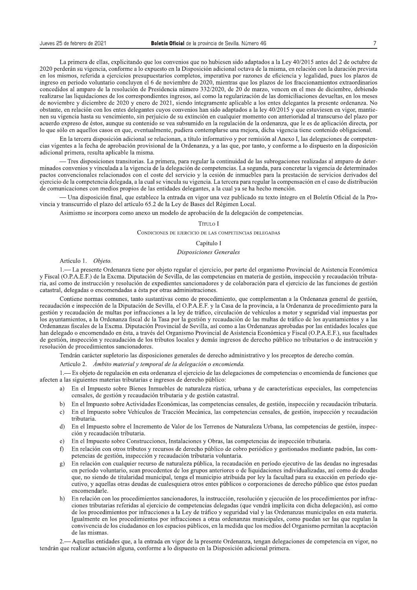La primera de ellas, explicitando que los convenios que no hubiesen sido adaptados a la Ley 40/2015 antes del 2 de octubre de 2020 perderán su vigencia, conforme a lo expuesto en la Disposición adicional octava de la misma, en relación con la duración prevista en los mismos, referida a ejercicios presupuestarios completos, imperativa por razones de eficiencia y legalidad, pues los plazos de ingreso en periodo voluntario concluyen el 6 de noviembre de 2020, mientras que los plazos de los fraccionamientos extraordinarios concedidos al amparo de la resolución de Presidencia número 332/2020, de 20 de marzo, vencen en el mes de diciembre, debiendo realizarse las liquidaciones de los correspondientes ingresos, así como la regularización de las domiciliaciones devueltas, en los meses de noviembre y diciembre de 2020 y enero de 2021, siendo íntegramente aplicable a los entes delegantes la presente ordenanza. No obstante, en relación con los entes delegantes cuyos convenios han sido adaptados a la ley 40/2015 y que estuviesen en vigor, mantienen su vigencia hasta su vencimiento, sin periuicio de su extinción en cualquier momento con anterioridad al transcurso del plazo por acuerdo expreso de éstos, aunque su contenido se vea subsumido en la regulación de la ordenanza, que le es de aplicación directa, por lo que sólo en aquellos casos en que, eventualmente, pudiera contemplarse una mejora, dicha vigencia tiene contenido obligacional.

En la tercera disposición adicional se relacionan, a título informativo y por remisión al Anexo I, las delegaciones de competencias vigentes a la fecha de aprobación provisional de la Ordenanza, y a las que, por tanto, y conforme a lo dispuesto en la disposición adicional primera, resulta aplicable la misma.

Tres disposiciones transitorias. La primera, para regular la continuidad de las subrogaciones realizadas al amparo de determinados convenios y vinculada a la vigencia de la delegación de competencias. La segunda, para concretar la vigencia de determinados pactos convencionales relacionados con el coste del servicio y la cesión de inmuebles para la prestación de servicios derivados del ejercicio de la competencia delegada, a la cual se vincula su vigencia. La tercera para regular la compensación en el caso de distribución de comunicaciones con medios propios de las entidades delegantes, a la cual ya se ha hecho mención.

— Una disposición final, que establece la entrada en vigor una vez publicado su texto íntegro en el Boletín Oficial de la Provincia y transcurrido el plazo del artículo 65.2 de la Ley de Bases del Régimen Local.

Asimismo se incorpora como anexo un modelo de aprobación de la delegación de competencias.

## Título I

#### CONDICIONES DE EJERCICIO DE LAS COMPETENCIAS DELEGADAS

## Capítulo I

## Disposiciones Generales

Artículo 1. Objeto.

1.— La presente Ordenanza tiene por objeto regular el ejercicio, por parte del organismo Provincial de Asistencia Económica y Fiscal (O.P.A.E.F.) de la Excma. Diputación de Sevilla, de las competencias en materia de gestión, inspección y recaudación tributaria, así como de instrucción y resolución de expedientes sancionadores y de colaboración para el ejercicio de las funciones de gestión catastral, delegadas o encomendadas a ésta por otras administraciones.

Contiene normas comunes, tanto sustantivas como de procedimiento, que complementan a la Ordenanza general de gestión, recaudación e inspección de la Diputación de Sevilla, el O.P.A.E.F. y la Casa de la provincia, a la Ordenanza de procedimiento para la gestión y recaudación de multas por infracciones a la ley de tráfico, circulación de vehículos a motor y seguridad vial impuestas por los ayuntamientos, a la Ordenanza fiscal de la Tasa por la gestión y recaudación de las multas de tráfico de los ayuntamientos y a las Ordenanzas fiscales de la Excma. Diputación Provincial de Sevilla, así como a las Ordenanzas aprobadas por las entidades locales que han delegado o encomendado en ésta, a través del Organismo Provincial de Asistencia Económica y Fiscal (O.P.A.E.F.), sus facultades de gestión, inspección y recaudación de los tributos locales y demás ingresos de derecho público no tributarios o de instrucción y resolución de procedimientos sancionadores.

Tendrán carácter supletorio las disposiciones generales de derecho administrativo y los preceptos de derecho común.

Artículo 2. Ámbito material y temporal de la delegación o encomienda.

1. Es objeto de regulación en esta ordenanza el ejercicio de las delegaciones de competencias o encomienda de funciones que afecten a las siguientes materias tributarias e ingresos de derecho público:

- En el Impuesto sobre Bienes Inmuebles de naturaleza rústica, urbana y de características especiales, las competencias a) censales, de gestión y recaudación tributaria y de gestión catastral.
- b) En el Impuesto sobre Actividades Económicas, las competencias censales, de gestión, inspección y recaudación tributaria.
- c) En el Impuesto sobre Vehículos de Tracción Mecánica, las competencias censales, de gestión, inspección y recaudación tributaria.
- d) En el Impuesto sobre el Incremento de Valor de los Terrenos de Naturaleza Urbana, las competencias de gestión, inspección y recaudación tributaria.
- En el Impuesto sobre Construcciones, Instalaciones y Obras, las competencias de inspección tributaria.  $e)$
- En relación con otros tributos y recursos de derecho público de cobro periódico y gestionados mediante padrón, las comf) petencias de gestión, inspección y recaudación tributaria voluntaria.
- En relación con cualquier recurso de naturaleza pública, la recaudación en período ejecutivo de las deudas no ingresadas  $\mathbf{g}$ ) en período voluntario, sean procedentes de los grupos anteriores o de liquidaciones individualizadas, así como de deudas que, no siendo de titularidad municipal, tenga el municipio atribuida por ley la facultad para su exacción en período ejecutivo, y aquellas otras deudas de cualesquiera otros entes públicos o corporaciones de derecho público que éstos puedan encomendarle
- En relación con los procedimientos sancionadores, la instrucción, resolución y ejecución de los procedimientos por infrac $h)$ ciones tributarias referidas al ejercicio de competencias delegadas (que vendrá implícita con dicha delegación), así como de los procedimientos por infracciones a la Ley de tráfico y seguridad vial y las Ordenanzas municipales en esta materia. Igualmente en los procedimientos por infracciones a otras ordenanzas municipales, como puedan ser las que regulan la convivencia de los ciudadanos en los espacios públicos, en la medida que los medios del Organismo permitan la aceptación de las mismas.

- Aquellas entidades que, a la entrada en vigor de la presente Ordenanza, tengan delegaciones de competencia en vigor, no tendrán que realizar actuación alguna, conforme a lo dispuesto en la Disposición adicional primera.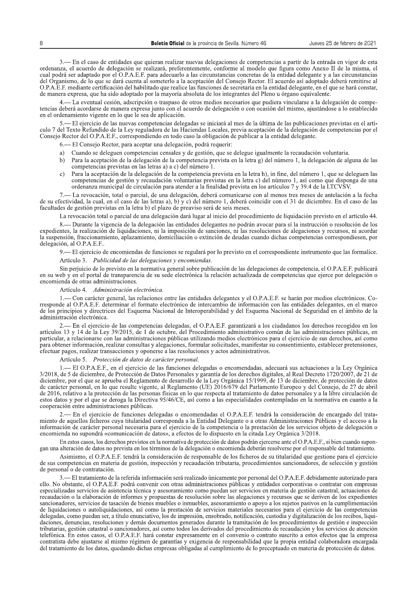3. - En el caso de entidades que quieran realizar nuevas delegaciones de competencias a partir de la entrada en vigor de esta ordenanza, el acuerdo de delegación se realizará, preferentemente, conforme al modelo que figura como Anexo II de la misma, el cual podrá ser adaptado por el O.P.A.E.F. para adecuarlo a las circunstancias concretas de la entidad delegante y a las circunstancias del Organismo, de lo que se dará cuenta al someterlo a la aceptación del Consejo Rector. El acuerdo así adoptado deberá remitirse al O.P.A.E.F. mediante certificación del habilitado que realice las funciones de secretaría en la entidad delegante, en el que se hará constar, de manera expresa, que ha sido adoptado por la mayoría absoluta de los integrantes del Pleno u órgano equivalente.

4.— La eventual cesión, adscripción o traspaso de otros medios necesarios que pudiera vincularse a la delegación de competencias deberá acordarse de manera expresa junto con el acuerdo de delegación o con ocasión del mismo, ajustándose a lo establecido en el ordenamiento vigente en lo que le sea de aplicación.

- El ejercicio de las nuevas competencias delegadas se iniciará al mes de la última de las publicaciones previstas en el artículo 7 del Texto Refundido de la Ley reguladora de las Haciendas Locales, previa aceptación de la delegación de competencias por el Consejo Rector del O.P.A.E.F., correspondiendo en todo caso la obligación de publicar a la entidad delegante.

6.— El Consejo Rector, para aceptar una delegación, podrá requerir:

- a) Cuando se deleguen competencias censales y de gestión, que se delegue igualmente la recaudación voluntaria.
- b) Para la aceptación de la delegación de la competencia prevista en la letra g) del número 1, la delegación de alguna de las competencias previstas en las letras a) a c) del número 1.
- Para la aceptación de la delegación de la competencia prevista en la letra h), in fine, del número 1, que se deleguen las  $c)$ competencias de gestión y recaudación voluntarias previstas en la letra c) del número 1, así como que disponga de una ordenanza municipal de circulación para atender a la finalidad prevista en los artículos 7 y 39.4 de la LTCVSV.

- La revocación, total o parcial, de una delegación, deberá comunicarse con al menos tres meses de antelación a la fecha de su efectividad, la cual, en el caso de las letras a), b) y c) del número 1, deberá coincidir con el 31 de diciembre. En el caso de las facultades de gestión previstas en la letra b) el plazo de preaviso será de seis meses.

La revocación total o parcial de una delegación dará lugar al inicio del procedimiento de liquidación previsto en el artículo 44.

8.— Durante la vigencia de la delegación las entidades delegantes no podrán avocar para sí la instrucción o resolución de los expedientes, la realización de liquidaciones, ni la imposición de sanciones, ni las resoluciones de alegaciones y recursos, ni acordar la suspensión, fraccionamiento, aplazamiento, domiciliación o extinción de deudas cuando dichas competencias correspondiesen, por delegación, al O.P.A.E.F..

9.— El ejercicio de encomiendas de funciones se regulará por lo previsto en el correspondiente instrumento que las formalice.

Artículo 3. Publicidad de las delegaciones y encomiendas.

Sin perjuicio de lo previsto en la normativa general sobre publicación de las delegaciones de competencia, el O.P.A.E.F. publicará en su web y en el portal de transparencia de su sede electrónica la relación actualizada de competencias que ejerce por delegación o encomienda de otras administraciones.

#### Artículo 4. Administración electrónica.

- Con carácter general, las relaciones entre las entidades delegantes y el O.P.A.E.F. se harán por medios electrónicos. Corresponde al O.P.A.E.F. determinar el formato electrónico de intercambio de información con las entidades delegantes, en el marco de los principios y directrices del Esquema Nacional de Interoperabilidad y del Esquema Nacional de Seguridad en el ámbito de la administración electrónica.

2. En el ejercicio de las competencias delegadas, el O.P.A.E.F. garantizará a los ciudadanos los derechos recogidos en los artículos 13 y 14 de la Ley 39/2015, de 1 de octubre, del Procedimiento administrativo común de las administraciones públicas, en particular, a relacionarse con las administraciones públicas utilizando medios electrónicos para el ejercicio de sus derechos, así como para obtener información, realizar consultas y alegaciones, formular solicitudes, manifestar su consentimiento, establecer pretensiones, efectuar pagos, realizar transacciones y oponerse a las resoluciones y actos administrativos.

Artículo 5. Protección de datos de carácter personal.

- El O.P.A.E.F., en el ejercicio de las funciones delegadas o encomendadas, adecuará sus actuaciones a la Ley Orgánica 3/2018, de 5 de diciembre, de Protección de Datos Personales y garantía de los derechos digitales, al Real Decreto 1720/2007, de 21 de diciembre, por el que se aprueba el Reglamento de desarrollo de la Ley Orgánica 15/1999 de carácter personal, en lo que resulte vigente, al Reglamento (UE) 2016/679 del Parlamento Europeo y del Consejo, de 27 de abril de 2016, relativo a la protección de las personas físicas en lo que respecta al tratamiento de datos personales y a la libre circulación de estos datos y por el que se deroga la Directiva 95/46/CE, así como a las especialidades contempladas en la normativa en cuanto a la cooperación entre administraciones públicas.

- En el ejercicio de funciones delegadas o encomendadas el O.P.A.E.F. tendrá la consideración de encargado del tratamiento de aquellos ficheros cuya titularidad corresponda a la Entidad Delegante o a otras Administraciones Públicas y el acceso a la información de carácter personal necesaria para el ejercicio de la competencia o la prestación de los servicios objeto de delegación o encomienda no supondrá «comunicación de datos», a efectos de lo dispuesto en la citada Ley Orgánica 3/2018.

En estos casos, los derechos previstos en la normativa de protección de datos podrán ejercerse ante el O.P.A.E.F., si bien cuando supongan una alteración de datos no prevista en los términos de la delegación o encomienda deberán resolverse por el responsable del tratamiento.

Asimismo, el O.P.A.E.F. tendrá la consideración de responsable de los ficheros de su titularidad que gestione para el ejercicio de sus competencias en materia de gestión, inspección y recaudación tributaria, procedimientos sancionadores, de selección y gestión de personal o de contratación.

– El tratamiento de la referida información será realizado únicamente por personal del O.P.A.E.F. debidamente autorizado para ello. No obstante, el O.P.A.E.F. podrá convenir con otras administraciones públicas y entidades corporativas o contratar con empresas especializadas servicios de asistencia técnica y asesoramiento como puedan ser servicios en materia de gestión catastral, actuaciones de recaudación o la elaboración de informes y propuestas de resolución sobre las alegaciones y recursos que se deriven de los expedientes sancionadores, servicios de tasación de bienes muebles o inmuebles, asesoramiento o apoyo a los sujetos pasivos en la cumplimentación de liquidaciones o autoliquidaciones, así como la prestación de servicios materiales necesarios para el ejercicio de las competencias delegadas, como puedan ser, a título enunciativo, los de impresión, ensobrado, notificación, custodia y digitalización de los recibos, liquidaciones, denuncias, resoluciones y demás documentos generados durante la tramitación de los procedimientos de gestión e inspección tributarias, gestión catastral o sancionadores, así como todos los derivados del procedimiento de recaudación y los servicios de atención telefónica. En estos casos, el O.P.A.E.F. hará constar expresamente en el convenio o contrato suscrito a estos efectos que la empresa contratista debe ajustarse al mismo régimen de garantías y exigencia de responsabilidad que la propia entidad colaboradora encargada del tratamiento de los datos, quedando dichas empresas obligadas al cumplimiento de lo preceptuado en materia de protección de datos.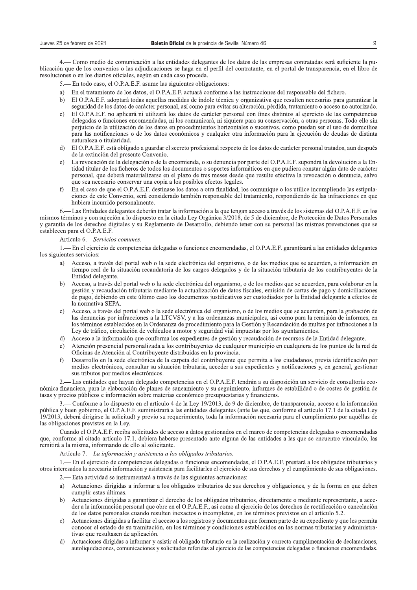Sa de Sevilla. Número 46<br>
Sa de los datos de las empresas contratadas será suficiente la pu-<br>
Erfil del contratante, en el portal de transparencia, en el libro de<br>
ones:<br>
Sorme a las instrucciones del responsable del fiche 4. Como medio de comunicación a las entidades delegantes de los datos de las empresas contratadas será suficiente la publicación que de los convenios o las adjudicaciones se haga en el perfil del contratante, en el portal de transparencia, en el libro de resoluciones o en los diarios oficiales, según en cada caso proceda.

- 5.— En todo caso, el O.P.A.E.F. asume las siguientes obligaciones:
- 
- z: En el tratamiento de los datos, el O.P.A.E.F. actuará conforme a las instrucciones del responsable del fichero.<br>
b) El O.P.A.E.F. adoptará todas aquellas medidas de índole técnica y organizativa que resulten necesarias El O.P.A.E.F. adoptará todas aquellas medidas de índole técnica y organizativa que resulten necesarias para garantizar la seguridad de los datos de carácter personal, así como para evitar su alteración, pérdida, tratamiento o acceso no autorizado.
- c) El O.P.A.E.F. no aplicará ni utilizará los datos de carácter personal con fines distintos al ejercicio de las competencias delegadas o funciones encomendadas, ni los comunicará, ni siguiera para su conservación, a otras personas. Todo ello sin perjuicio de la utilización de los datos en procedimientos horizontales o sucesivos, como puedan ser el uso de domicilios para las notificaciones o de los datos económicos y cualquier otra información para la ejecución de deudas de distinta naturaleza o titularidad.
- d) El O.P.A.E.F. está obligado a guardar el secreto profesional respecto de los datos de carácter personal tratados, aun después de la extinción del presente Convenio.
- e) La revocación de la delegación o de la encomienda, o su denuncia por parte del O.P.A.E.F. supondrá la devolución a la Entidad titular de los ficheros de todos los documentos o soportes informáticos en que pudiera constar algún dato de carácter personal, que deberá materializarse en el plazo de tres meses desde que resulte efectiva la revocación o denuncia, salvo que sea necesario conservar una copia a los posibles efectos legales.
- $\hat{P}$  En el caso de que el O.P.A.E.F. destinase los datos a otra finalidad. los comunique o los utilice incumpliendo las estipulaciones de este Convenio, será considerado también responsable del tratamiento, respondiendo de las infracciones en que hubiera incurrido personalmente.

 ${6.}$ — Las Entidades delegantes deberán tratar la información a la que tengan acceso a través de los sistemas del O.P.A.E.F. en los mismos términos y con sujeción a lo dispuesto en la citada Ley Orgánica 3/2018, de 5 de diciembre, de Protección de Datos Personales y garantía de los derechos digitales y su Reglamento de Desarrollo, debiendo tener con su personal las mismas prevenciones que se  $estable$ cen para el O.P.A.E.F.

#### Artículo 6. Servicios comunes.

1,— En el ejercicio de competencias delegadas o funciones encomendadas, el O.P.A.E.F. garantizará a las entidades delegantes los siguientes servicios:

- Acceso, a través del portal web o la sede electrónica del organismo, o de los medios que se acuerden, a información en tiempo real de la situación recaudatoria de los cargos delegados y de la situación tributaria de los contribuyentes de la Entidad delegante.
- b) Acceso, a través del portal web o la sede electrónica del organismo, o de los medios que se acuerden, para colaborar en la gestión y recaudación tributaria mediante la actualización de datos fiscales, emisión de cartas de pago y domiciliaciones de pago, debiendo en este último caso los documentos justificativos ser custodiados por la Entidad delegante a efectos de la normativa SEPA.
- c) Acceso, a través del portal web o la sede electrónica del organismo, o de los medios que se acuerden, para la grabación de XUV-2, STATE DE FERNA AVE UNIVERSITATIVA DE EGALIZIZATOR E E UESTRE E E ESTRELLO, PIDEREZZO, PIDEREZZO DE 1<br>Ias denuncias por infracciones a la LTCVSV, y a las ordenanzas municipales, así como para la remisión de informes, los términos establecidos en la Ordenanza de procedimiento para la Gestión y Recaudación de multas por infracciones a la Ley de tráfico, circulación de vehículos a motor y seguridad vial impuestas por los ayuntamientos.
- d) Acceso a la información que conforma los expedientes de gestión y recaudación de recursos de la Entidad delegante.
- e) Atención presencial personalizada a los contribuyentes de cualquier municipio en cualquiera de los puntos de la red de Oficinas de Atención al Contribuyente distribuidas en la provincia.
- f) Desarrollo en la sede electrónica de la carpeta del contribuyente que permita a los ciudadanos, previa identificación por solarished the state of the state of the state of the state of the state of the state of the state of the state of the state of the state of the state of the state of the state of the state of the state of the state of the sus tributos por medios electrónicos.

- Las entidades que havan delegado competencias en el O.P.A.E.F. tendrán a su disposición un servicio de consultoría económica financiera, para la elaboración de planes de saneamiento y su seguimiento, informes de estabilidad o de costes de gestión de tasas y precios públicos e información sobre materias económico presupuestarias y financieras.

3.— Conforme a lo dispuesto en el artículo 4 de la Lev 19/2013, de 9 de diciembre, de transparencia, acceso a la información pública y buen gobierno, el O.P.A.E.F. suministrará a las entidades delegantes (ante las que, conforme el artículo 17.1 de la citada Ley 19/2013, deberá dirigirse la solicitud) y previo su requerimiento, toda la información necesaria para el cumplimiento por aquéllas de las obligaciones previstas en la Ley.

Cuando el O.P.A.E.F. reciba solicitudes de acceso a datos gestionados en el marco de competencias delegadas o encomendadas que, conforme al citado artículo 17.1, debiera haberse presentado ante alguna de las entidades a las que se encuentre vinculado, las remitirá a la misma, informando de ello al solicitante.

Artículo 7. La información y asistencia a los obligados tributarios.

1.— En el ejercicio de competencias delegadas o funciones encomendadas, el O.P.A.E.F. prestará a los obligados tributarios y otros interesados la necesaria información y asistencia para facilitarles el ejercicio de sus derechos y el cumplimiento de sus obligaciones.

- 2.— Esta actividad se instrumentará a través de las siguientes actuaciones:<br>a) Actuaciones dirigidas a informar a los obligados tributarios de sus de
- Actuaciones dirigidas a informar a los obligados tributarios de sus derechos y obligaciones, y de la forma en que deben cumplir estas últimas.
- b) Actuaciones dirigidas a garantizar el derecho de los obligados tributarios, directamente o mediante representante, a acceder a la información personal que obre en el O.P.A.E.F., así como al ejercicio de los derechos de rectificación o cancelación de los datos personales cuando resulten inexactos o incompletos, en los términos previstos en el artículo 5.2.
- c) Actuaciones dirigidas a facilitar el acceso a los registros y documentos que formen parte de su expediente y que les permita conocer el estado de su tramitación, en los términos y condiciones establecidos en las normas tributarias y administrativas que resultasen de aplicación.
- d) Actuaciones dirigidas a informar y asistir al obligado tributario en la realización y correcta cumplimentación de declaraciones, autoliquidaciones, comunicaciones y solicitudes referidas al ejercicio de las competencias delegadas o funciones encomendadas.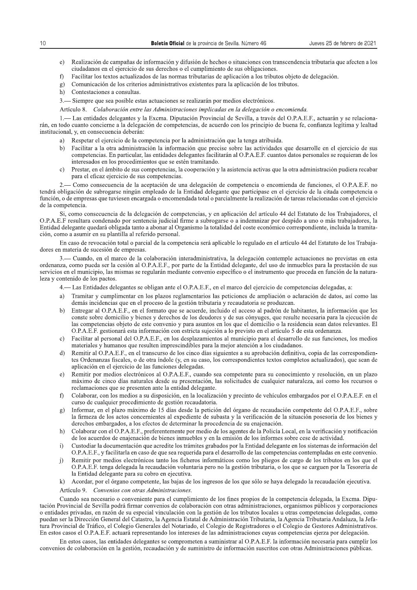- Realización de campañas de información y difusión de hechos o situaciones con transcendencia tributaria que afecten a los  $e$ ) ciudadanos en el ejercicio de sus derechos o el cumplimiento de sus obligaciones.
- Facilitar los textos actualizados de las normas tributarias de aplicación a los tributos objeto de delegación.  $f$
- Comunicación de los criterios administrativos existentes para la aplicación de los tributos.  $g)$
- h) Contestaciones a consultas.
- Siempre que sea posible estas actuaciones se realizarán por medios electrónicos.  $3 -$
- Artículo 8. Colaboración entre las Administraciones implicadas en la delegación o encomienda.

- Las entidades delegantes y la Excma. Diputación Provincial de Sevilla, a través del O.P.A.E.F., actuarán y se relacionarán, en todo cuanto concierne a la delegación de competencias, de acuerdo con los principio de buena fe, confianza legítima y lealtad institucional, y, en consecuencia deberán:

- a) Respetar el ejercicio de la competencia por la administración que la tenga atribuida.
- Facilitar a la otra administración la información que precise sobre las actividades que desarrolle en el ejercicio de sus  $h)$ competencias. En particular, las entidades delegantes facilitarán al O.P.A.E.F. cuantos datos personales se requieran de los interesados en los procedimientos que se estén tramitando.
- Prestar, en el ámbito de sus competencias, la cooperación y la asistencia activas que la otra administración pudiera recabar  $\mathbf{c}$ para el eficaz ejercicio de sus competencias.

- Como consecuencia de la aceptación de una delegación de competencia o encomienda de funciones, el O.P.A.E.F. no tendrá obligación de subrogarse ningún empleado de la Entidad delegante que participase en el ejercicio de la citada competencia o función, o de empresas que tuviesen encargada o encomendada total o parcialmente la realización de tareas relacionadas con el ejercicio de la competencia.

Si, como consecuencia de la delegación de competencias, y en aplicación del artículo 44 del Estatuto de los Trabajadores, el O.P.A.E.F resultara condenado por sentencia judicial firme a subrogarse o a indemnizar por despido a uno o más trabajadores, la Entidad delegante quedará obligada tanto a abonar al Organismo la totalidad del coste económico correspondiente, incluida la tramitación, como a asumir en su plantilla al referido personal.

En caso de revocación total o parcial de la competencia será aplicable lo regulado en el artículo 44 del Estatuto de los Trabajadores en materia de sucesión de empresas.

- Cuando, en el marco de la colaboración interadministrativa, la delegación contemple actuaciones no previstas en esta ordenanza, como pueda ser la cesión al O.P.A.E.F., por parte de la Entidad delegante, del uso de inmuebles para la prestación de sus servicios en el municipio, las mismas se regularán mediante convenio específico o el instrumento que proceda en función de la naturaleza y contenido de los pactos.

- Las Entidades delegantes se obligan ante el O.P.A.E.F., en el marco del ejercicio de competencias delegadas, a:
- a) Tramitar y cumplimentar en los plazos reglamentarios las peticiones de ampliación o aclaración de datos, así como las demás incidencias que en el proceso de la gestión tributaria y recaudatoria se produzcan.
- Entregar al O.P.A.E.F., en el formato que se acuerde, incluido el acceso al padrón de habitantes, la información que les  $b)$ conste sobre domicilio y bienes y derechos de los deudores y de sus cónvuges, que resulte necesaria para la ejecución de las competencias objeto de este convenio y para asuntos en los que el domicilio o la residencia sean datos relevantes. El O.P.A.E.F. gestionará esta información con estricta sujeción a lo previsto en el artículo 5 de esta ordenanza.
- Facilitar al personal del O.P.A.E.F., en los desplazamientos al municipio para el desarrollo de sus funciones, los medios  $\mathbf{c}$ materiales y humanos que resulten imprescindibles para la mejor atención a los ciudadanos.
- Remitir al O.P.A.E.F., en el transcurso de los cinco días siguientes a su aprobación definitiva, copia de las correspondien-Ъ tes Ordenanzas fiscales, o de otra índole (y, en su caso, los correspondientes textos completos actualizados), que sean de aplicación en el ejercicio de las funciones delegadas.
- Remitir por medios electrónicos al O.P.A.E.F., cuando sea competente para su conocimiento y resolución, en un plazo  $\epsilon$ máximo de cinco días naturales desde su presentación, las solicitudes de cualquier naturaleza, así como los recursos o reclamaciones que se presenten ante la entidad delegante.
- Colaborar, con los medios a su disposición, en la localización y precinto de vehículos embargados por el O.P.A.E.F. en el  $\hat{D}$ curso de cualquier procedimiento de gestión recaudatoria.
- Informar, en el plazo máximo de 15 días desde la petición del órgano de recaudación competente del O.P.A.E.F., sobre g) la firmeza de los actos concernientes al expediente de subasta y la verificación de la situación posesoria de los bienes y derechos embargados, a los efectos de determinar la procedencia de su enajenación.
- Colaborar con el O.P.A.E.F., preferentemente por medio de los agentes de la Policía Local, en la verificación y notificación  $h)$ de los acuerdos de enajenación de bienes inmuebles y en la emisión de los informes sobre cese de actividad.
- Custodiar la documentación que acredite los trámites grabados por la Entidad delegante en los sistemas de información del  $\overline{1}$ O.P.A.E.F., y facilitarla en caso de que sea requerida para el desarrollo de las competencias contempladas en este convenio.
- Remitir por medios electrónicos tanto los ficheros informáticos como los pliegos de cargo de los tributos en los que el  $\overline{1}$ O.P.A.E.F. tenga delegada la recaudación voluntaria pero no la gestión tributaria, o los que se carguen por la Tesorería de la Entidad delegante para su cobro en ejecutiva.
- $\bf k$ Acordar, por el órgano competente, las bajas de los ingresos de los que sólo se haya delegado la recaudación ejecutiva.
- Artículo 9. Convenios con otras Administraciones.

Cuando sea necesario o conveniente para el cumplimiento de los fines propios de la competencia delegada, la Excma. Diputación Provincial de Sevilla podrá firmar convenios de colaboración con otras administraciones, organismos públicos y corporaciones o entidades privadas, en razón de su especial vinculación con la gestión de los tributos locales u otras competencias delegadas, como puedan ser la Dirección General del Catastro, la Agencia Estatal de Administración Tributaria, la Agencia Tributaria Andaluza, la Jefatura Provincial de Tráfico, el Colegio Generales del Notariado, el Colegio de Registradores o el Colegio de Gestores Administrativos. En estos casos el O.P.A.E.F. actuará representando los intereses de las administraciones cuyas competencias ejerza por delegación.

En estos casos, las entidades delegantes se comprometen a suministrar al O.P.A.E.F. la información necesaria para cumplir los convenios de colaboración en la gestión, recaudación y de suministro de información suscritos con otras Administraciones públicas.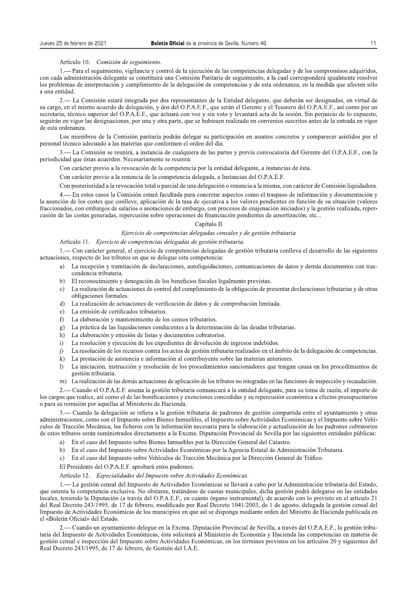#### Artículo 10. Comisión de seguimiento.

1.— Para el seguimiento, vigilancia y control de la ejecución de las competencias delegadas y de los compromisos adquiridos, con cada administración delegante se constituirá una Comisión Paritaria de seguimiento, a la cual corresponderá igualmente resolver los problemas de interpretación y cumplimiento de la delegación de competencias y de esta ordenanza, en la medida que afecten sólo a una entidad.

- La Comisión estará integrada por dos representantes de la Entidad delegante, que deberán ser designados, en virtud de  $2$ su cargo, en el mismo acuerdo de delegación, y dos del O.P.A.E.F., que serán el Gerente y el Tesorero del O.P.A.E.F., así como por un secretario, técnico superior del O.P.A.E.F., que actuará con voz y sin voto y levantará acta de la sesión. Sin perjuicio de lo expuesto, seguirán en vigor las designaciones, por una y otra parte, que se hubiesen realizado en convenios suscritos antes de la entrada en vigor de esta ordenanza.

Los miembros de la Comisión paritaria podrán delegar su participación en asuntos concretos y comparecer asistidos por el personal técnico adecuado a las materias que conformen el orden del día.

3.— La Comisión se reunirá, a instancia de cualquiera de las partes y previa convocatoria del Gerente del O.P.A.E.F., con la periodicidad que éstas acuerden. Necesariamente se reunirá:

Con carácter previo a la revocación de la competencia por la entidad delegante, a instancias de ésta.

Con carácter previo a la renuncia de la competencia delegada, a Instancias del O.P.A.E.F.

Con posterioridad a la revocación total o parcial de una delegación o renuncia a la misma, con carácter de Comisión liquidadora.

- En estos casos la Comisión estará facultada para concretar aspectos como el traspaso de información y documentación y  $4$ la asunción de los costes que conlleve, aplicación de la tasa de ejecutiva a los valores pendientes en función de su situación (valores fraccionados, con embargos de salarios o anotaciones de embargo, con procesos de enajenación iniciados) y la gestión realizada, repercusión de las costas generadas, repercusión sobre operaciones de financiación pendientes de amortización, etc...

## Capítulo II

## Ejercicio de competencias delegadas censales y de gestión tributaria

## Artículo 11. Ejercicio de competencias delegadas de gestión tributaria.

1. Con carácter general, el ejercicio de competencias delegadas de gestión tributaria conlleva el desarrollo de las siguientes actuaciones, respecto de los tributos en que se delegue esta competencia:

- La recepción y tramitación de declaraciones, autoliquidaciones, comunicaciones de datos y demás documentos con trasa) cendencia tributaria.
- b) El reconocimiento y denegación de los beneficios fiscales legalmente previstas.
- c) La realización de actuaciones de control del cumplimiento de la obligación de presentar declaraciones tributarias y de otras obligaciones formales.
- La realización de actuaciones de verificación de datos y de comprobación limitada.  $\mathcal{A}$
- e) La emisión de certificados tributarios.
- La elaboración y mantenimiento de los censos tributarios.  $f$
- La práctica de las liquidaciones conducentes a la determinación de las deudas tributarias.  $\mathfrak{g}$ )
- h) La elaboración y emisión de listas y documentos cobratorios.
- La resolución y ejecución de los expedientes de devolución de ingresos indebidos.  $\mathbf{i}$
- La resolución de los recursos contra los actos de gestión tributaria realizados en el ámbito de la delegación de competencias.  $\overline{1}$
- La prestación de asistencia e información al contribuyente sobre las materias anteriores.  $\mathbf{k}$
- La iniciación, instrucción y resolución de los procedimientos sancionadores que traigan causa en los procedimientos de  $\mathbf{D}$ gestión tributaria.
- La realización de las demás actuaciones de aplicación de los tributos no integradas en las funciones de inspección y recaudación.  $m)$

2.— Cuando el O.P.A.E.F. asuma la gestión tributaria comunicará a la entidad delegante, para su toma de razón, el importe de los cargos que realice, así como el de las bonificaciones y exenciones concedidas y su repercusión económica a efectos presupuestarios o para su remisión por aquellas al Ministerio de Hacienda.

3.— Cuando la delegación se refiera a la gestión tributaria de padrones de gestión compartida entre el ayuntamiento y otras administraciones, como son el Impuesto sobre Bienes Inmuebles, el Impuesto sobre Actividades Económicas y el Impuesto sobre Vehículos de Tracción Mecánica, los ficheros con la información necesaria para la elaboración y actualización de los padrones cobratorios de estos tributos serán suministrados directamente a la Excma. Diputación Provincial de Sevilla por las siguientes entidades públicas:

- a) En el caso del Impuesto sobre Bienes Inmuebles por la Dirección General del Catastro.
- b) En el caso del Impuesto sobre Actividades Económicas por la Agencia Estatal de Administración Tributaria.
- c) En el caso del Impuesto sobre Vehículos de Tracción Mecánica por la Dirección General de Tráfico.

El Presidente del O.P.A.E.F. aprobará estos padrones.

#### Artículo 12. Especialidades del Impuesto sobre Actividades Económicas.

1.— La gestión censal del Impuesto de Actividades Económicas se llevará a cabo por la Administración tributaria del Estado, que ostenta la competencia exclusiva. No obstante, tratándose de cuotas municipales, dicha gestión podrá delegarse en las entidades locales, teniendo la Diputación (a través del O.P.A.E.F., en cuanto órgano instrumental), de acuerdo con lo previsto en el artículo 21 del Real Decreto 243/1995, de 17 de febrero, modificado por Real Decreto 1041/2003, de 1 de agosto, delegada la gestión censal del Impuesto de Actividades Económicas de los municipios en que así se disponga mediante orden del Ministro de Hacienda publicada en el «Boletín Oficial» del Estado.

2.— Cuando un avuntamiento delegue en la Excma. Diputación Provincial de Sevilla, a través del O.P.A.E.F., la gestión tributaria del Impuesto de Actividades Económicas, ésta solicitará al Ministerio de Economía y Hacienda las competencias en materia de gestión censal e inspección del Impuesto sobre Actividades Económicas, en los términos previstos en los artículos 20 y siguientes del Real Decreto 243/1995, de 17 de febrero, de Gestión del I.A.E.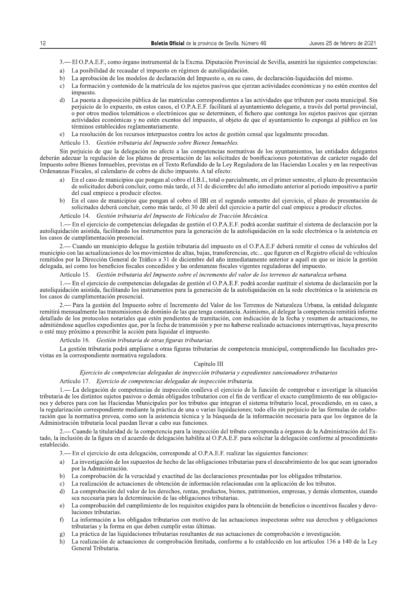- 3. El O.P.A.E.F., como órgano instrumental de la Excma. Diputación Provincial de Sevilla, asumirá las siguientes competencias:
- a) La posibilidad de recaudar el impuesto en régimen de autoliquidación.
- La aprobación de los modelos de declaración del Impuesto o, en su caso, de declaración-liquidación del mismo. b)
- c) La formación y contenido de la matrícula de los sujetos pasivos que ejerzan actividades económicas y no estén exentos del impuesto
- $\overline{d}$ La puesta a disposición pública de las matrículas correspondientes a las actividades que tributen por cuota municipal. Sin perjuicio de lo expuesto, en estos casos, el O.P.A.E.F. facilitará al ayuntamiento delegante, a través del portal provincial, o por otros medios telemáticos o electrónicos que se determinen, el fichero que contenga los sujetos pasivos que ejerzan actividades económicas y no estén exentos del impuesto, al objeto de que el ayuntamiento lo exponga al público en los términos establecidos reglamentariamente.
- La resolución de los recursos interpuestos contra los actos de gestión censal que legalmente procedan.  $e)$

## Artículo 13. Gestión tributaria del Impuesto sobre Bienes Inmuebles.

Sin perjuicio de que la delegación no afecte a las competencias normativas de los ayuntamientos, las entidades delegantes deberán adecuar la regulación de los plazos de presentación de las solicitudes de bonificaciones potestativas de carácter rogado del Impuesto sobre Bienes Inmuebles, previstas en el Texto Refundido de la Ley Reguladora de las Haciendas Locales y en las respectivas Ordenanzas Fiscales, al calendario de cobro de dicho impuesto. A tal efecto:

- En el caso de municipios que pongan al cobro el I.B.I., total o parcialmente, en el primer semestre, el plazo de presentación a) de solicitudes deberá concluir, como más tarde, el 31 de diciembre del año inmediato anterior al periodo impositivo a partir del cual empiece a producir efectos.
- En el caso de municipios que pongan al cobro el IBI en el segundo semestre del ejercicio, el plazo de presentación de solicitudes deberá concluir, como más tarde, el 30 de abril del ejercicio a partir del cual empiece a producir efectos.

#### Gestión tributaria del Impuesto de Vehículos de Tracción Mecánica.

1.— En el ejercicio de competencias delegadas de gestión el O.P.A.E.F. podrá acordar sustituir el sistema de declaración por la autoliquidación asistida, facilitando los instrumentos para la generación de la autoliquidación en la sede electrónica o la asistencia en los casos de cumplimentación presencial.

- Cuando un municipio delegue la gestión tributaria del impuesto en el O.P.A.E.F deberá remitir el censo de vehículos del municipio con las actualizaciones de los movimientos de altas, bajas, transferencias, etc... que figuren en el Registro oficial de vehículos remitidos por la Dirección General de Tráfico a 31 de diciembre del año inmediatamente anterior a aquél en que se inicie la gestión delegada, así como los beneficios fiscales concedidos y las ordenanzas fiscales vigentes reguladoras del impuesto.

## Artículo 15. Gestión tributaria del Impuesto sobre el incremento del valor de los terrenos de naturaleza urbana.

- En el ejercicio de competencias delegadas de gestión el O.P.A.E.F. podrá acordar sustituir el sistema de declaración por la autoliquidación asistida, facilitando los instrumentos para la generación de la autoliquidación en la sede electrónica o la asistencia en los casos de cumplimentación presencial.

- Para la gestión del Impuesto sobre el Incremento del Valor de los Terrenos de Naturaleza Urbana, la entidad delegante remitirá mensualmente las transmisiones de dominio de las que tenga constancia. Asimismo, al delegar la competencia remitirá informe detallado de los protocolos notariales que estén pendientes de tramitación, con indicación de la fecha y resumen de actuaciones, no admitiéndose aquellos expedientes que, por la fecha de transmisión y por no haberse realizado actuaciones interruptivas, haya prescrito o esté muy próximo a prescribir la acción para liquidar el impuesto.

## Artículo 16. Gestión tributaria de otras figuras tributarias.

La gestión tributaria podrá ampliarse a otras figuras tributarias de competencia municipal, comprendiendo las facultades previstas en la correspondiente normativa reguladora.

## Capítulo III

## Ejercicio de competencias delegadas de inspección tributaria y expedientes sancionadores tributarios

## Artículo 17. Ejercicio de competencias delegadas de inspección tributaria.

1.— La delegación de competencias de inspección conlleva el ejercicio de la función de comprobar e investigar la situación tributaria de los distintos sujetos pasivos o demás obligados tributarios con el fin de verificar el exacto cumplimiento de sus obligaciones y deberes para con las Haciendas Municipales por los tributos que integran el sistema tributario local, procediendo, en su caso, a la regularización correspondiente mediante la práctica de una o varias liquidaciones; todo ello sin perjuicio de las fórmulas de colaboración que la normativa prevea, como son la asistencia técnica y la búsqueda de la información necesaria para que los órganos de la Administración tributaria local puedan llevar a cabo sus funciones.

Cuando la titularidad de la competencia para la inspección del tributo corresponda a órganos de la Administración del Estado, la inclusión de la figura en el acuerdo de delegación habilita al O.P.A.E.F. para solicitar la delegación conforme al procedimiento establecido.

- 3.— En el ejercicio de esta delegación, corresponde al O.P.A.E.F. realizar las siguientes funciones:
- a) La investigación de los supuestos de hecho de las obligaciones tributarias para el descubrimiento de los que sean ignorados por la Administración.
- La comprobación de la veracidad y exactitud de las declaraciones presentadas por los obligados tributarios.  $h)$
- La realización de actuaciones de obtención de información relacionadas con la aplicación de los tributos.  $c)$
- La comprobación del valor de los derechos, rentas, productos, bienes, patrimonios, empresas, y demás elementos, cuando d) sea necesaria para la determinación de las obligaciones tributarias.
- La comprobación del cumplimiento de los requisitos exigidos para la obtención de beneficios o incentivos fiscales y devo $e)$ luciones tributarias.
- $\bigcap$ La información a los obligados tributarios con motivo de las actuaciones inspectoras sobre sus derechos y obligaciones tributarias y la forma en que deben cumplir estas últimas.
- La práctica de las liquidaciones tributarias resultantes de sus actuaciones de comprobación e investigación.  $\mathbf{Q}$
- La realización de actuaciones de comprobación limitada, conforme a lo establecido en los artículos 136 a 140 de la Ley  $h)$ General Tributaria.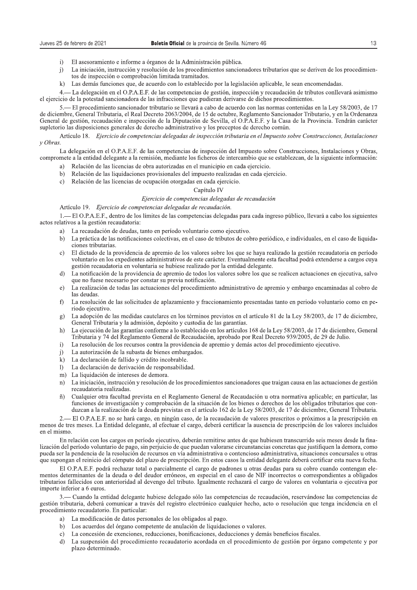- $\overline{1}$ El asesoramiento e informe a órganos de la Administración pública.
- La iniciación, instrucción y resolución de los procedimientos sancionadores tributarios que se deriven de los procedimien $j)$ tos de inspección o comprobación limitada tramitados.
- Las demás funciones que, de acuerdo con lo establecido por la legislación aplicable, le sean encomendadas.  $\mathbf{k}$

4.— La delegación en el O.P.A.E.F. de las competencias de gestión, inspección y recaudación de tributos conllevará asimismo el ejercicio de la potestad sancionadora de las infracciones que pudieran derivarse de dichos procedimientos.

5. El procedimiento sancionador tributario se llevará a cabo de acuerdo con las normas contenidas en la Ley 58/2003, de 17 de diciembre, General Tributaria, el Real Decreto 2063/2004, de 15 de octubre, Reglamento Sancionador Tributario, y en la Ordenanza General de gestión, recaudación e inspección de la Diputación de Sevilla, el O.P.A.E.F. y la Casa de la Provincia. Tendrán carácter supletorio las disposiciones generales de derecho administrativo y los preceptos de derecho común.

Artículo 18. Ejercicio de competencias delegadas de inspección tributaria en el Impuesto sobre Construcciones, Instalaciones y Obras.

La delegación en el O.P.A.E.F. de las competencias de inspección del Impuesto sobre Construcciones, Instalaciones y Obras, compromete a la entidad delegante a la remisión, mediante los ficheros de intercambio que se establezcan, de la siguiente información:

- a) Relación de las licencias de obra autorizadas en el municipio en cada ejercicio.
- b) Relación de las liquidaciones provisionales del impuesto realizadas en cada ejercicio.
- c) Relación de las licencias de ocupación otorgadas en cada ejercicio.

## Capítulo IV

## Ejercicio de competencias delegadas de recaudación

Artículo 19. Ejercicio de competencias delegadas de recaudación.

1.— El O.P.A.E.F., dentro de los límites de las competencias delegadas para cada ingreso público, llevará a cabo los siguientes actos relativos a la gestión recaudatoria:

- a) La recaudación de deudas, tanto en período voluntario como ejecutivo.
- b) La práctica de las notificaciones colectivas, en el caso de tributos de cobro periódico, e individuales, en el caso de liquidaciones tributarias.
- El dictado de la providencia de apremio de los valores sobre los que se haya realizado la gestión recaudatoria en período  $\mathbf{c}$ voluntario en los expedientes administrativos de este carácter. Eventualmente esta facultad podrá extenderse a cargos cuya gestión recaudatoria en voluntaria se hubiese realizado por la entidad delegante.
- La notificación de la providencia de apremio de todos los valores sobre los que se realicen actuaciones en ejecutiva, salvo  $\mathbf{d}$ que no fuese necesario por constar su previa notificación.
- La realización de todas las actuaciones del procedimiento administrativo de apremio y embargo encaminadas al cobro de e) las deudas.
- La resolución de las solicitudes de aplazamiento y fraccionamiento presentadas tanto en periodo voluntario como en pef) riodo ejecutivo.
- La adopción de las medidas cautelares en los términos previstos en el artículo 81 de la Ley 58/2003, de 17 de diciembre, g) General Tributaria y la admisión, depósito y custodia de las garantías.
- $h)$ La ejecución de las garantías conforme a lo establecido en los artículos 168 de la Ley 58/2003, de 17 de diciembre, General Tributaria y 74 del Reglamento General de Recaudación, aprobado por Real Decreto 939/2005, de 29 de Julio.
- La resolución de los recursos contra la providencia de apremio y demás actos del procedimiento ejecutivo.  $\overline{1}$
- La autorización de la subasta de bienes embargados.  $\overline{1}$
- k) La declaración de fallido y crédito incobrable.
- La declaración de derivación de responsabilidad.  $\mathbf{D}$
- m) La liquidación de intereses de demora.
- La iniciación, instrucción y resolución de los procedimientos sancionadores que traigan causa en las actuaciones de gestión  $n)$ recaudatoria realizadas.
- Cualquier otra facultad prevista en el Reglamento General de Recaudación u otra normativa aplicable; en particular, las  $\tilde{n}$ funciones de investigación y comprobación de la situación de los bienes o derechos de los obligados tributarios que conduzcan a la realización de la deuda previstas en el artículo 162 de la Ley 58/2003, de 17 de diciembre, General Tributaria.

2.— El O.P.A.E.F. no se hará cargo, en ningún caso, de la recaudación de valores prescritos o próximos a la prescripción en menos de tres meses. La Entidad delegante, al efectuar el cargo, deberá certificar la ausencia de prescripción de los valores incluidos en el mismo.

En relación con los cargos en período ejecutivo, deberán remitirse antes de que hubiesen transcurrido seis meses desde la finalización del período voluntario de pago, sin periuicio de que puedan valorarse circunstancias concretas que justifiquen la demora, como pueda ser la pendencia de la resolución de recursos en vía administrativa o contencioso administrativa, situaciones concursales u otras que supongan el reinicio del cómputo del plazo de prescripción. En estos casos la entidad delegante deberá certificar esta nueva fecha.

El O.P.A.E.F. podrá rechazar total o parcialmente el cargo de padrones u otras deudas para su cobro cuando contengan elementos determinantes de la deuda o del deudor erróneos, en especial en el caso de NIF incorrectos o correspondientes a obligados tributarios fallecidos con anterioridad al devengo del tributo. Igualmente rechazará el cargo de valores en voluntaria o ejecutiva por importe inferior a 6 euros.

3. - Cuando la entidad delegante hubiese delegado sólo las competencias de recaudación, reservándose las competencias de gestión tributaria, deberá comunicar a través del registro electrónico cualquier hecho, acto o resolución que tenga incidencia en el procedimiento recaudatorio. En particular:

- a) La modificación de datos personales de los obligados al pago.
- b) Los acuerdos del órgano competente de anulación de liquidaciones o valores.
- c) La concesión de exenciones, reducciones, bonificaciones, deducciones y demás beneficios fiscales.
- La suspensión del procedimiento recaudatorio acordada en el procedimiento de gestión por órgano competente y por  $d)$ plazo determinado.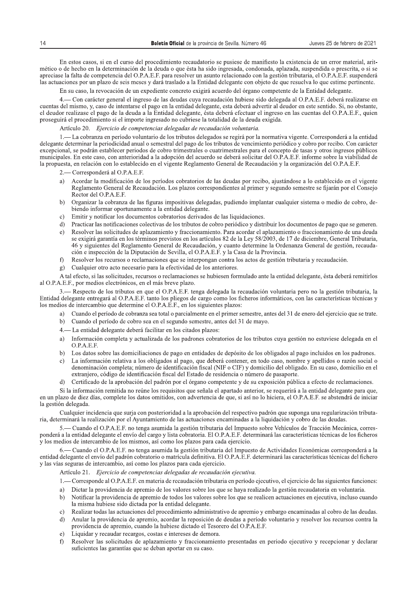En estos casos, si en el curso del procedimiento recaudatorio se pusiese de manifiesto la existencia de un error material, aritmético o de hecho en la determinación de la deuda o que ésta ha sido ingresada, condonada, aplazada, suspendida o prescrita, o si se apreciase la falta de competencia del O.P.A.E.F. para resolver un asunto relacionado con la gestión tributaria, el O.P.A.E.F. suspenderá las actuaciones por un plazo de seis meses y dará traslado a la Entidad delegante con objeto de que resuelva lo que estime pertinente.

En su caso, la revocación de un expediente concreto exigirá acuerdo del órgano competente de la Entidad delegante.

4. Con carácter general el ingreso de las deudas cuya recaudación hubiese sido delegada al O.P.A.E.F. deberá realizarse en cuentas del mismo, y, caso de intentarse el pago en la entidad delegante, esta deberá advertir al deudor en este sentido. Si, no obstante, el deudor realizase el pago de la deuda a la Entidad delegante, ésta deberá efectuar el ingreso en las cuentas del O.P.A.E.F., quien proseguirá el procedimiento si el importe ingresado no cubriese la totalidad de la deuda exigida.

Artículo 20. Eiercicio de competencias delegadas de recaudación voluntaria.

1. - La cobranza en período voluntario de los tributos delegados se regirá por la normativa vigente. Corresponderá a la entidad delegante determinar la periodicidad anual o semestral del pago de los tributos de vencimiento periódico y cobro por recibo. Con carácter excepcional, se podrán establecer periodos de cobro trimestrales o cuatrimestrales para el concepto de tasas y otros ingresos públicos municipales. En este caso, con anterioridad a la adopción del acuerdo se deberá solicitar del O.P.A.E.F. informe sobre la viabilidad de la propuesta, en relación con lo establecido en el vigente Reglamento General de Recaudación y la organización del O.P.A.E.F.

- Corresponderá al O.P.A.E.F.  $2 -$ 

- a) Acordar la modificación de los períodos cobratorios de las deudas por recibo, ajustándose a lo establecido en el vigente Reglamento General de Recaudación. Los plazos correspondientes al primer y segundo semestre se fijarán por el Consejo Rector del O.P.A.E.F.
- Organizar la cobranza de las figuras impositivas delegadas, pudiendo implantar cualquier sistema o medio de cobro, de $b)$ biendo informar oportunamente a la entidad delegante.
- Emitir y notificar los documentos cobratorios derivados de las liquidaciones.  $\mathbf{c}$
- Practicar las notificaciones colectivas de los tributos de cobro periódico y distribuir los documentos de pago que se generen.  $\mathbf{d}$
- Resolver las solicitudes de aplazamiento y fraccionamiento. Para acordar el aplazamiento o fraccionamiento de una deuda  $\epsilon$ se exigirá garantía en los términos previstos en los artículos 82 de la Ley 58/2003, de 17 de diciembre, General Tributaria, 46 y siguientes del Reglamento General de Recaudación, y cuanto determine la Ordenanza General de gestión, recaudación e inspección de la Diputación de Sevilla, el O.P.A.E.F. y la Casa de la Provincia.
- $f$ Resolver los recursos o reclamaciones que se interpongan contra los actos de gestión tributaria y recaudación.
- $\mathbf{g}$ ) Cualquier otro acto necesario para la efectividad de los anteriores.

A tal efecto, si las solicitudes, recursos o reclamaciones se hubiesen formulado ante la entidad delegante, ésta deberá remitirlos al O.P.A.E.F., por medios electrónicos, en el más breve plazo.

- Respecto de los tributos en que el O.P.A.E.F. tenga delegada la recaudación voluntaria pero no la gestión tributaria, la Entidad delegante entregará al O.P.A.E.F. tanto los pliegos de cargo como los ficheros informáticos, con las características técnicas y los medios de intercambio que determine el O.P.A.E.F., en los siguientes plazos:

- a) Cuando el período de cobranza sea total o parcialmente en el primer semestre, antes del 31 de enero del ejercicio que se trate.
- b) Cuando el período de cobro sea en el segundo semestre, antes del 31 de mayo.
- 4. La entidad delegante deberá facilitar en los citados plazos:
- Información completa y actualizada de los padrones cobratorios de los tributos cuya gestión no estuviese delegada en el  $a)$  $O.P.A.E.F.$
- b) Los datos sobre las domiciliaciones de pago en entidades de depósito de los obligados al pago incluidos en los padrones.
- La información relativa a los obligados al pago, que deberá contener, en todo caso, nombre y apellidos o razón social o  $\mathbf{c}$ denominación completa; número de identificación fiscal (NIF o CIF) y domicilio del obligado. En su caso, domicilio en el extranjero, código de identificación fiscal del Estado de residencia o número de pasaporte.
- Certificado de la aprobación del padrón por el órgano competente y de su exposición pública a efecto de reclamaciones.  $\mathbf{d}$

Si la información remitida no reúne los requisitos que señala el apartado anterior, se requerirá a la entidad delegante para que, en un plazo de diez días, complete los datos omitidos, con advertencia de que, si así no lo hiciera, el O.P.A.E.F. se abstendrá de iniciar la gestión delegada.

Cualquier incidencia que surja con posterioridad a la aprobación del respectivo padrón que suponga una regularización tributaria, determinará la realización por el Avuntamiento de las actuaciones encaminadas a la liquidación y cobro de las deudas.

5. Cuando el O.P.A.E.F. no tenga asumida la gestión tributaria del Impuesto sobre Vehículos de Tracción Mecánica, corresponderá a la entidad delegante el envío del cargo y lista cobratoria. El O.P.A.E.F. determinará las características técnicas de los ficheros y los medios de intercambio de los mismos, así como los plazos para cada ejercicio.

- Cuando el O.P.A.E.F. no tenga asumida la gestión tributaria del Impuesto de Actividades Económicas corresponderá a la entidad delegante el envío del padrón cobratorio o matrícula definitiva. El O.P.A.E.F. determinará las características técnicas del fichero y las vías seguras de intercambio, así como los plazos para cada ejercicio.

Artículo 21. Ejercicio de competencias delegadas de recaudación ejecutiva.

- 1. Corresponde al O.P.A.E.F. en materia de recaudación tributaria en período ejecutivo, el ejercicio de las siguientes funciones:
- a) Dictar la providencia de apremio de los valores sobre los que se haya realizado la gestión recaudatoria en voluntaria.
- Notificar la providencia de apremio de todos los valores sobre los que se realicen actuaciones en ejecutiva, incluso cuando  $h$ la misma hubiese sido dictada por la entidad delegante.
- Realizar todas las actuaciones del procedimiento administrativo de apremio y embargo encaminadas al cobro de las deudas.  $c)$
- Anular la providencia de apremio, acordar la reposición de deudas a período voluntario y resolver los recursos contra la d) providencia de apremio, cuando la hubiese dictado el Tesorero del O.P.A.E.F.
- Liquidar y recaudar recargos, costas e intereses de demora.  $e)$
- Resolver las solicitudes de aplazamiento y fraccionamiento presentadas en periodo ejecutivo y recepcionar y declarar  $f$ suficientes las garantías que se deban aportar en su caso.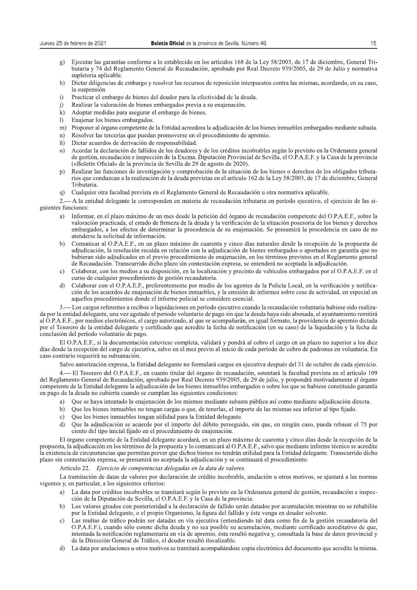- Ejecutar las garantías conforme a lo establecido en los artículos 168 de la Ley 58/2003, de 17 de diciembre, General Tri $g)$ butaria y 74 del Reglamento General de Recaudación, aprobado por Real Decreto 939/2005, de 29 de Julio y normativa supletoria aplicable.
- Dictar diligencias de embargo y resolver los recursos de reposición interpuestos contra las mismas, acordando, en su caso,  $h)$ la suspensión
- $\mathbf{i}$ Practicar el embargo de bienes del deudor para la efectividad de la deuda.
- Realizar la valoración de bienes embargados previa a su enajenación.  $\mathbf{i}$
- Adoptar medidas para asegurar el embargo de bienes.  $k$ )
- Enajenar los bienes embargados.  $\mathbf{D}$
- m) Proponer al órgano competente de la Entidad acreedora la adjudicación de los bienes inmuebles embargados mediante subasta.
- n) Resolver las tercerías que puedan promoverse en el procedimiento de apremio.
- ñ) Dictar acuerdos de derivación de responsabilidad.
- Acordar la declaración de fallidos de los deudores y de los créditos incobrables según lo previsto en la Ordenanza general  $\Omega$ de gestión, recaudación e inspección de la Excma. Diputación Provincial de Sevilla, el O.P.A.E.F. y la Casa de la provincia («Boletín Oficial» de la provincia de Sevilla de 29 de agosto de 2020).
- Realizar las funciones de investigación y comprobación de la situación de los bienes o derechos de los obligados tributa $p)$ rios que conduzcan a la realización de la deuda previstas en el artículo 162 de la Ley 58/2003, de 17 de diciembre, General Tributaria.
- Cualquier otra facultad prevista en el Reglamento General de Recaudación u otra normativa aplicable. q)
- 2.— A la entidad delegante le corresponden en materia de recaudación tributaria en período ejecutivo, el ejercicio de las siguientes funciones:
	- Informar, en el plazo máximo de un mes desde la petición del órgano de recaudación competente del O.P.A.E.F., sobre la a) valoración practicada, el estado de firmeza de la deuda y la verificación de la situación posesoria de los bienes y derechos embargados, a los efectos de determinar la procedencia de su enajenación. Se presumirá la procedencia en caso de no atenderse la solicitud de información.
	- Comunicar al O.P.A.E.F., en un plazo máximo de cuarenta y cinco días naturales desde la recepción de la propuesta de  $h)$ adjudicación, la resolución recaída en relación con la adjudicación de bienes embargados o aportados en garantía que no hubieran sido adjudicados en el previo procedimiento de enajenación, en los términos previstos en el Reglamento general de Recaudación. Transcurrido dicho plazo sin contestación expresa, se entenderá no aceptada la adjudicación.
	- Colaborar, con los medios a su disposición, en la localización y precinto de vehículos embargados por el O.P.A.E.F. en el  $c)$ curso de cualquier procedimiento de gestión recaudatoria.
	- Colaborar con el O.P.A.E.F., preferentemente por medio de los agentes de la Policía Local, en la verificación y notifica $d)$ ción de los acuerdos de enajenación de bienes inmuebles, y la emisión de informes sobre cese de actividad, en especial en aquellos procedimientos donde el informe policial se considere esencial.

Los cargos referentes a recibos o liquidaciones en período ejecutivo cuando la recaudación voluntaria hubiese sido realizada por la entidad delegante, una vez agotado el periodo voluntario de pago sin que la deuda haya sido abonada, el ayuntamiento remitirá al O.P.A.E.F., por medios electrónicos, el cargo autorizado, al que se acompañarán, en igual formato, la providencia de apremio dictada por el Tesorero de la entidad delegante y certificado que acredite la fecha de notificación (en su caso) de la liquidación y la fecha de conclusión del período voluntario de pago.

El O.P.A.E.F., si la documentación estuviese completa, validará y pondrá al cobro el cargo en un plazo no superior a los diez días desde la recepción del cargo de ejecutiva, salvo en el mes previo al inicio de cada período de cobro de padrones en voluntaria. En caso contrario requerirá su subsanación.

Salvo autorización expresa, la Entidad delegante no formulará cargos en ejecutiva después del 31 de octubre de cada ejercicio.

4. El Tesorero del O.P.A.E.F., en cuanto titular del órgano de recaudación, ostentará la facultad prevista en el artículo 109 del Reglamento General de Recaudación, aprobado por Real Decreto 939/2005, de 29 de julio, y propondrá motivadamente al órgano competente de la Entidad delegante la adjudicación de los bienes inmuebles embargados o sobre los que se hubiese constituido garantía en pago de la deuda no cubierta cuando se cumplan las siguientes condiciones:

- a) Oue se haya intentado la enajenación de los mismos mediante subasta pública así como mediante adjudicación directa.
- Que los bienes inmuebles no tengan cargas o que, de tenerlas, el importe de las mismas sea inferior al tipo fijado.  $h$
- Que los bienes inmuebles tengan utilidad para la Entidad delegante.  $c)$
- Que la adjudicación se acuerde por el importe del débito perseguido, sin que, en ningún caso, pueda rebasar el 75 por  $d)$ ciento del tipo inicial fijado en el procedimiento de enajenación.

El órgano competente de la Entidad delegante acordará, en un plazo máximo de cuarenta y cinco días desde la recepción de la propuesta, la adjudicación en los términos de la propuesta y lo comunicará al O.P.A.E.F., salvo que mediante informe técnico se acredite la existencia de circunstancias que permitan prever que dichos bienes no tendrán utilidad para la Entidad delegante. Transcurrido dicho plazo sin contestación expresa, se presumirá no aceptada la adjudicación y se continuará el procedimiento.

Artículo 22 Ejercicio de competencias delegadas en la data de valores.

La tramitación de datas de valores por declaración de crédito incobrable, anulación u otros motivos, se ajustará a las normas vigentes y, en particular, a los siguientes criterios:

- La data por créditos incobrables se tramitará según lo previsto en la Ordenanza general de gestión, recaudación e inspeca) ción de la Diputación de Sevilla, el O.P.A.E.F. y la Casa de la provincia.
- b) Los valores girados con posterioridad a la declaración de fallido serán datados por acumulación mientras no se rehabilite por la Entidad delegante, o el propio Organismo, la figura del fallido y éste venga en deudor solvente.
- Las multas de tráfico podrán ser datadas en vía ejecutiva (entendiendo tal data como fin de la gestión recaudatoria del  $\mathbf{c}$ O.P.A.E.F.), cuando sólo conste dicha deuda y no sea posible su acumulación, mediante certificado acreditativo de que, intentada la notificación reglamentaria en vía de apremio, ésta resultó negativa y, consultada la base de datos provincial y de la Dirección General de Tráfico, el deudor resultó ilocalizable.
- $d$ La data por anulaciones u otros motivos se tramitará acompañándose copia electrónica del documento que acredite la misma.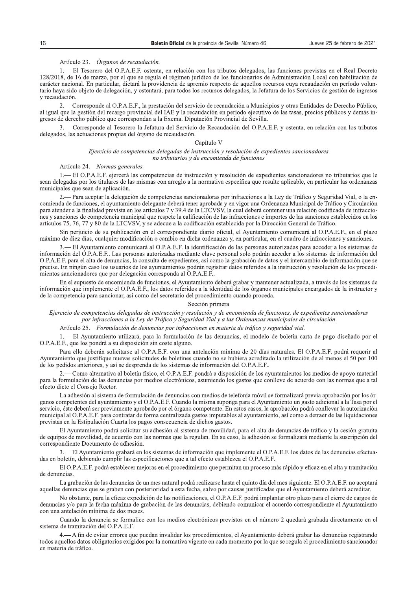## Artículo 23. Órganos de recaudación.

1. El Tesorero del O.P.A.E.F. ostenta, en relación con los tributos delegados, las funciones previstas en el Real Decreto 128/2018, de 16 de marzo, por el que se regula el régimen jurídico de los funcionarios de Administración Local con habilitación de carácter nacional. En particular, dictará la providencia de apremio respecto de aquellos recursos cuya recaudación en período voluntario haya sido objeto de delegación, y ostentará, para todos los recursos delegados, la Jefatura de los Servicios de gestión de ingresos v recaudación.

2.— Corresponde al O.P.A.E.F., la prestación del servicio de recaudación a Municipios y otras Entidades de Derecho Público, al igual que la gestión del recargo provincial del IAE y la recaudación en período ejecutivo de las tasas, precios públicos y demás ingresos de derecho público que correspondan a la Excma. Diputación Provincial de Sevilla.

3. Corresponde al Tesorero la Jefatura del Servicio de Recaudación del O.P.A.E.F. y ostenta, en relación con los tributos delegados, las actuaciones propias del órgano de recaudación.

#### Capítulo V

#### Ejercicio de competencias delegadas de instrucción y resolución de expedientes sancionadores no tributarios y de encomienda de funciones

#### Artículo 24. Normas generales.

- El O.P.A.E.F. ejercerá las competencias de instrucción y resolución de expedientes sancionadores no tributarios que le sean delegadas por los titulares de las mismas con arreglo a la normativa específica que resulte aplicable, en particular las ordenanzas municipales que sean de aplicación.

2.— Para aceptar la delegación de competencias sancionadoras por infracciones a la Ley de Tráfico y Seguridad Vial, o la encomienda de funciones, el ayuntamiento delegante deberá tener aprobada y en vigor una Ordenanza Municipal de Tráfico y Circulación para atender a la finalidad prevista en los artículos 7 y 39.4 de la LTCVSV, la cual deberá contener una relación codificada de infracciones y sanciones de competencia municipal que respete la calificación de las infracciones e importes de las sanciones establecidos en los artículos 75, 76, 77 y 80 de la LTCVSV, y se adecue a la codificación establecida por la Dirección General de Tráfico.

Sin perjuicio de su publicación en el correspondiente diario oficial, el Ayuntamiento comunicará al O.P.A.E.F., en el plazo máximo de diez días, cualquier modificación o cambio en dicha ordenanza y, en particular, en el cuadro de infracciones y sanciones.

3.— El Ayuntamiento comunicará al O.P.A.E.F. la identificación de las personas autorizadas para acceder a los sistemas de información del O.P.A.E.F.. Las personas autorizadas mediante clave personal solo podrán acceder a los sistemas de información del O.P.A.E.F. para el alta de denuncias, la consulta de expedientes, así como la grabación de datos y el intercambio de información que se precise. En ningún caso los usuarios de los ayuntamientos podrán registrar datos referidos a la instrucción y resolución de los procedimientos sancionadores que por delegación corresponda al O.P.A.E.F..

En el supuesto de encomienda de funciones, el Ayuntamiento deberá grabar y mantener actualizada, a través de los sistemas de información que implemente el O.P.A.E.F., los datos referidos a la identidad de los órganos municipales encargados de la instructor y de la competencia para sancionar, así como del secretario del procedimiento cuando proceda.

#### Sección primera

Ejercicio de competencias delegadas de instrucción y resolución y de encomienda de funciones, de expedientes sancionadores por infracciones a la Ley de Tráfico y Seguridad Vial y a las Ordenanzas municipales de circulación

## Artículo 25. Formulación de denuncias por infracciones en materia de tráfico y seguridad vial.

1.— El Ayuntamiento utilizará, para la formulación de las denuncias, el modelo de boletín carta de pago diseñado por el O.P.A.E.F., que los pondrá a su disposición sin coste alguno.

Para ello deberán solicitarse al O.P.A.E.F. con una antelación mínima de 20 días naturales. El O.P.A.E.F. podrá requerir al Ayuntamiento que justifique nuevas solicitudes de boletines cuando no se hubiera acreditado la utilización de al menos el 50 por 100 de los pedidos anteriores, y así se desprenda de los sistemas de información del O.P.A.E.F..

2.— Como alternativa al boletín físico, el O.P.A.E.F. pondrá a disposición de los ayuntamientos los medios de apoyo material para la formulación de las denuncias por medios electrónicos, asumiendo los gastos que conlleve de acuerdo con las normas que a tal efecto dicte el Consejo Rector.

La adhesión al sistema de formulación de denuncias con medios de telefonía móvil se formalizará previa aprobación por los órganos competentes del ayuntamiento y el O.P.A.E.F. Cuando la misma suponga para el Ayuntamiento un gasto adicional a la Tasa por el servicio, éste deberá ser previamente aprobado por el órgano competente. En estos casos, la aprobación podrá conllevar la autorización municipal al O.P.A.E.F. para contratar de forma centralizada gastos imputables al ayuntamiento, así como a detraer de las liquidaciones previstas en la Estipulación Cuarta los pagos consecuencia de dichos gastos.

El Ayuntamiento podrá solicitar su adhesión al sistema de movilidad, para el alta de denuncias de tráfico y la cesión gratuita de equipos de movilidad, de acuerdo con las normas que la regulan. En su caso, la adhesión se formalizará mediante la suscripción del correspondiente Documento de adhesión.

3.— El Ayuntamiento grabará en los sistemas de información que implemente el O.P.A.E.F. los datos de las denuncias efectuadas en boletín, debiendo cumplir las especificaciones que a tal efecto establezca el O.P.A.E.F.

El O.P.A.E.F. podrá establecer mejoras en el procedimiento que permitan un proceso más rápido y eficaz en el alta y tramitación de denuncias.

La grabación de las denuncias de un mes natural podrá realizarse hasta el quinto día del mes siguiente. El O.P.A.E.F. no aceptará aquellas denuncias que se graben con posterioridad a esta fecha, salvo por causas justificadas que el Ayuntamiento deberá acreditar.

No obstante, para la eficaz expedición de las notificaciones, el O.P.A.E.F. podrá implantar otro plazo para el cierre de cargos de denuncias y/o para la fecha máxima de grabación de las denuncias, debiendo comunicar el acuerdo correspondiente al Ayuntamiento con una antelación mínima de dos meses.

Cuando la denuncia se formalice con los medios electrónicos previstos en el número 2 quedará grabada directamente en el sistema de tramitación del O.P.A.E.F.

- A fin de evitar errores que puedan invalidar los procedimientos, el Ayuntamiento deberá grabar las denuncias registrando todos aquellos datos obligatorios exigidos por la normativa vigente en cada momento por la que se regula el procedimiento sancionador en materia de tráfico.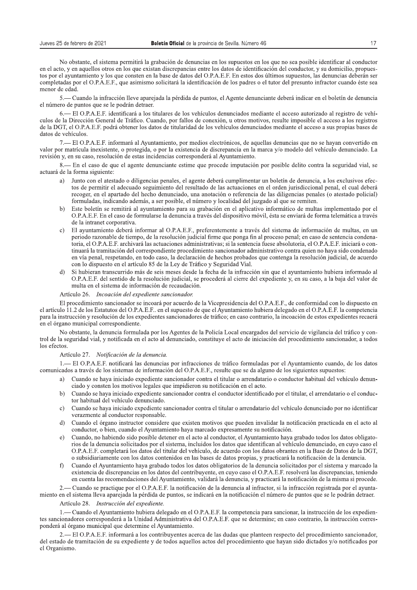No obstante, el sistema permitirá la grabación de denuncias en los supuestos en los que no sea posible identificar al conductor en el acto, y en aquellos otros en los que existan discrepancias entre los datos de identificación del conductor, y su domicilio, propuestos por el ayuntamiento y los que consten en la base de datos del O.P.A.E.F. En estos dos últimos supuestos, las denuncias deberán ser completadas por el O.P.A.E.F., que asimismo solicitará la identificación de los padres o el tutor del presunto infractor cuando éste sea menor de edad.

5. — Cuando la infracción lleve apareiada la pérdida de puntos, el Agente denunciante deberá indicar en el boletín de denuncia el número de puntos que se le podrán detraer.

6. El O.P.A.E.F. identificará a los titulares de los vehículos denunciados mediante el acceso autorizado al registro de vehículos de la Dirección General de Tráfico. Cuando, por fallos de conexión, u otros motivos, resulte imposible el acceso a los registros de la DGT, el O.P.A.E.F. podrá obtener los datos de titularidad de los vehículos denunciados mediante el acceso a sus propias bases de datos de vehículos.

7.— El O.P.A.E.F. informará al Ayuntamiento, por medios electrónicos, de aquellas denuncias que no se hayan convertido en valor por matrícula inexistente, o protegida, o por la existencia de discrepancia en la marca y/o modelo del vehículo denunciado. La revisión y, en su caso, resolución de estas incidencias corresponderá al Ayuntamiento.

8.— En el caso de que el agente denunciante estime que procede imputación por posible delito contra la seguridad vial, se actuará de la forma siguiente:

- Junto con el atestado o diligencias penales, el agente deberá cumplimentar un boletín de denuncia, a los exclusivos efeca) tos de permitir el adecuado seguimiento del resultado de las actuaciones en el orden jurisdiccional penal, el cual deberá recoger, en el apartado del hecho denunciado, una anotación o referencia de las diligencias penales (o atestado policial) formuladas, indicando además, a ser posible, el número y localidad del juzgado al que se remiten.
- Este boletín se remitirá al avuntamiento para su grabación en el aplicativo informático de multas implementado por el  $h)$ O.P.A.E.F. En el caso de formularse la denuncia a través del dispositivo móvil, ésta se enviará de forma telemática a través de la intranet corporativa.
- El ayuntamiento deberá informar al O.P.A.E.F., preferentemente a través del sistema de información de multas, en un  $c$ ) periodo razonable de tiempo, de la resolución judicial firme que ponga fin al proceso penal; en caso de sentencia condenatoria, el O.P.A.E.F. archivará las actuaciones administrativas; si la sentencia fuese absolutoria, el O.P.A.E.F. iniciará o continuará la tramitación del correspondiente procedimiento sancionador administrativo contra quien no hava sido condenado en vía penal, respetando, en todo caso, la declaración de hechos probados que contenga la resolución judicial, de acuerdo con lo dispuesto en el artículo 85 de la Ley de Tráfico y Seguridad Vial.
- Si hubieran transcurrido más de seis meses desde la fecha de la infracción sin que el ayuntamiento hubiera informado al O.P.A.E.F. del sentido de la resolución judicial, se procederá al cierre del expediente y, en su caso, a la baja del valor de multa en el sistema de información de recaudación.

Artículo 26. Incoación del expediente sancionador.

El procedimiento sancionador se incoará por acuerdo de la Vicepresidencia del O.P.A.E.F., de conformidad con lo dispuesto en el artículo 11.2 de los Estatutos del O.P.A.E.F.. en el supuesto de que el Ayuntamiento hubiera delegado en el O.P.A.E.F. la competencia para la instrucción y resolución de los expedientes sancionadores de tráfico; en caso contrario, la incoación de estos expedientes recaerá en el órgano municipal correspondiente.

No obstante, la denuncia formulada por los Agentes de la Policía Local encargados del servicio de vigilancia del tráfico y control de la seguridad vial, y notificada en el acto al denunciado, constituye el acto de iniciación del procedimiento sancionador, a todos los efectos.

## Artículo 27. Notificación de la denuncia.

1. - El O.P.A.E.F. notificará las denuncias por infracciones de tráfico formuladas por el Ayuntamiento cuando, de los datos comunicados a través de los sistemas de información del O.P.A.E.F., resulte que se da alguno de los siguientes supuestos:

- a) Cuando se haya iniciado expediente sancionador contra el titular o arrendatario o conductor habitual del vehículo denunciado y consten los motivos legales que impidieron su notificación en el acto.
- $b)$ Cuando se haya iniciado expediente sancionador contra el conductor identificado por el titular, el arrendatario o el conductor habitual del vehículo denunciado.
- Cuando se haya iniciado expediente sancionador contra el titular o arrendatario del vehículo denunciado por no identificar  $c)$ verazmente al conductor responsable.
- Cuando el órgano instructor considere que existen motivos que pueden invalidar la notificación practicada en el acto al conductor, o bien, cuando el Ayuntamiento haya marcado expresamente su notificación.
- Cuando, no habiendo sido posible detener en el acto al conductor, el Ayuntamiento haya grabado todos los datos obligatoe) rios de la denuncia solicitados por el sistema, incluidos los datos que identifican al vehículo denunciado, en cuyo caso el O.P.A.E.F. completará los datos del titular del vehículo, de acuerdo con los datos obrantes en la Base de Datos de la DGT. o subsidiariamente con los datos contenidos en las bases de datos propias, y practicará la notificación de la denuncia.
- Cuando el Ayuntamiento haya grabado todos los datos obligatorios de la denuncia solicitados por el sistema y marcado la  $\bigcap$ existencia de discrepancias en los datos del contribuyente, en cuyo caso el O.P.A.E.F. resolverá las discrepancias, teniendo en cuenta las recomendaciones del Ayuntamiento, validará la denuncia, y practicará la notificación de la misma si procede.

- Cuando se practique por el O.P.A.E.F. la notificación de la denuncia al infractor, si la infracción registrada por el avuntamiento en el sistema lleva aparejada la pérdida de puntos, se indicará en la notificación el número de puntos que se le podrán detraer.

Artículo 28. Instrucción del expediente.

1. — Cuando el Ayuntamiento hubiera delegado en el O.P.A.E.F. la competencia para sancionar, la instrucción de los expedientes sancionadores corresponderá a la Unidad Administrativa del O.P.A.E.F. que se determine; en caso contrario, la instrucción corresponderá al órgano municipal que determine el Ayuntamiento.

2.— El O.P.A.E.F. informará a los contribuyentes acerca de las dudas que planteen respecto del procedimiento sancionador, del estado de tramitación de su expediente y de todos aquellos actos del procedimiento que hayan sido dictados y/o notificados por el Organismo.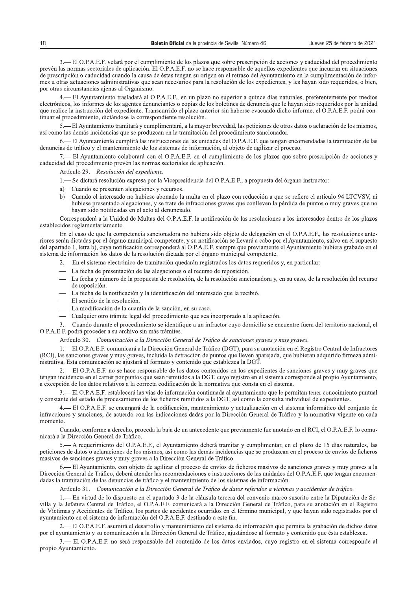Jueves 25 de febrero de 2021<br>
sy caducidad del procedimiento<br>
entes que incurran en situaciones<br>
en la cumplimentación de infor-<br>
es hayan sido requeridos, o bien,<br>
les, preferentemente por medios 3.— El O.P.A.E.F. velará por el cumplimiento de los plazos que sobre prescripción de acciones y caducidad del procedimiento prevén las normas sectoriales de aplicación. El O.P.A.E.F. no se hace responsable de aquellos expedientes que incurran en situaciones de prescripción o caducidad cuando la causa de éstas tengan su origen en el retraso del Ayuntamiento en la cumplimentación de informes u otras actuaciones administrativas que sean necesarios para la resolución de los expedientes, y les hayan sido requeridos, o bien, por otras circunstancias ajenas al Organismo.

4.— El Ayuntamiento trasladará al O.P.A.E.F., en un plazo no superior a quince días naturales, preferentemente por medios electrónicos, los informes de los agentes denunciantes o copias de los boletines de denuncia que le hayan sido requeridos por la unidad que realice la instrucción del expediente. Transcurrido el plazo anterior sin haberse evacuado dicho informe, el O.P.A.E.F. podrá continuar el procedimiento, dictándose la correspondiente resolución.

El Ayuntamiento tramitará y cumplimentará, a la mayor brevedad, las peticiones de otros datos o aclaración de los mismos, así como las demás incidencias que se produzcan en la tramitación del procedimiento sancionador.

El Ayuntamiento cumplirá las instrucciones de las unidades del O.P.A.E.F. que tengan encomendadas la tramitación de las denuncias de tráfico y el mantenimiento de los sistemas de información, al objeto de agilizar el proceso.

- El Ayuntamiento colaborará con el O.P.A.E.F. en el cumplimiento de los plazos que sobre prescripción de acciones y caducidad del procedimiento prevén las normas sectoriales de aplicación.

Artículo 29. Resolución del expediente.

- 1,— Se dictará resolución expresa por la Vicepresidencia del O.P.A.E.F., a propuesta del órgano instructor:
- a) Cuando se presenten alegaciones y recursos.<br>b) Cuando el interesado no hubiese abonado la
- Cuando el interesado no hubiese abonado la multa en el plazo con reducción a que se refiere el artículo 94 LTCVSV, ni hubiese presentado alegaciones, y se trate de infracciones graves que conlleven la pérdida de puntos o muy graves que no hayan sido notificadas en el acto al denunciado.

Corresponderá a la Unidad de Multas del O.P.A.E.F. la notificación de las resoluciones a los interesados dentro de los plazos establecidos reglamentariamente.

En el caso de que la competencia sancionadora no hubiera sido objeto de delegación en el O.P.A.E.F., las resoluciones anteriores seran dictadas por el organo municipal competente, y su notificación se llevara a cabo por el Ayuntamiento, salvo en el supuesto del apartado 1, letra b), cuya notificación correspondera al O.P.A.E.F. siempre que previamente el Ayuntamiento hubiera grabado en el sistema de información los datos de la resolución dictada por el órgano municipal competente.

2.— En el sistema electrónico de tramitación quedarán registrados los datos requeridos y, en particular:

- La fecha de presentación de las alegaciones o el recurso de reposición.
- La fecha y número de la propuesta de resolución, de la resolución sancionadora y, en su caso, de la resolución del recurso de reposición.
- $\blacksquare$  La fecha de la notificación y la identificación del interesado que la recibió.
- $-$  El sentido de la resolución.
- $\equiv$  La modificación de la cuantía de la sanción, en su caso.
- Cualquier otro trámite legal del procedimiento que sea incorporado a la aplicación.

3.— Cuando durante el procedimiento se identifique a un infractor cuyo domicilio se encuentre fuera del territorio nacional, el O.P.A.E.F. podrá proceder a su archivo sin más trámites.

Artículo 30. Comunicación a la Dirección General de Tráfico de sanciones graves y muy graves.

1.— El O.P.A.E.F. comunicará a la Dirección General de Tráfico (DGT), para su anotación en el Registro Central de Infractores (RCI), las sanciones graves y muy graves, incluida la detracción de puntos que lleven aparejada, que hubieran adquirido firmeza administrativa. Esta comunicación se ajustará al formato y contenido que establezca la DGT.

2.— El O.P.A.E.F. no se hace responsable de los datos contenidos en los expedientes de sanciones graves y muy graves que tengan incidencia en el carnet por puntos que sean remitidos a la DGT, cuyo registro en el sistema corresponde al propio Ayuntamiento, a excepción de los datos relativos a la correcta codificación de la normativa que consta en el sistema.

3.— El O.P.A.E.F. establecerá las vías de información continuada al ayuntamiento que le permitan tener conocimiento puntual y constante del estado de procesamiento de los ficheros remitidos a la DGT, así como la consulta individual de expedientes.

4.— El O.P.A.E.F. se encargará de la codificación, mantenimiento y actualización en el sistema informático del conjunto de infracciones y sanciones, de acuerdo con las indicaciones dadas por la Dirección General de Tráfico y la normativa vigente en cada momento.

Cuando, conforme a derecho, proceda la baja de un antecedente que previamente fue anotado en el RCI, el O.P.A.E.F. lo comunicará a la Dirección General de Tráfico.

5.— A requerimiento del O.P.A.E.F., el Ayuntamiento deberá tramitar y cumplimentar, en el plazo de 15 días naturales, las peticiones de datos o aclaraciones de los mismos, así como las demás incidencias que se produzcan en el proceso de envíos de ficheros masivos de sanciones graves y muy graves a la Dirección General de Tráfico.

– El Ayuntamiento, con objeto de agilizar el proceso de envíos de ficheros masivos de sanciones graves y muy graves a la Dirección General de Tráfico, deberá atender las recomendaciones e instrucciones de las unidades del O.P.A.E.F. que tengan encomendadas la tramitación de las denuncias de tráfico y el mantenimiento de los sistemas de información.

Artículo 31. Comunicación a la Dirección General de Tráfico de datos referidos a víctimas y accidentes de tráfico.

- En virtud de lo dispuesto en el apartado 3 de la cláusula tercera del convenio marco suscrito entre la Diputación de Sevilla y la Jefatura Central de Tráfico, el O.P.A.E.F. comunicará a la Dirección General de Tráfico, para su anotación en el Registro de Víctimas y Accidentes de Tráfico, los partes de accidentes ocurridos en el término municipal, y que hayan sido registrados por el ayuntamiento en el sistema de información del O.P.A.E.F. destinado a este fin.

+,-./-0+1+2+.+3+-6B<=>78-5/-A5B677://:-G-=6?@5?>=>5?@:-A5/-B>B@5=6-A5->?L:7=6;>F?-D<5-957=>@6-/6-K76E6;>F?-A5-A>;I:B-A6@:B por el ayuntamiento y su comunicación a la Dirección General de Tráfico, ajustándose al formato y contenido que ésta establezca.

3.— El O.P.A.E.F. no será responsable del contenido de los datos enviados, cuyo registro en el sistema corresponde al propio Ayuntamiento.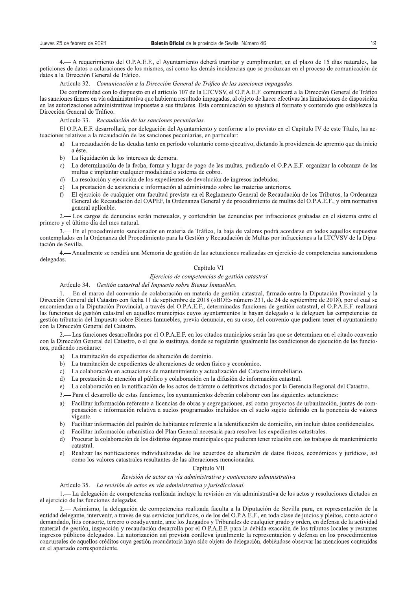Sueves 25 de febrero de 2021<br> **Boletin Oficial** de la provincia de Sevilla. Número 46<br>
4. — A requerimiento del O.P.A.E.F., el Ayuntamiento deberá tramitar y cumplimentar, en el plazo de 15 días naturales, las<br>
peticiones

en las autorizaciones administrativas impuestas a sus titulares. Esta comunicación se ajustará al formato y contenido que establezca la Dirección General de Tráfico.

## Artículo 33. Recaudación de las sanciones pecuniarias.

El O.P.A.E.F. desarrollará, por delegación del Ayuntamiento y conforme a lo previsto en el Capítulo IV de este Título, las actuaciones relativas a la recaudación de las sanciones pecuniarias, en particular:<br>a) La recaudación de las deudas tanto en período voluntario como ejec-

- La recaudación de las deudas tanto en período voluntario como ejecutivo, dictando la providencia de apremio que da inicio a éste.
- b) La liquidación de los intereses de demora.<br>c) La determinación de la fecha. forma y lus
- La determinación de la fecha, forma y lugar de pago de las multas, pudiendo el O.P.A.E.F. organizar la cobranza de las multas e implantar cualquier modalidad o sistema de cobro.
- 8 <sup>-</sup> La resolución y ejecución de los expedientes de devolución de ingresos indebidos.<br>
e) La prestación de asistencia e información al administrado sobre las materias anteri
- e) La prestación de asistencia e información al administrado sobre las materias anteriores.<br>f) El ejercicio de cualquier otra facultad prevista en el Reglamento General de Recaudac
- El ejercicio de cualquier otra facultad prevista en el Reglamento General de Recaudación de los Tributos, la Ordenanza General de Recaudación del OAPEF, la Ordenanza General y de procedimiento de multas del O.P.A.E.F., y otra normativa general aplicable.

2.— Los cargos de denuncias serán mensuales, y contendrán las denuncias por infracciones grabadas en el sistema entre el primero y el último día del mes natural.

3.— En el procedimiento sancionador en materia de Tráfico, la baja de valores podrá acordarse en todos aquellos supuestos contemplados en la Ordenanza del Procedimiento para la Gestión y Recaudación de Multas por infracciones a la LTCVSV de la Diputación de Sevilla.

4.— Anualmente se rendirá una Memoria de gestión de las actuaciones realizadas en ejercicio de competencias sancionadoras delegadas.

## Capítulo VI

## Ejercicio de competencias de gestión catastral

Artículo 34. Gestión catastral del Impuesto sobre Bienes Inmuebles.

1.— En el marco del convenio de colaboración en materia de gestión catastral, firmado entre la Diputación Provincial y la Dirección General del Catastro con fecha 11 de septiembre de 2018 («BOE» número 231, de 24 de septiembre de 2018), por el cual se encomiendan a la Diputación Provincial, a través del O.P.A.E.F., determinadas funciones de gestión catastral, el O.P.A.E.F. realizará las funciones de gestión catastral en aquellos municipios cuyos ayuntamientos le hayan delegado o le deleguen las competencias de gestión tributaria del Impuesto sobre Bienes Inmuebles, previa denuncia, en su caso, del convenio que pudiera tener el ayuntamiento con la Dirección General del Catastro.

2.— Las funciones desarrolladas por el O.P.A.E.F. en los citados municipios serán las que se determinen en el citado convenio con la Dirección General del Catastro, o el que lo sustituya, donde se regularán igualmente las condiciones de ejecución de las funciones, pudiendo reseñarse:

- a) La tramitación de expedientes de alteración de dominio.
- b) La tramitación de expedientes de alteraciones de orden físico y económico.
- c) La colaboración en actuaciones de mantenimiento y actualización del Catastro inmobiliario.
- d) La prestación de atención al público y colaboración en la difusión de información catastral.
- e) La colaboración en la notificación de los actos de trámite o definitivos dictados por la Gerencia Regional del Catastro.
- È+,-;@/@-09-80I@//7997-80-0I6@I-25C3750I>-97I-@?256@430567I-80A0/B5-C79@A7/@/-C75-9@I-I3£230560I-@C62@C3750I©
- a) Facilitar información referente a licencias de obras y segregaciones, así como provectos de urbanización, juntas de compensación e información relativa a suelos programados incluidos en el suelo sujeto definido en la ponencia de valores vigente.
- EPLUS Facilitar información del padrón de habitantes referente a la identificación de domicilio, sin incluir datos confidenciales.<br>
c) Facilitar información urbanística del Plan General necesaria para resolver los expedien
- 
- c) Facilitar información urbanística del Plan General necesaria para resolver los expedientes catastrales.<br>d) Procurar la colaboración de los distintos órganos municipales que pudieran tener relación con los trabajo Procurar la colaboración de los distintos órganos municipales que pudieran tener relación con los trabajos de mantenimiento catastral.
- e) Realizar las notificaciones individualizadas de los acuerdos de alteración de datos físicos, económicos y jurídicos, así como los valores catastrales resultantes de las alteraciones mencionadas.

#### Capítulo VII

#### Revisión de actos en vía administrativa y contencioso administrativa

Artículo 35. La revisión de actos en vía administrativa y jurisdiccional.

1.— La delegación de competencias realizada incluye la revisión en vía administrativa de los actos y resoluciones dictados en el ejercicio de las funciones delegadas.

2.— Asimismo, la delegación de competencias realizada faculta a la Diputación de Sevilla para, en representación de la entidad delegante, intervenir, a través de sus servicios jurídicos, o de los del O.P.A.Ê.F., en toda clase de juicios y pleitos, como actor o demandado, litis consorte, tercero o coadyuvante, ante los Juzgados y Tribunales de cualquier grado y orden, en defensa de la actividad material de gestión, inspección y recaudación desarrolla por el O.P.A.E.F. para la debida exacción de los tributos locales y restantes ingresos públicos delegados. La autorización así prevista conlleva igualmente la representación y defensa en los procedimientos concursales de aquellos créditos cuya gestión recaudatoria haya sido objeto de delegación, debiéndose observar las menciones contenidas en el apartado correspondiente.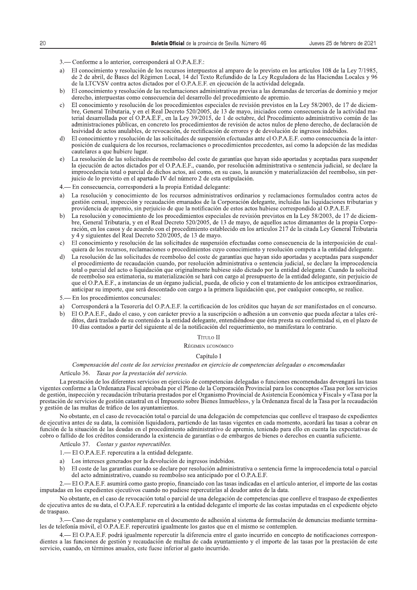- 3. Conforme a lo anterior, corresponderá al O.P.A.E.F.:
- a) El conocimiento y resolución de los recursos interpuestos al amparo de lo previsto en los artículos 108 de la Ley 7/1985, de 2 de abril, de Bases del Régimen Local, 14 del Texto Refundido de la Ley Reguladora de las Haciendas Locales y 96 de la LTCVSV contra actos dictados por el O.P.A.E.F. en ejecución de la actividad delegada.
- El conocimiento y resolución de las reclamaciones administrativas previas a las demandas de tercerías de dominio y mejor  $h$ derecho, interpuestas como consecuencia del desarrollo del procedimiento de apremio.
- $c)$ El conocimiento y resolución de los procedimientos especiales de revisión previstos en la Ley 58/2003, de 17 de diciembre, General Tributaria, y en el Real Decreto 520/2005, de 13 de mayo, iniciados como consecuencia de la actividad material desarrollada por el O.P.A.E.F., en la Ley 39/2015, de 1 de octubre, del Procedimiento administrativo común de las administraciones públicas, en concreto los procedimientos de revisión de actos nulos de pleno derecho, de declaración de lesividad de actos anulables, de revocación, de rectificación de errores y de devolución de ingresos indebidos.
- El conocimiento y resolución de las solicitudes de suspensión efectuadas ante el O.P.A.E.F. como consecuencia de la interd). posición de cualquiera de los recursos, reclamaciones o procedimientos precedentes, así como la adopción de las medidas cautelares a que hubiere lugar.
- La resolución de las solicitudes de reembolso del coste de garantías que hayan sido aportadas y aceptadas para suspender  $e$ ) la ejecución de actos dictados por el O.P.A.E.F., cuando, por resolución administrativa o sentencia judicial, se declare la improcedencia total o parcial de dichos actos, así como, en su caso, la asunción y materialización del reembolso, sin perjuicio de lo previsto en el apartado IV del número 2 de esta estipulación.
- En consecuencia, corresponderá a la propia Entidad delegante:
- La resolución y conocimiento de los recursos administrativos ordinarios y reclamaciones formulados contra actos de a) gestión censal, inspección y recaudación emanados de la Corporación delegante, incluidas las liquidaciones tributarias y providencia de apremio, sin perjuicio de que la notificación de estos actos hubiese correspondido al O.P.A.E.F.
- La resolución y conocimiento de los procedimientos especiales de revisión previstos en la Ley 58/2003, de 17 de diciem $h)$ bre, General Tributaria, y en el Real Decreto 520/2005, de 13 de mayo, de aquellos actos dimanantes de la propia Corporación, en los casos y de acuerdo con el procedimiento establecido en los artículos 217 de la citada Ley General Tributaria y 4 y siguientes del Real Decreto 520/2005, de 13 de mayo.
- c) El conocimiento y resolución de las solicitudes de suspensión efectuadas como consecuencia de la interposición de cualquiera de los recursos, reclamaciones o procedimientos cuyo conocimiento y resolución competa a la entidad delegante.
- La resolución de las solicitudes de reembolso del coste de garantías que hayan sido aportadas y aceptadas para suspender d) el procedimiento de recaudación cuando, por resolución administrativa o sentencia judicial, se declare la improcedencia total o parcial del acto o liquidación que originalmente hubiese sido dictado por la entidad delegante. Cuando la solicitud de reembolso sea estimatoria, su materialización se hará con cargo al presupuesto de la entidad delegante, sin perjuicio de que el O.P.A.E.F., a instancias de un órgano judicial, pueda, de oficio y con el tratamiento de los anticipos extraordinarios, anticipar su importe, que será descontado con cargo a la primera liquidación que, por cualquier concepto, se realice.
- 5. En los procedimientos concursales:
- a) Corresponderá a la Tesorería del O.P.A.E.F. la certificación de los créditos que hayan de ser manifestados en el concurso.
- El O.P.A.E.F., dado el caso, y con carácter previo a la suscripción o adhesión a un convenio que pueda afectar a tales cré $h)$ ditos, dará traslado de su contenido a la entidad delegante, entendiéndose que ésta presta su conformidad si, en el plazo de 10 días contados a partir del siguiente al de la notificación del requerimiento, no manifestara lo contrario.

## Título II

RÉGIMEN ECONÓMICO

#### Capítulo I

## Compensación del coste de los servicios prestados en ejercicio de competencias delegadas o encomendadas

#### Artículo 36. Tasas por la prestación del servicio.

La prestación de los diferentes servicios en ejercicio de competencias delegadas o funciones encomendadas devengará las tasas vigentes conforme a la Ordenanza Fiscal aprobada por el Pleno de la Corporación Provincial para los conceptos «Tasa por los servicios de gestión, inspección y recaudación tributaria prestados por el Organismo Provincial de Asistencia Económica y Fiscal» y «Tasa por la prestación de servicios de gestión catastral en el Impuesto sobre Bienes Inmuebles», y la Ordenanza fiscal de la Tasa por la recaudación y gestión de las multas de tráfico de los ayuntamientos.

No obstante, en el caso de revocación total o parcial de una delegación de competencias que conlleve el traspaso de expedientes de ejecutiva antes de su data, la comisión liquidadora, partiendo de las tasas vigentes en cada momento, acordará las tasas a cobrar en función de la situación de las deudas en el procedimiento administrativo de apremio, teniendo para ello en cuenta las expectativas de cobro o fallido de los créditos considerando la existencia de garantías o de embargos de bienes o derechos en cuantía suficiente.

Artículo 37. Costas y gastos repercutibles.

- 1. El O.P.A.E.F. repercutira a la entidad delegante.
- a) Los intereses generados por la devolución de ingresos indebidos.
- El coste de las garantías cuando se declare por resolución administrativa o sentencia firme la improcedencia total o parcial  $h)$ del acto administrativo, cuando su reembolso sea anticipado por el O.P.A.E.F.

2. El O.P.A.E.F. asumirá como gasto propio, financiado con las tasas indicadas en el artículo anterior, el importe de las costas imputadas en los expedientes ejecutivos cuando no pudiese repercutirlas al deudor antes de la data.

No obstante, en el caso de revocación total o parcial de una delegación de competencias que conlleve el traspaso de expedientes de ejecutiva antes de su data, el O.P.A.E.F. repercutirá a la entidad delegante el importe de las costas imputadas en el expediente objeto de traspaso.

3. - Caso de regularse y contemplarse en el documento de adhesión al sistema de formulación de denuncias mediante terminales de telefonía móvil, el O.P.A.E.F. repercutirá igualmente los gastos que en el mismo se contemplen.

4.— El O.P.A.E.F. podrá igualmente repercutir la diferencia entre el gasto incurrido en concepto de notificaciones correspondientes a las funciones de gestión y recaudación de multas de cada ayuntamiento y el importe de las tasas por la prestación de este servicio, cuando, en términos anuales, este fuese inferior al gasto incurrido.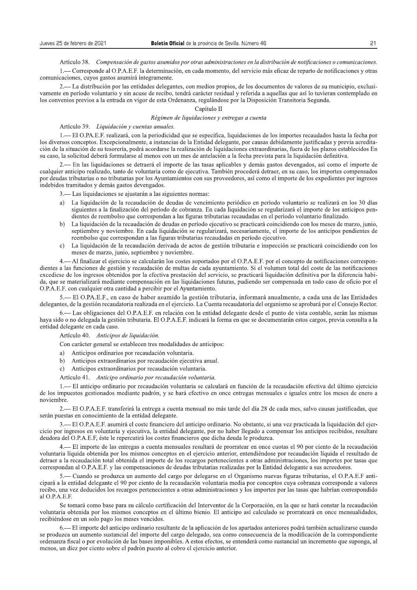Artículo 38. Compensación de gastos asumidos por otras administraciones en la distribución de notificaciones o comunicaciones.

1.— Corresponde al O.P.A.E.F. la determinación, en cada momento, del servicio más eficaz de reparto de notificaciones y otras comunicaciones, cuyos gastos asumirá integramente.

- La distribución por las entidades delegantes, con medios propios, de los documentos de valores de su municipio, exclusivamente en período voluntario y sin acuse de recibo, tendrá carácter residual y referida a aquellas que así lo tuvieran contemplado en los convenios previos a la entrada en vigor de esta Ordenanza, regulándose por la Disposición Transitoria Segunda.

## Capítulo II

## Régimen de liquidaciones y entregas a cuenta

## Artículo 39. Liquidación y cuentas anuales.

1. — El O.PA.E.F. realizará, con la periodicidad que se especifica, liquidaciones de los importes recaudados hasta la fecha por los diversos conceptos. Excepcionalmente, a instancias de la Entidad delegante, por causas debidamente justificadas y previa acreditación de la situación de su tesorería, podrá acordarse la realización de liquidaciones extraordinarias, fuera de los plazos establecidos En su caso, la solicitud deberá formularse al menos con un mes de antelación a la fecha prevista para la liquidación definitiva.

- En las liquidaciones se detraerá el importe de las tasas aplicables y demás gastos devengados, así como el importe de cualquier anticipo realizado, tanto de voluntaria como de ejecutiva. También procederá detraer, en su caso, los importes compensados por deudas tributarias o no tributarias por los Ayuntamientos con sus proveedores, así como el importe de los expedientes por ingresos indebidos tramitados y demás gastos devengados.

3.— Las liquidaciones se ajustarán a las siguientes normas:

- a) La liquidación de la recaudación de deudas de vencimiento periódico en período voluntario se realizará en los 30 días siguientes a la finalización del período de cobranza. En cada liquidación se regularizará el importe de los anticipos pendientes de reembolso que correspondan a las figuras tributarias recaudadas en el período voluntario finalizado.
- La liquidación de la recaudación de deudas en período ejecutivo se practicará coincidiendo con los meses de marzo, junio, septiembre y noviembre. En cada liquidación se regularizará, necesariamente, el importe de los anticipos pendientes de reembolso que correspondan a las figuras tributarias recaudadas en período ejecutivo.
- La liquidación de la recaudación derivada de actos de gestión tributaria e inspección se practicará coincidiendo con los  $\mathbf{c}$ meses de marzo, junio, septiembre y noviembre.

4.— Al finalizar el ejercicio se calcularán los costes soportados por el O.P.A.E.F. por el concepto de notificaciones correspondientes a las funciones de gestión y recaudación de multas de cada ayuntamiento. Si el volumen total del coste de las notificaciones excediese de los ingresos obtenidos por la efectiva prestación del servicio, se practicará liquidación definitiva por la diferencia habida, que se materializará mediante compensación en las liquidaciones futuras, pudiendo ser compensada en todo caso de oficio por el O.P.A.E.F. con cualquier otra cantidad a percibir por el Ayuntamiento.

– El O.PA.E.F., en caso de haber asumido la gestión tributaria, informará anualmente, a cada una de las Entidades delegantes, de la gestión recaudatoria realizada en el ejercicio. La Cuenta recaudatoria del organismo se aprobará por el Consejo Rector.

- Las obligaciones del O.P.A.E.F. en relación con la entidad delegante desde el punto de vista contable, serán las mismas haya sido o no delegada la gestión tributaria. El O.P.A.E.F. indicará la forma en que se documentarán estos cargos, previa consulta a la entidad delegante en cada caso.

Artículo 40. Anticipos de liquidación.

Con carácter general se establecen tres modalidades de anticipos:

- a) Anticipos ordinarios por recaudación voluntaria.
- b) Anticipos extraordinarios por recaudación ejecutiva anual.
- c) Anticipos extraordinarios por recaudación voluntaria.
- Artículo 41. Anticipo ordinario por recaudación voluntaria.

1.— El anticipo ordinario por recaudación voluntaria se calculará en función de la recaudación efectiva del último ejercicio de los impuestos gestionados mediante padrón, y se hará efectivo en once entregas mensuales e iguales entre los meses de enero a noviembre

2. El O.P.A.E.F. transferirá la entrega a cuenta mensual no más tarde del día 28 de cada mes, salvo causas justificadas, que serán puestas en conocimiento de la entidad delegante.

— El O.P.A.E.F. asumirá el coste financiero del anticipo ordinario. No obstante, si una vez practicada la liquidación del ejercicio por ingresos en voluntaria y ejecutiva, la entidad delegante, por no haber llegado a compensar los anticipos recibidos, resultare deudora del O.P.A.E.F, éste le repercutirá los costes financieros que dicha deuda le produzca.

- El importe de las entregas a cuenta mensuales resultará de prorratear en once cuotas el 90 por ciento de la recaudación voluntaria líquida obtenida por los mismos conceptos en el ejercicio anterior, entendiéndose por recaudación líquida el resultado de detraer a la recaudación total obtenida el importe de los recargos pertenecientes a otras administraciones, los importes por tasas que correspondan al O.P.A.E.F. y las compensaciones de deudas tributarias realizadas por la Entidad delegante a sus acreedores.

5.— Cuando se produzca un aumento del cargo por delegarse en el Organismo nuevas figuras tributarias, el O.P.A.E.F anticipará a la entidad delegante el 90 por ciento de la recaudación voluntaria media por conceptos cuya cobranza corresponde a valores recibo, una vez deducidos los recargos pertenecientes a otras administraciones y los importes por las tasas que habrían correspondido al O.P.A.E.F.

Se tomará como base para su cálculo certificación del Interventor de la Corporación, en la que se hará constar la recaudación voluntaria obtenida por los mismos conceptos en el último bienio. El anticipo así calculado se prorrateará en once mensualidades, recibiéndose en un solo pago los meses vencidos.

6. El importe del anticipo ordinario resultante de la aplicación de los apartados anteriores podrá también actualizarse cuando se produzca un aumento sustancial del importe del cargo delegado, sea como consecuencia de la modificación de la correspondiente ordenanza fiscal o por evolución de las bases imponibles. A estos efectos, se entenderá como sustancial un incremento que suponga, al menos, un diez por ciento sobre el padrón puesto al cobro el ejercicio anterior.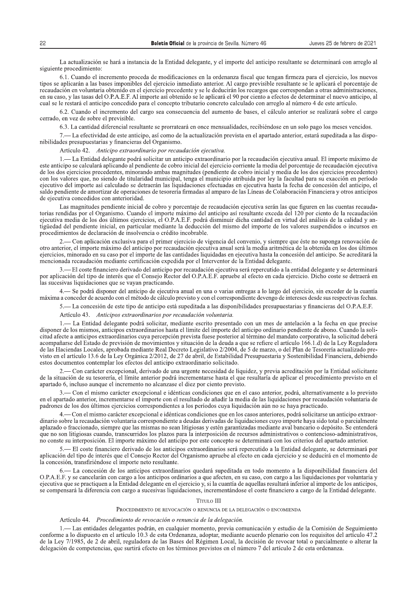**Boletin Oficial** de la provincia de Sevilla. Número 46 Jueves 25 de febrero de 2021<br>La actualización se hará a instancia de la Entidad delegante, y el importe del anticipo resultante se determinará con arreglo al<br>siguien cual se le restará el anticipo concedido para el concepto tributario concreto calculado con arreglo al número 4 de este artículo.

6.2. Cuando el incremento del cargo sea consecuencia del aumento de bases, el cálculo anterior se realizará sobre el cargo cerrado, en vez de sobre el previsible.

6.3. La cantidad diferencial resultante se prorrateará en once mensualidades, recibiéndose en un solo pago los meses vencidos.

7.— La efectividad de este anticipo, así como de la actualización prevista en el apartado anterior, estará supeditada a las disponibilidades presupuestarias y financieras del Organismo.

## Artículo 42. Anticipo extraordinario por recaudación ejecutiva.

- La Entidad delegante podrá solicitar un anticipo extraordinario por la recaudación ejecutiva anual. El importe máximo de este anticipo se calculará aplicando al pendiente de cobro inicial del ejercicio corriente la media del porcentaje de recaudación ejecutiva de los dos ejercicios precedentes, minorando ambas magnitudes (pendiente de cobro inicial y media de los dos ejercicios precedentes) con los valores que, no siendo de titularidad municipal, tenga el municipio atribuida por ley la facultad para su exacción en período ejecutivo del importe asi calculado se detraeran las liquidaciones efectuadas en ejecutiva hasta la fecha de concesión del anticipo, el saldo pendiente de amortizar de operaciones de tesorería firmadas al amparo de las Lineas de Colaboración Financiera y otros anticipos de ejecutiva concedidos con anterioridad.

Las magnitudes pendiente inicial de cobro y porcentaje de recaudación ejecutiva serán las que figuren en las cuentas recaudatorias rendidas por el Organismo. Cuando el importe máximo del anticipo así resultante exceda del 120 por ciento de la recaudación ejecutiva media de los dos últimos ejercicios, el O.P.A.E.F. podrá disminuir dicha cantidad en virtud del análisis de la calidad y antigüedad del pendiente inicial, en particular mediante la deducción del mismo del importe de los valores suspendidos o incursos en procedimientos de declaración de insolvencia o crédito incobrable.

- Con aplicación exclusiva para el primer ejercicio de vigencia del convenio, y siempre que éste no suponga renovación de otro anterior, el importe máximo del anticipo por recaudación ejecutiva anual será la media aritmética de la obtenida en los dos últimos ejercicios, minorado en su caso por el importe de las cantidades liquidadas en ejecutiva hasta la concesión del anticipo. Se acreditará la mencionada recaudación mediante certificación expedida por el Interventor de la Entidad delegante.

3.— El coste financiero derivado del anticipo por recaudación ejecutiva será repercutido a la entidad delegante y se determinará por aplicación del tipo de interés que el Consejo Rector del O.P.A.E.F. apruebe al efecto en cada ejercicio. Dicho coste se detraerá en las sucesivas liquidaciones que se vayan practicando.

4.— Se podrá disponer del anticipo de ejecutiva anual en una o varias entregas a lo largo del ejercicio, sin exceder de la cuantía  $m$ áxima a conceder de acuerdo con el método de cálculo previsto y con el correspondiente devengo de intereses desde sus respectivas fechas.

-La concesión de este tipo de anticipo está supeditada a las disponibilidades presupuestarias y financieras del O.P.A.E.F.

Artículo 43. Anticipos extraordinarios por recaudación voluntaria.

1.— La Entidad delegante podrá solicitar, mediante escrito presentado con un mes de antelación a la fecha en que precise disponer de los mismos, anticipos extraordinarios hasta el límite del importe del anticipo ordinario pendiente de abono. Cuando la solicitud deberá<br>citud afecte a anticipos extraordinarios cuya percepción prevista fuese po  $\epsilon$ itiud afecte a anticipos extraordinarios cuya percepcion prevista fuese posterior al termino del mandato corporativo, la solicitud debera acompanarse del Estado de previsión de movimientos y situación de la deuda a que se refiere el artículo 166.1 d) de la Ley Reguladora de las Haciendas Locales, aprobada mediante Real Decreto Legislativo 2/2004, de 5 de marzo, o del Plan de Tesoreria actualizado previsto en el artículo 13.6 de la Ley Orgánica 2/2012, de 27 de abril, de Estabilidad Presupuestaria y Sostenibilidad Financiera, debiendo estos documentos contemplar los efectos del anticipo extraordinario solicitado.

2.— Con carácter excepcional, derivado de una urgente necesidad de liquidez, y previa acreditación por la Entidad solicitante de la situación de su tesorería, el límite anterior podrá incrementarse hasta el que resultaría de aplicar el procedimiento previsto en el apartado 6, incluso aunque el incremento no alcanzase el diez por ciento previsto.

- Con el mismo carácter excepcional e idénticas condiciones que en el caso anterior, podrá, alternativamente a lo previsto en el apartado anterior, incrementarse el importe con el resultado de añadir la media de las liquidaciones por recaudación voluntaria de padrones de los dos últimos ejercicios correspondientes a los períodos cuya liquidación aún no se haya practicado.

- Con el mismo carácter excepcional e idénticas condiciones que en los casos anteriores, podrá solicitarse un anticipo extraordinario sobre la recaudación voluntaria correspondiente a deudas derivadas de liquidaciones cuvo importe hava sido total o parcialmente aplazado o fraccionado, siempre que las mismas no sean litigiosas y estén garantizadas mediante aval bancario o depósito. Se entenderá que no son litigiosas cuando, transcurridos los plazos para la interposición de recursos administrativos o contencioso-administrativos, no conste su interposición. El importe máximo del anticipo por este concepto se determinará con los criterios del apartado anterior.

5.— El coste financiero derivado de los anticipos extraordinarios será repercutido a la Entidad delegante, se determinará por aplicación del tipo de interés que el Consejo Rector del Organismo apruebe al efecto en cada ejercicio y se deducirá en el momento de la concesión, transfiriéndose el importe neto resultante.

- La concesión de los anticipos extraordinarios quedará supeditada en todo momento a la disponibilidad financiera del O.P.A.E.F. y se cancelarán con cargo a los anticipos ordinarios a que afecten, en su caso, con cargo a las liquidaciones por voluntaria y ejecutiva que se practiquen a la Entidad delegante en el ejercicio y, si la cuantía de aquellas resultará inferior al importe de los anticipos, Securito que el principamento in mentione a sucesivas liquidaciones, incrementándose el coste financiero a cargo de la Entidad delegante.

#### Titulo III

## PROCEDIMIENTO DE REVOCACIÓN O RENUNCIA DE LA DELEGACIÓN O ENCOMIENDA

## Artículo 44. Procedimiento de revocación o renuncia de la delegación.

- Las entidades delegantes podrán, en cualquier momento, previa comunicación y estudio de la Comisión de Seguimiento conforme a lo dispuesto en el artículo 10.3 de esta Ordenanza, adoptar, mediante acuerdo plenario con los requisitos del artículo 47.2 de la Ley 7/1985, de 2 de abril, reguladora de las Bases del Régimen Local, la decisión de revocar total o parcialmente o alterar la delegación de competencias, que surtirá efecto en los términos previstos en el número 7 del artículo 2 de esta ordenanza.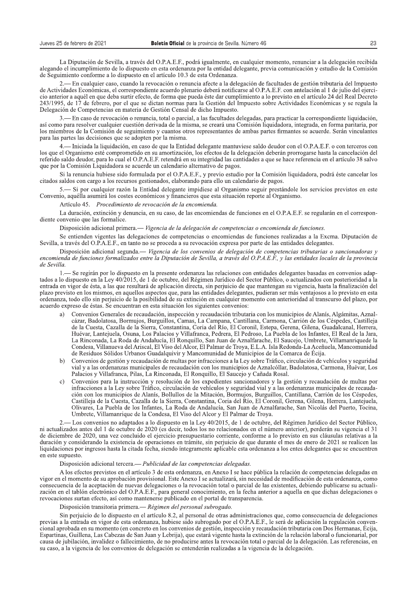La Diputación de Sevilla, a través del O.P.A.E.F., podrá igualmente, en cualquier momento, renunciar a la delegación recibida alegando el incumplimiento de lo dispuesto en esta ordenanza por la entidad delegante, previa comunicación y estudio de la Comisión de Seguimiento conforme a lo dispuesto en el artículo 10.3 de esta Ordenanza.

2.— En cualquier caso, cuando la revocación o renuncia afecte a la delegación de facultades de gestión tributaria del Impuesto de Actividades Económicas, el correspondiente acuerdo plenario deberá notificarse al O.P.A.E.F. con antelación al 1 de julio del ejercicio anterior a aquél en que deba surtir efecto, de forma que pueda éste dar cumplimiento a lo previsto en el artículo 24 del Real Decreto 243/1995, de 17 de febrero, por el que se dictan normas para la Gestión del Impuesto sobre Actividades Económicas y se regula la Delegación de Competencias en materia de Gestión Censal de dicho Impuesto.

3.— En caso de revocación o renuncia, total o parcial, a las facultades delegadas, para practicar la correspondiente liquidación, así como para resolver cualquier cuestión derivada de la misma, se creará una Comisión liquidadora, integrada, en forma paritaria, por los miembros de la Comisión de seguimiento y cuantos otros representantes de ambas partes firmantes se acuerde. Serán vinculantes para las partes las decisiones que se adopten por la misma.

4. Iniciada la liquidación, en caso de que la Entidad delegante mantuviese saldo deudor con el O.P.A.E.F. o con terceros con los que el Organismo esté comprometido en su amortización, los efectos de la delegación deberán prorrogarse hasta la cancelación del referido saldo deudor, para lo cual el O.P.A.E.F. retendrá en su integridad las cantidades a que se hace referencia en el artículo 38 salvo que por la Comisión Liquidadora se acuerde un calendario alternativo de pagos.

Si la renuncia hubiese sido formulada por el O.P.A.E.F., y previo estudio por la Comisión liquidadora, podrá éste cancelar los citados saldos con cargo a los recursos gestionados, elaborando para ello un calendario de pagos.

5.— Si por cualquier razón la Entidad delegante impidiese al Organismo seguir prestándole los servicios previstos en este Convenio, aquélla asumirá los costes económicos y financieros que esta situación reporte al Organismo.

Artículo 45. Procedimiento de revocación de la encomienda.

La duración, extinción y denuncia, en su caso, de las encomiendas de funciones en el O.P.A.E.F. se regularán en el correspondiente convenio que las formalice.

Disposición adicional primera.— Vigencia de la delegación de competencias o encomienda de funciones.

Se entienden vigentes las delegaciones de competencias o encomiendas de funciones realizadas a la Excma. Diputación de Sevilla, a través del O.P.A.E.F., en tanto no se proceda a su revocación expresa por parte de las entidades delegantes.

Disposición adicional segunda.— Vigencia de los convenios de delegación de competencias tributarias o sancionadoras y encomienda de funciones formalizados entre la Diputación de Sevilla, a través del O.P.A.E.F., y las entidades locales de la provincia de Sevilla.

- Se regirán por lo dispuesto en la presente ordenanza las relaciones con entidades delegantes basadas en convenios adaptados a lo dispuesto en la Ley 40/2015, de 1 de octubre, del Régimen Jurídico del Sector Público, o actualizados con posterioridad a la entrada en vigor de ésta, a las que resultará de aplicación directa, sin perjuicio de que mantengan su vigencia, hasta la finalización del plazo previsto en los mismos, en aquellos aspectos que, para las entidades delegantes, pudieran ser más ventajosos a lo previsto en esta ordenanza, todo ello sin periuicio de la posibilidad de su extinción en cualquier momento con anterioridad al transcurso del plazo, por acuerdo expreso de éstas. Se encuentran en esta situación los siguientes convenios:

- Convenios Generales de recaudación, inspección y recaudación tributaria con los municipios de Alanís, Algámitas, Aznala) cázar, Badolatosa, Bormujos, Burguillos, Camas, La Campana, Cantillana, Carmona, Carrión de los Céspedes, Castilleja de la Cuesta, Cazalla de la Sierra, Constantina, Coria del Río, El Coronil, Estepa, Gerena, Gilena, Guadalcanal, Herrera, Huévar, Lantejuela, Osuna, Los Palacios y Villafranca, Pedrera, El Pedroso, La Puebla de los Infantes, El Real de la Jara, La Rinconada, La Roda de Andalucía, El Ronquillo, San Juan de Aznalfarache, El Saucejo, Umbrete, Villamanriquede la Condesa, Villanueva del Ariscal, El Viso del Alcor, El Palmar de Troya, E.L.A. Isla Redonda-La Aceñuela, Mancomunidad de Residuos Sólidos Urbanos Guadalquivir y Mancomunidad de Municipios de la Comarca de Écija.
- Convenios de gestión y recaudación de multas por infracciones a la Ley sobre Tráfico, circulación de vehículos y seguridad  $h)$ vial y a las ordenanzas municipales de recaudación con los municipios de Aznalcóllar, Badolatosa, Carmona, Huévar, Los Palacios y Villafranca, Pilas, La Rinconada, El Ronquillo, El Saucejo y Cañada Rosal.
- Convenios para la instrucción y resolución de los expedientes sancionadores y la gestión y recaudación de multas por infracciones a la Ley sobre Tráfico, circulación de vehículos y seguridad vial y a las ordenanzas municipales de recaudación con los municipios de Alanís, Bollullos de la Mitación, Bormujos, Burguillos, Cantillana, Carrión de los Céspedes, Castilleja de la Cuesta, Cazalla de la Sierra, Constantina, Coria del Río, El Coronil, Gerena, Gilena, Herrera, Lantejuela, Olivares, La Puebla de los Infantes, La Roda de Andalucía, San Juan de Aznalfarache, San Nicolás del Puerto, Tocina, Umbrete, Villamanrique de la Condesa, El Viso del Alcor y El Palmar de Troya.

- Los convenios no adaptados a lo dispuesto en la Ley 40/2015, de 1 de octubre, del Régimen Jurídico del Sector Público, ni actualizados antes del 1 de octubre de 2020 (es decir, todos los no relacionados en el número anterior), perderán su vigencia el 31 de diciembre de 2020, una vez concluido el ejercicio presupuestario corriente, conforme a lo previsto en sus cláusulas relativas a la duración y considerando la existencia de operaciones en trámite, sin perjuicio de que durante el mes de enero de 2021 se realicen las liquidaciones por ingresos hasta la citada fecha, siendo íntegramente aplicable esta ordenanza a los entes delegantes que se encuentren en este supuesto.

## Disposición adicional tercera. - Publicidad de las competencias delegadas.

A los efectos previstos en el artículo 3 de esta ordenanza, en Anexo I se hace pública la relación de competencias delegadas en vigor en el momento de su aprobación provisional. Este Anexo I se actualizará, sin necesidad de modificación de esta ordenanza, como consecuencia de la aceptación de nuevas delegaciones o la revocación total o parcial de las existentes, debiendo publicarse su actualización en el tablón electrónico del O.P.A.E.F., para general conocimiento, en la fecha anterior a aquella en que dichas delegaciones o revocaciones surtan efecto, así como mantenerse publicado en el portal de transparencia.

Disposición transitoria primera.— Régimen del personal subrogado.

Sin perjuicio de lo dispuesto en el artículo 8.2, al personal de otras administraciones que, como consecuencia de delegaciones previas a la entrada en vigor de esta ordenanza, hubiese sido subrogado por el O.P.A.E.F., le será de aplicación la regulación convencional aprobada en su momento (en concreto en los convenios de gestión, inspección y recaudación tributaria con Dos Hermanas, Écija, Espartinas, Guillena, Las Cabezas de San Juan y Lebrija), que estará vigente hasta la extinción de la relación laboral o funcionarial, por causa de jubilación, invalidez o fallecimiento, de no producirse antes la revocación total o parcial de la delegación. Las referencias, en su caso, a la vigencia de los convenios de delegación se entenderán realizadas a la vigencia de la delegación.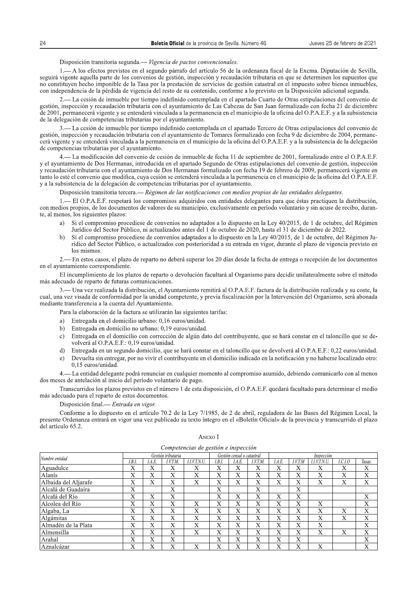## Disposición transitoria segunda. - Vigencia de pactos convencionales.

1.— A los efectos previstos en el segundo párrafo del artículo 56 de la ordenanza fiscal de la Excma. Diputación de Sevilla, seguirá vigente aquella parte de los convenios de gestión, inspección y recaudación tributaria en que se determinen los supuestos que no constituyen hecho imponible de la Tasa por la prestación de servicios de gestión catastral en el impuesto sobre bienes inmuebles, con independencia de la pérdida de vigencia del resto de su contenido, conforme a lo previsto en la Disposición adicional segunda.

2. La cesión de inmueble por tiempo indefinido contemplada en el apartado Cuarto de Otras estipulaciones del convenio de gestión, inspección y recaudación tributaria con el ayuntamiento de Las Cabezas de San Juan formalizado con fecha 21 de diciembre de 2001, permanecerá vigente y se entenderá vinculada a la permanencia en el municipio de la oficina del O.P.A.E.F. y a la subsistencia de la delegación de competencias tributarias por el ayuntamiento.

3.— La cesión de inmueble por tiempo indefinido contemplada en el apartado Tercero de Otras estipulaciones del convenio de gestión, inspección y recaudación tributaria con el ayuntamiento de Tomares formalizado con fecha 9 de diciembre de 2004, permanecerá vigente y se entenderá vinculada a la permanencia en el municipio de la oficina del O.P.A.E.F. y a la subsistencia de la delegación de competencias tributarias por el ayuntamiento.

4. La modificación del convenio de cesión de inmueble de fecha 11 de septiembre de 2001, formalizado entre el O.P.A.E.F. y el ayuntamiento de Dos Hermanas, introducida en el apartado Segundo de Otras estipulaciones del convenio de gestión, inspección y recaudación tributaria con el ayuntamiento de Dos Hermanas formalizado con fecha 19 de febrero de 2009, permanecerá vigente en tanto lo esté el convenio que modifica, cuya cesión se entenderá vinculada a la permanencia en el municipio de la oficina del O.P.A.E.F. y a la subsistencia de la delegación de competencias tributarias por el ayuntamiento.

Disposición transitoria tercera.— Régimen de las notificaciones con medios propios de las entidades delegantes.

1.— El O.P.A.E.F. respetará los compromisos adquiridos con entidades delegantes para que éstas practiquen la distribución, con medios propios, de los documentos de valores de su municipio, exclusivamente en período voluntario y sin acuse de recibo, durante, al menos, los siguientes plazos:

- $a)$ Si el compromiso procediese de convenios no adaptados a lo dispuesto en la Ley 40/2015, de 1 de octubre, del Régimen Jurídico del Sector Público, ni actualizados antes del 1 de octubre de 2020, hasta el 31 de diciembre de 2022.
- Si el compromiso procediese de convenios adaptados a lo dispuesto en la Ley 40/2015, de 1 de octubre, del Régimen Ju $h)$ rídico del Sector Público, o actualizados con posterioridad a su entrada en vigor, durante el plazo de vigencia previsto en los mismos

2.— En estos casos, el plazo de reparto no deberá superar los 20 días desde la fecha de entrega o recepción de los documentos en el avuntamiento correspondiente.

El incumplimiento de los plazos de reparto o devolución facultará al Organismo para decidir unilateralmente sobre el método más adecuado de reparto de futuras comunicaciones.

— Una vez realizada la distribución, el Ayuntamiento remitirá al O.P.A.E.F. factura de la distribución realizada y su coste, la  $\mathbf{R}$ cual, una vez visada de conformidad por la unidad competente, y previa fiscalización por la Intervención del Organismo, será abonada mediante transferencia a la cuenta del Ayuntamiento.

Para la elaboración de la factura se utilizarán las siguientes tarifas:

- a) Entregada en el domicilio urbano: 0.16 euros/unidad.
- Entregada en domicilio no urbano: 0,19 euros/unidad.  $h)$
- Entregada en el domicilio con corrección de algún dato del contribuyente, que se hará constar en el taloncillo que se de- $\mathbf{c}$ ) volverá al O.P.A.E.F.: 0,19 euros/unidad.
- $\overline{d}$ Entregada en un segundo domicilio, que se hará constar en el taloncillo que se devolverá al O.P.A.E.F.: 0,22 euros/unidad.
- Devuelta sin entregar, por no vivir el contribuyente en el domicilio indicado en la notificación y no haberse localizado otro:  $\epsilon$ ) 0,15 euros/unidad.

4.— La entidad delegante podrá renunciar en cualquier momento al compromiso asumido, debiendo comunicarlo con al menos dos meses de antelación al inicio del período voluntario de pago.

Transcurridos los plazos previstos en el número 1 de esta disposición, el O.P.A.E.F. quedará facultado para determinar el medio más adecuado para el reparto de estos documentos.

Disposición final.— Entrada en vigor.

Conforme a lo dispuesto en el artículo 70.2 de la Ley 7/1985, de 2 de abril, reguladora de las Bases del Régimen Local, la presente Ordenanza entrará en vigor una vez publicado su texto íntegro en el «Boletín Oficial» de la provincia y transcurrido el plazo del artículo 65.2.

| Competencias de gestión e inspección |                    |        |         |              |              |                            |              |              |            |              |                |        |  |  |
|--------------------------------------|--------------------|--------|---------|--------------|--------------|----------------------------|--------------|--------------|------------|--------------|----------------|--------|--|--|
| Nombre entidad                       | Gestión tributaria |        |         |              |              | Gestión censal o catastral |              |              | Inspección |              |                |        |  |  |
|                                      | I.B.I              | I.A.E. | I.V.T.M | I.I.V.T.N.U. | I.B.I        | I.A.E.                     | I.V.T.M.     | I.A.E.       | I.V.T.M    | I.I.V.T.N.U. | <i>I.C.I.O</i> | Tasas. |  |  |
| Aguadulce                            | Х                  | X      | X       | Х            | X            | Х                          | X            | Х            | X          | Х            | Х              | X      |  |  |
| Alanís                               | Х                  | Х      | X       | X            | Х            | Х                          | Х            | Х            | X          | X            | Х              | X      |  |  |
| Albaida del Aljarafe                 | Х                  | Х      | X       | X            | Х            | Х                          | Х            | Х            | Х          | X            | X              | Х      |  |  |
| Alcalá de Guadaíra                   | X                  |        | X       |              | X            |                            | X            |              | Х          |              |                |        |  |  |
| Alcalá del Río                       | Х                  | X      | X       |              | Х            | X                          | Х            | X            | Х          |              |                | X      |  |  |
| Alcolea del Río                      | Х                  | X      | X       | Х            | X            | X                          | X            | X            | X          | X            |                | Х      |  |  |
| Algaba, La                           | Х                  | X      | X       | Х            | Х            | Х                          | X            | Х            | X          | X            | Х              | X      |  |  |
| Algámitas                            | X                  | X      | X       | X            | X            | Х                          | X            | Х            | Х          | X            | X              | X      |  |  |
| Almadén de la Plata                  | X                  | X      | X       | X            | $\mathbf{X}$ | $\mathbf X$                | X            | $\mathbf{X}$ | X          | X            |                | X      |  |  |
| Almensilla                           | X                  | Х      | X       | X            | X            | X                          | $\mathbf{X}$ | Х            | X          | X            | $\mathbf{X}$   | X      |  |  |
| Arahal                               | $\bf{X}$           | Х      | X       |              | Х            | X                          | X            | Х            | Х          |              |                | X      |  |  |
| Aznalcázar                           | X                  | Х      | Х       | Х            | Х            | Х                          | Х            | $\mathbf v$  | v<br>л     | Х            |                | Х      |  |  |

ANEXO I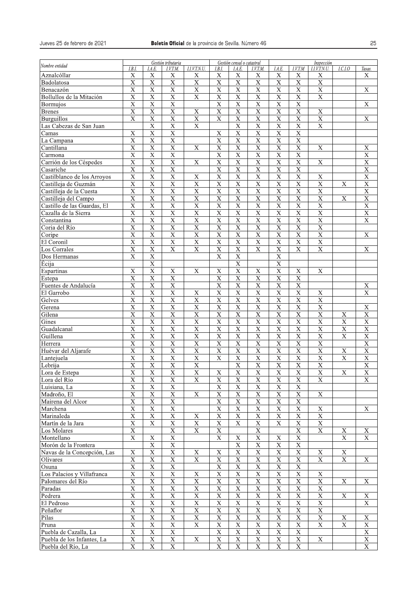| 25<br><b>Boletín Oficial</b> de la provincia de Sevilla. Número 46<br>Gestión tributaria<br>Gestión censal o catastral<br>Inspección<br>Nombre entidad<br>I.I.V.T.N.U.<br>I.V.T.M<br>I.B.I.<br>I.B.I.<br>I.A.E.<br>I.V.T.M.<br>I.A.E.<br><i>I.I.V.T.N.U.</i><br>I.C.I.O<br>I.A.E.<br>I.V.T.M.<br>Tasas.<br>Aznalcóllar<br>X<br>X<br>X<br>X<br>X<br>X<br>X<br>X<br>X<br>X<br>Χ<br>$\overline{X}$<br>$\overline{X}$<br>$\overline{X}$<br>$\overline{\mathbf{X}}$<br>$\overline{\mathrm{X}}$<br>$\overline{X}$<br>$\overline{\text{X}}$<br>$\overline{X}$<br>$\mathbf X$<br>$\bar{X}$<br>Badolatosa<br>$\overline{\mathrm{x}}$<br>$\overline{\text{X}}$<br>$\overline{\mathbf{X}}$<br>$\overline{\mathrm{x}}$<br>$\overline{\mathbf{X}}$<br>$\mathbf X$<br>X<br>$\overline{\mathbf{X}}$<br>$\overline{\mathrm{X}}$<br>$\boldsymbol{\mathrm{X}}$<br>$\mathbf X$<br>Benacazón<br>$\overline{X}$<br>$\overline{\mathbf{X}}$<br>$\overline{X}$<br>$\overline{X}$<br>$\overline{\mathbf{X}}$<br>Bollullos de la Mitación<br>$\mathbf X$<br>X<br>$\mathbf X$<br>X<br>X<br>$\overline{\mathbf{X}}$<br>$\overline{X}$<br>$\mathbf X$<br>$\bar{X}$<br>$\boldsymbol{\mathrm{X}}$<br>X<br>$\boldsymbol{\mathrm{X}}$<br>$\boldsymbol{\mathrm{X}}$<br>$\mathbf X$<br><b>Bormujos</b><br>$\overline{\mathrm{x}}$<br>$\overline{\mathbf{X}}$<br>$\overline{\mathrm{X}}$<br>$\overline{\mathrm{X}}$<br>$\overline{\mathbf{X}}$<br>$\overline{\mathrm{X}}$<br>$\overline{X}$<br>$\overline{\mathbf{X}}$<br>$\overline{\mathbf{X}}$<br>$\mathbf X$<br><b>Brenes</b><br>$\overline{X}$<br>$\overline{X}$<br>$\overline{X}$<br>$\overline{\mathbf{X}}$<br>$\overline{X}$<br>$\overline{X}$<br>$\overline{\mathbf{X}}$<br>$\overline{X}$<br>$\boldsymbol{\mathrm{X}}$<br>$\mathbf X$<br>$\mathbf X$<br><b>Burguillos</b><br>$\overline{\mathbf{X}}$<br>$\overline{\text{X}}$<br>$\overline{\text{X}}$<br>$\overline{\text{X}}$<br>$\overline{\text{X}}$<br>Las Cabezas de San Juan<br>$\mathbf X$<br>$\mathbf X$<br>$\mathbf X$<br>$\mathbf X$<br>$\mathbf X$<br>$\mathbf X$<br>$\mathbf X$<br>X<br>$\mathbf X$<br>$\mathbf X$<br>Camas<br>X<br>$\overline{\text{X}}$<br>$\overline{\mathrm{X}}$<br>$\overline{\text{X}}$<br>$\overline{\text{X}}$<br>$\overline{\text{X}}$<br>$\overline{\mathrm{X}}$<br>$\overline{\mathbf{X}}$<br>$\overline{\text{X}}$<br>La Campana<br>$\overline{X}$<br>$\overline{\mathbf{X}}$<br>$\overline{\mathbf{X}}$<br>$\overline{\mathbf{X}}$<br>$\overline{X}$<br>$\overline{\mathbf{X}}$<br>Cantillana<br>$\mathbf X$<br>$\mathbf X$<br>$\mathbf X$<br>X<br>X<br>$\overline{X}$<br>$\overline{\text{X}}$<br>$\overline{X}$<br>$\overline{X}$<br>$\overline{X}$<br>$\overline{X}$<br>$\overline{\text{X}}$<br>$\mathbf X$<br>$\mathbf X$<br>Carmona<br>$\overline{\mathbf{X}}$<br>$\overline{\mathbf{X}}$<br>$\overline{\mathrm{X}}$<br>$\overline{\text{X}}$<br>$\overline{\mathrm{X}}$<br>$\overline{\mathrm{X}}$<br>$\overline{\mathrm{X}}$<br>$\overline{\text{X}}$<br>$\mathbf X$<br>X<br>$\mathbf{X}$<br>Carrión de los Céspedes<br>$\overline{\mathbf{X}}$<br>$\overline{\mathrm{x}}$<br>$\overline{X}$<br>$\overline{\mathbf{X}}$<br>$\overline{\text{X}}$<br>$\overline{\mathbf{X}}$<br>$\overline{X}$<br>$\overline{\mathbf{X}}$<br>$\overline{X}$<br>Casariche<br>$\overline{\mathrm{X}}$<br>$\overline{\text{X}}$<br>Castilblanco de los Arroyos<br>$\mathbf X$<br>$\mathbf X$<br>$\mathbf X$<br>$\bar{X}$<br>$\mathbf X$<br>$\mathbf X$<br>$\mathbf X$<br>$\mathbf X$<br>$\mathbf X$<br>$\overline{\mathbf{X}}$<br>$\overline{\mathbf{X}}$<br>$\overline{\mathbf{X}}$<br>$\overline{\mathbf{X}}$<br>$\overline{\mathrm{X}}$<br>$\overline{\mathbf{X}}$<br>$\overline{\mathbf{X}}$<br>$\overline{\mathbf{X}}$<br>$\overline{\text{X}}$<br>$\overline{\mathbf{X}}$<br>$\overline{\mathbf{X}}$<br>$\mathbf X$<br>Castilleja de Guzmán<br>$\overline{X}$<br>$\overline{\mathbf{X}}$<br>$\overline{\mathbf{X}}$<br>$\overline{X}$<br>$\overline{\mathrm{X}}$<br>$\overline{\mathbf{X}}$<br>$\overline{\mathrm{X}}$<br>$\overline{\mathbf{X}}$<br>$\overline{\mathrm{X}}$<br>$\overline{\text{X}}$<br>$\overline{\mathbf{X}}$<br>Castilleja de la Cuesta<br>$\overline{\mathbf{X}}$<br>$\overline{X}$<br>$\overline{\mathbf{X}}$<br>$\overline{\mathbf{X}}$<br>$\overline{\text{X}}$<br>$\overline{\mathbf{X}}$<br>$\overline{\text{X}}$<br>$\overline{\mathbf{X}}$<br>$\overline{\text{X}}$<br>X<br>$\mathbf X$<br>$\mathbf X$<br>Castilleja del Campo<br>$\overline{X}$<br>$\overline{\mathbf{X}}$<br>$\overline{\mathbf{X}}$<br>$\overline{\text{X}}$<br>$\overline{\mathbf{X}}$<br>$\overline{\mathbf{X}}$<br>Castillo de las Guardas, El<br>X<br>$\mathbf X$<br>X<br>$\mathbf X$<br>$\mathbf X$<br>$\overline{\mathbf{X}}$<br>$\overline{X}$<br>$\overline{X}$<br>$\overline{\text{X}}$<br>$\overline{\mathrm{X}}$<br>$\overline{\text{X}}$<br>$\overline{\mathrm{X}}$<br>$\overline{\text{X}}$<br>$\overline{X}$<br>$\overline{\mathbf{X}}$<br>$\mathbf X$<br>Cazalla de la Sierra<br>$\overline{\mathrm{x}}$<br>$\overline{\mathrm{x}}$<br>$\overline{\mathbf{X}}$<br>$\overline{\mathrm{x}}$<br>$\overline{\mathrm{X}}$<br>$\overline{\mathrm{x}}$<br>$\overline{\mathrm{x}}$<br>$\overline{\mathrm{x}}$<br>$\overline{\text{X}}$<br>$\overline{\mathrm{X}}$<br>$\overline{\text{X}}$<br>Constantina<br>$\overline{\mathbf{X}}$<br>$\overline{\text{X}}$<br>$\overline{\mathbf{X}}$<br>$\overline{X}$<br>$\overline{\mathbf{X}}$<br>$\mathbf X$<br>$\overline{X}$<br>$\overline{X}$<br>$\overline{X}$<br>$\overline{X}$<br>Coria del Río<br>$\overline{\text{X}}$<br>$\overline{\mathrm{X}}$<br>$\overline{\text{X}}$<br>$\overline{\text{X}}$<br>$\overline{\text{X}}$<br>$\boldsymbol{\mathrm{X}}$<br>$\mathbf X$<br>$\overline{X}$<br>$\mathbf X$<br>$\mathbf X$<br>$\mathbf X$<br>Coripe<br>$\overline{X}$<br>$\overline{\mathbf{X}}$<br>$\overline{\mathbf{X}}$<br>$\overline{\mathrm{X}}$<br>$\overline{\mathbf{X}}$<br>$\overline{X}$<br>$\overline{\mathbf{X}}$<br>$\mathbf X$<br>$\overline{\mathbf{X}}$<br>El Coronil<br>$\mathbf X$<br>$\overline{X}$<br>$\overline{X}$<br>$\overline{X}$<br>$\overline{\mathbf{X}}$<br>$\overline{X}$<br>$\overline{\text{X}}$<br>$\overline{X}$<br>$\mathbf X$<br>$\overline{X}$<br>$\mathbf X$<br>$\mathbf X$<br>Los Corrales<br>$\mathbf X$<br>$\mathbf X$<br>$\boldsymbol{\mathrm{X}}$<br>$\mathbf X$<br>$\mathbf X$<br>Dos Hermanas<br>$\overline{\mathbf{X}}$<br>$\overline{\mathbf{X}}$<br>$\overline{\mathbf{X}}$<br>Écija<br>$\overline{\mathrm{X}}$<br>$\overline{\text{X}}$<br>$\overline{\mathrm{x}}$<br>$\bar{X}$<br>$\boldsymbol{\mathrm{X}}$<br>$\mathbf X$<br>$\mathbf X$<br>$\mathbf X$<br>$\mathbf X$<br>$\mathbf X$<br>Espartinas<br>$\overline{X}$<br>$\overline{\mathbf{X}}$<br>$\mathbf X$<br>X<br>$\mathbf X$<br>X<br>$\mathbf X$<br>$\mathbf X$<br>Estepa<br>$\mathbf X$<br>$\mathbf X$<br>$\boldsymbol{\mathrm{X}}$<br>$\bar{X}$<br>$\mathbf X$<br>$\bar{X}$<br>$\mathbf X$<br>Fuentes de Andalucía<br>$\mathbf X$<br>Х<br>$\overline{\mathbf{X}}$<br>$\overline{\text{X}}$<br>$\overline{\text{X}}$<br>$\boldsymbol{\mathrm{X}}$<br>$\boldsymbol{\mathrm{X}}$<br>$\boldsymbol{\mathrm{X}}$<br>$\boldsymbol{\mathrm{X}}$<br>$\mathbf X$<br>$\mathbf X$<br>El Garrobo<br>$\mathbf X$<br>X<br>$\overline{\mathrm{X}}$<br>$\overline{\mathrm{x}}$<br>$\overline{\text{X}}$<br>$\overline{\mathrm{X}}$<br>$\overline{\mathrm{X}}$<br>$\overline{\mathrm{X}}$<br>$\overline{\mathrm{X}}$<br>$\overline{X}$<br>$\overline{\mathbf{X}}$<br>$\mathbf X$<br>Gelves<br>$\mathbf X$<br>$\mathbf X$<br>$\mathbf X$<br>X<br>Gerena<br>X<br>X<br>X<br>X<br>X<br>X<br>Х<br>$\overline{\mathbf{X}}$<br>$\overline{\mathbf{X}}$<br>$\overline{\mathbf{X}}$<br>$\overline{\mathbf{X}}$<br>$\overline{\mathrm{X}}$<br>$\overline{X}$<br>$\overline{X}$<br>$\overline{\mathbf{X}}$<br>$\overline{X}$<br>$\overline{X}$<br>Gilena<br>$\mathbf X$<br>$\mathbf X$<br>$\overline{X}$<br>$\overline{X}$<br>$\overline{X}$<br>$\bar{X}$<br>$\mathbf X$<br>$\mathbf X$<br>$\bar{X}$<br>$\mathbf X$<br>$\overline{X}$<br>$\mathbf X$<br>$\mathbf X$<br>$\mathbf X$<br>Gines<br>$\overline{\mathbf{X}}$<br>$\overline{\mathbf{X}}$<br>$\overline{\mathbf{X}}$<br>$\overline{\mathbf{X}}$<br>$\overline{\mathbf{X}}$<br>$\overline{\mathbf{X}}$<br>$\overline{\mathbf{X}}$<br>$\overline{\mathbf{X}}$<br>$\overline{X}$<br>$\overline{\mathbf{X}}$<br>$\overline{\mathbf{X}}$<br>$\overline{\mathbf{X}}$<br>Guadalcanal<br>$\overline{X}$<br>$\overline{\mathbf{X}}$<br>$\overline{\mathbf{X}}$<br>$\overline{\mathbf{X}}$<br>$\overline{\mathbf{X}}$<br>$\overline{\mathbf{X}}$<br>$\overline{\mathbf{X}}$<br>$\overline{\mathbf{X}}$<br>$\overline{\mathbf{X}}$<br>$\overline{\mathbf{X}}$<br>$\overline{\textbf{X}}$<br>Guillena<br>X<br>$\overline{X}$<br>$\overline{\mathbf{X}}$<br>$\mathbf X$<br>$\mathbf X$<br>$\mathbf X$<br>$\boldsymbol{\mathrm{X}}$<br>$\mathbf X$<br>$\mathbf X$<br>$\mathbf X$<br>$\mathbf X$<br>$\mathbf X$<br>Herrera<br>$\overline{\mathrm{x}}$<br>$\overline{\mathbf{X}}$<br>$\overline{\mathrm{x}}$<br>$\overline{\mathrm{X}}$<br>$\overline{\text{X}}$<br>$\overline{\mathrm{X}}$<br>$\overline{\mathbf{X}}$<br>$\overline{X}$<br>$\overline{\mathbf{X}}$<br>$\overline{\mathbf{X}}$<br>$\overline{\mathbf{X}}$<br>Huévar del Aljarafe<br>$\mathbf X$<br>$\overline{\mathbf{X}}$<br>$\overline{X}$<br>$\overline{X}$<br>$\overline{\mathbf{X}}$<br>$\overline{\mathbf{X}}$<br>$\overline{X}$<br>$\overline{\mathbf{X}}$<br>$\overline{X}$<br>$\overline{\mathbf{X}}$<br>$\overline{\mathbf{X}}$<br>$\overline{\mathbf{X}}$<br>$\mathbf X$<br>Lantejuela<br>$\overline{X}$<br>$\overline{\mathbf{X}}$<br>$\overline{\textbf{X}}$<br>$\overline{X}$<br>$\overline{X}$<br>Lebrija<br>$\mathbf X$<br>$\mathbf X$<br>$\mathbf X$<br>$\mathbf X$<br>$\mathbf X$<br>$\overline{X}$<br>$\overline{\mathrm{x}}$<br>$\overline{\mathbf{X}}$<br>$\overline{\mathbf{X}}$<br>$\overline{\mathrm{X}}$<br>$\overline{\mathbf{X}}$<br>$\overline{X}$<br>$\overline{\mathbf{X}}$<br>$\overline{\mathbf{X}}$<br>$\overline{\mathbf{X}}$<br>$\overline{\mathbf{X}}$<br>$\overline{\mathbf{X}}$<br>Lora de Estepa<br>$\overline{\mathbf{X}}$<br>$\overline{\mathbf{X}}$<br>$\overline{\mathbf{X}}$<br>$\overline{\mathbf{X}}$<br>$\overline{\mathbf{X}}$<br>$\overline{\mathbf{X}}$<br>$\overline{X}$<br>$\overline{\mathrm{X}}$<br>$\overline{\mathbf{X}}$<br>$\overline{X}$<br>$\overline{\mathbf{X}}$<br>Lora del Río<br>$\overline{X}$<br>$\overline{\mathbf{X}}$<br>$\overline{\mathbf{X}}$<br>$\overline{\mathbf{X}}$<br>Luisiana, La<br>$\mathbf X$<br>$\mathbf X$<br>$\mathbf X$<br>$\mathbf X$<br>$\overline{\mathbf{X}}$<br>$\overline{X}$<br>$\mathbf X$<br>$\mathbf X$<br>$\overline{X}$<br>$\mathbf X$<br>$\overline{\text{X}}$<br>$\overline{X}$<br>$\mathbf X$<br>Madroño, El<br>$\mathbf X$<br>$\overline{\mathbf{X}}$<br>$\overline{\mathbf{X}}$<br>$\overline{\mathbf{X}}$<br>$\overline{\mathbf{X}}$<br>$\overline{\mathbf{X}}$<br>$\overline{\mathbf{X}}$<br>$\overline{\mathbf{X}}$<br>$\overline{\mathbf{X}}$<br>Mairena del Alcor<br>$\overline{\mathrm{X}}$<br>$\overline{\mathrm{x}}$<br>$\overline{X}$<br>$\overline{\mathbf{X}}$<br>$\overline{X}$<br>$\overline{\mathbf{X}}$<br>$\overline{X}$<br>$\overline{\mathbf{X}}$<br>$\overline{\mathbf{X}}$<br>$\boldsymbol{\mathrm{X}}$<br>$\overline{X}$<br>$\overline{X}$<br>$\overline{\mathbf{X}}$<br>$\mathbf X$<br>$\mathbf X$<br>$\mathbf X$<br>$\mathbf X$<br>$\mathbf X$<br>$\mathbf X$<br>$\mathbf X$<br>Marinaleda<br>$\overline{\mathbf{X}}$<br>$\overline{\mathbf{X}}$<br>$\overline{\mathbf{X}}$<br>$\mathbf X$<br>$\mathbf X$<br>$\mathbf X$<br>$\mathbf X$<br>$\mathbf X$<br>$\mathbf X$<br>$\mathbf X$<br>Martín de la Jara<br>$\overline{X}$<br>$\overline{\mathbf{X}}$<br>$\overline{\mathbf{X}}$<br>$\overline{\mathbf{X}}$<br>$\overline{\mathbf{X}}$<br>$\overline{X}$<br>$\mathbf X$<br>Los Molares<br>$\mathbf X$<br>X<br>$\overline{\mathbf{X}}$<br>$\overline{\mathbf{X}}$<br>$\overline{X}$<br>$\overline{\mathbf{X}}$<br>$\overline{\mathbf{X}}$<br>Montellano<br>$\mathbf X$<br>$\mathbf X$<br>$\mathbf X$<br>$\mathbf X$<br>$\mathbf X$<br>Morón de la Frontera<br>$\mathbf X$<br>$\mathbf X$<br>$\mathbf X$<br>$\mathbf X$<br>X<br>$\mathbf X$<br>$\overline{\textbf{X}}$<br>$\overline{\mathbf{X}}$<br>$\overline{\mathbf{X}}$<br>$\mathbf X$<br>$\mathbf X$<br>$\mathbf X$<br>$\mathbf X$<br>$\mathbf X$<br>Navas de la Concepción, Las<br>$\mathbf X$<br>$\mathbf X$<br>$\mathbf X$<br>$\overline{\mathbf{X}}$<br>$\overline{\mathbf{X}}$<br>$\overline{\mathbf{X}}$<br>$\overline{\mathrm{X}}$<br>$\overline{\text{X}}$<br>$\overline{\mathbf{X}}$<br>$\overline{\mathbf{X}}$<br>$\overline{X}$<br>$\overline{\mathbf{X}}$<br>$\overline{\mathrm{X}}$<br>Olivares<br>$\boldsymbol{\mathrm{X}}$<br>$\mathbf X$<br>$\mathbf X$<br>$\mathbf X$<br>$\mathbf X$<br>$\overline{\mathbf{X}}$<br>$\mathbf X$<br>$\mathbf X$<br>$\mathbf X$<br>$\mathbf X$<br>Osuna<br>$\overline{X}$<br>$\overline{\mathbf{X}}$<br>$\overline{X}$<br>$\overline{X}$<br>Los Palacios y Villafranca<br>$\mathbf X$<br>$\mathbf X$<br>$\mathbf X$<br>$\mathbf X$<br>$\mathbf X$<br>$\mathbf X$<br>$\overline{\mathrm{x}}$<br>$\overline{\mathrm{X}}$<br>$\overline{\mathbf{X}}$<br>$\overline{\mathbf{X}}$<br>$\overline{\mathrm{x}}$<br>$\overline{\mathrm{X}}$<br>$\overline{\mathrm{X}}$<br>$\overline{\mathbf{X}}$<br>$\overline{X}$<br>$\overline{\mathbf{X}}$<br>Palomares del Río<br>$\mathbf X$<br>X<br>$\overline{\textbf{X}}$<br>$\overline{X}$<br>$\overline{X}$<br>$\overline{\textbf{X}}$<br>$\overline{\mathbf{X}}$<br>$\overline{\mathbf{X}}$<br>X<br>$\mathbf X$<br>$\mathbf X$<br>$\mathbf X$<br>Paradas<br>$\overline{X}$<br>$\overline{\mathbf{X}}$<br>$\overline{\mathbf{X}}$<br>$\overline{\mathbf{X}}$<br>Pedrera<br>$\mathbf X$<br>$\mathbf X$<br>$\mathbf X$<br>$\mathbf X$<br>$\mathbf X$<br>$\mathbf X$<br>X<br>$\mathbf X$<br>$\overline{X}$<br>$\overline{\mathbf{X}}$<br>$\overline{\mathbf{X}}$<br>$\overline{\mathbf{X}}$<br>$\overline{\mathbf{X}}$<br>$\overline{\mathbf{X}}$<br>$\overline{\mathbf{X}}$<br>$\overline{\mathbf{X}}$<br>$\mathbf X$<br>El Pedroso<br>$\mathbf X$<br>$\mathbf X$<br>$\overline{\mathrm{X}}$<br>$\overline{\mathrm{X}}$<br>$\overline{\mathbf{X}}$<br>$\overline{\text{X}}$<br>$\overline{\mathrm{x}}$<br>$\overline{\text{X}}$<br>$\overline{\text{X}}$<br>$\overline{\mathbf{X}}$<br>$\overline{\mathbf{X}}$<br>$\overline{X}$<br>Peñaflor<br>$\overline{\mathbf{X}}$<br>$\overline{\mathbf{X}}$<br>$\overline{\mathbf{X}}$<br>$\overline{X}$<br>$\overline{\mathbf{X}}$<br>$\overline{\mathbf{X}}$<br>$\overline{\mathbf{X}}$<br>$\overline{\mathbf{X}}$<br>$\overline{\mathbf{X}}$<br>$\overline{\mathbf{X}}$<br>Pilas<br>$\mathbf X$<br>$\mathbf X$<br>$\overline{X}$<br>$\overline{\mathrm{X}}$<br>$\overline{\text{X}}$<br>$\overline{\text{X}}$<br>$\overline{X}$<br>$\mathbf X$<br>$\overline{X}$<br>$\bar{X}$<br>$\bar{X}$<br>$\mathbf X$<br>$\mathbf X$<br>$\mathbf X$<br>Pruna<br>$\overline{\mathbf{X}}$<br>$\overline{\mathrm{X}}$<br>$\overline{X}$<br>$\overline{\mathbf{X}}$<br>$\overline{\mathbf{X}}$<br>$\overline{\mathbf{X}}$<br>$\overline{\mathbf{X}}$<br>$\overline{\mathbf{X}}$<br>$\overline{X}$<br>Puebla de Cazalla, La<br>$\overline{\mathrm{X}}$<br>$\overline{X}$<br>$\overline{\mathbf{X}}$<br>$\overline{\mathbf{X}}$<br>$\overline{\mathbf{X}}$<br>$\mathbf X$<br>$\overline{\mathbf{X}}$<br>$\overline{\mathbf{X}}$<br>$\overline{\mathbf{X}}$<br>$\overline{\mathbf{X}}$<br>$\mathbf X$<br>Puebla de los Infantes, La<br>$\overline{X}$<br>$\mathbf X$<br>$\mathbf X$<br>$\mathbf X$<br>$\mathbf X$<br>$\mathbf X$<br>$\mathbf X$<br>$\mathbf X$<br>$\mathbf X$ |                              |  |  |  |  |  |  |
|-------------------------------------------------------------------------------------------------------------------------------------------------------------------------------------------------------------------------------------------------------------------------------------------------------------------------------------------------------------------------------------------------------------------------------------------------------------------------------------------------------------------------------------------------------------------------------------------------------------------------------------------------------------------------------------------------------------------------------------------------------------------------------------------------------------------------------------------------------------------------------------------------------------------------------------------------------------------------------------------------------------------------------------------------------------------------------------------------------------------------------------------------------------------------------------------------------------------------------------------------------------------------------------------------------------------------------------------------------------------------------------------------------------------------------------------------------------------------------------------------------------------------------------------------------------------------------------------------------------------------------------------------------------------------------------------------------------------------------------------------------------------------------------------------------------------------------------------------------------------------------------------------------------------------------------------------------------------------------------------------------------------------------------------------------------------------------------------------------------------------------------------------------------------------------------------------------------------------------------------------------------------------------------------------------------------------------------------------------------------------------------------------------------------------------------------------------------------------------------------------------------------------------------------------------------------------------------------------------------------------------------------------------------------------------------------------------------------------------------------------------------------------------------------------------------------------------------------------------------------------------------------------------------------------------------------------------------------------------------------------------------------------------------------------------------------------------------------------------------------------------------------------------------------------------------------------------------------------------------------------------------------------------------------------------------------------------------------------------------------------------------------------------------------------------------------------------------------------------------------------------------------------------------------------------------------------------------------------------------------------------------------------------------------------------------------------------------------------------------------------------------------------------------------------------------------------------------------------------------------------------------------------------------------------------------------------------------------------------------------------------------------------------------------------------------------------------------------------------------------------------------------------------------------------------------------------------------------------------------------------------------------------------------------------------------------------------------------------------------------------------------------------------------------------------------------------------------------------------------------------------------------------------------------------------------------------------------------------------------------------------------------------------------------------------------------------------------------------------------------------------------------------------------------------------------------------------------------------------------------------------------------------------------------------------------------------------------------------------------------------------------------------------------------------------------------------------------------------------------------------------------------------------------------------------------------------------------------------------------------------------------------------------------------------------------------------------------------------------------------------------------------------------------------------------------------------------------------------------------------------------------------------------------------------------------------------------------------------------------------------------------------------------------------------------------------------------------------------------------------------------------------------------------------------------------------------------------------------------------------------------------------------------------------------------------------------------------------------------------------------------------------------------------------------------------------------------------------------------------------------------------------------------------------------------------------------------------------------------------------------------------------------------------------------------------------------------------------------------------------------------------------------------------------------------------------------------------------------------------------------------------------------------------------------------------------------------------------------------------------------------------------------------------------------------------------------------------------------------------------------------------------------------------------------------------------------------------------------------------------------------------------------------------------------------------------------------------------------------------------------------------------------------------------------------------------------------------------------------------------------------------------------------------------------------------------------------------------------------------------------------------------------------------------------------------------------------------------------------------------------------------------------------------------------------------------------------------------------------------------------------------------------------------------------------------------------------------------------------------------------------------------------------------------------------------------------------------------------------------------------------------------------------------------------------------------------------------------------------------------------------------------------------------------------------------------------------------------------------------------------------------------------------------------------------------------------------------------------------------------------------------------------------------------------------------------------------------------------------------------------------------------------------------------------------------------------------------------------------------------------------------------------------------------------------------------------------------------------------------------------------------------------------------------------------------------------------------------------------------------------------------------------------------------------------------------------------------------------------------------------------------------------------------------------------------------------------------------------------------------------------------------------------------------------------------------------------------------------------------------------------------------------------------------------------------------------------------------------------------------------------------------------------------------------------------------------------------------------------------------------------------------------------------------------------------------------------------------------------------------------------------------------------------------------------------------------------------------------------------------------------------------------------------------------------------------------------------------------------------------------------------------------------------------------------------------------------------------------------------------------------------------------------------------------------------------------------------------------------------------------------------------------------------------------------------------------------------------------------------------------------------------------------------------------------------------------------------------------------------------------------------------------------------------------------------------------------------------------------------------------------------------------------------------------------------------------------------------------------------------------------------------------------------------------------------------------------------------------------------------------------------------------------------------------------------------------------------------------------------------------------------------------------------------------------------------------------------------------------------------------------------------------------------------------------------------------------------------------------------------------------------------------------------------------------------------------------------------------------------------------------------------------------------------------------------------------------------------------------------------------------------------------------------------------------------------------------------------------------------------------------------------------------------------------------------------------------------------------------------------------------------------------------------------------------------------------------------------------------------------------------------------------------------------------------------------------------------------------------------------------------------------------------------------------------------------------------------------------------------------------------------------------------------------------------------------------------------------------------------------------------------------------------------------------------------------------------------------------------------------------------------------------------------------------------------------------------------------------------------------------------------------------------------------------------------------------------------------------------------------------------------------------------------------------------------------------------------------------------------------------------------------------------------------------------------------------------------------------------------------------------------------------------------------------------------------------------------------------------------------------------------------------------------------------------------------------------------------------------------------------------------------------------------------------------------------------------------------------------------------------------------------------------------------------------------------------------------------------------------------------------------------------------------------------------------------------------------------------------------------------------------------------------------------------------------------------------------------------------------------------------------------------------------------------------------------------------------------------------------------------------------------------------------------------------------------------------------------------------------------------------------------------------------------------------------------------------------------------------------------------------------------------------------------------------------------------------------------------------------------------------------------------------------------------------------------------------------------------------------------------------------------------------------------------------------------------------------------------------------------------------------------------------------------------------------------------------------------------------------------------------------------------------------------------------------------------------------------------------------------------------------------------------------------------------------------------------------------------------------------------------------------------------------------------------------------------------------------------------------------------------------------------------------------------------------------------------------------------------------------------------------------------------------------------------------------------------------------------------------------------------------------------------------------------------------------------------------------------------------------------------------------------------------------------------------------------------------------------------------------------------------------------------------------------------------------------------------------------------------------------------------------------------------------------------------------------------------------------------------------------------------------------------------------------------------------------------------------------------------------------------------------------------------------------------------------------------------------------------------------------------------------------------------------------------------------------------------------------------------------------------------------------------------------------------------------------------------------------------------------------------------------------------------------------------------------------------|------------------------------|--|--|--|--|--|--|
|                                                                                                                                                                                                                                                                                                                                                                                                                                                                                                                                                                                                                                                                                                                                                                                                                                                                                                                                                                                                                                                                                                                                                                                                                                                                                                                                                                                                                                                                                                                                                                                                                                                                                                                                                                                                                                                                                                                                                                                                                                                                                                                                                                                                                                                                                                                                                                                                                                                                                                                                                                                                                                                                                                                                                                                                                                                                                                                                                                                                                                                                                                                                                                                                                                                                                                                                                                                                                                                                                                                                                                                                                                                                                                                                                                                                                                                                                                                                                                                                                                                                                                                                                                                                                                                                                                                                                                                                                                                                                                                                                                                                                                                                                                                                                                                                                                                                                                                                                                                                                                                                                                                                                                                                                                                                                                                                                                                                                                                                                                                                                                                                                                                                                                                                                                                                                                                                                                                                                                                                                                                                                                                                                                                                                                                                                                                                                                                                                                                                                                                                                                                                                                                                                                                                                                                                                                                                                                                                                                                                                                                                                                                                                                                                                                                                                                                                                                                                                                                                                                                                                                                                                                                                                                                                                                                                                                                                                                                                                                                                                                                                                                                                                                                                                                                                                                                                                                                                                                                                                                                                                                                                                                                                                                                                                                                                                                                                                                                                                                                                                                                                                                                                                                                                                                                                                                                                                                                                                                                                                                                                                                                                                                                                                                                                                                                                                                                                                                                                                                                                                                                                                                                                                                                                                                                                                                                                                                                                                                                                                                                                                                                                                                                                                                                                                                                                                                                                                                                                                                                                                                                                                                                                                                                                                                                                                                                                                                                                                                                                                                                                                                                                                                                                                                                                                                                                                                                                                                                                                                                                                                                                                                                                                                                                                                                                                                                                                                                                                                                                                                                                                                                                                                                                                                                                                                                                                                                                                                                                                                                                                                                                                                                                                                                                                                                                                                                                                                                                                                                                                                                                                                                                                                                                                                                                                                                                                                                                                                                                                                                                                                                                                                                                                                                                                                                                                                                                                                                                                                                                                                                                                                                                                                                                                                                                                                                                                                                                                                                                                                                                                                                                                                                                                                                                                                                                                                                                                                                                                                                                                                                                                                                                                                                                                                                                                                                                                               |                              |  |  |  |  |  |  |
|                                                                                                                                                                                                                                                                                                                                                                                                                                                                                                                                                                                                                                                                                                                                                                                                                                                                                                                                                                                                                                                                                                                                                                                                                                                                                                                                                                                                                                                                                                                                                                                                                                                                                                                                                                                                                                                                                                                                                                                                                                                                                                                                                                                                                                                                                                                                                                                                                                                                                                                                                                                                                                                                                                                                                                                                                                                                                                                                                                                                                                                                                                                                                                                                                                                                                                                                                                                                                                                                                                                                                                                                                                                                                                                                                                                                                                                                                                                                                                                                                                                                                                                                                                                                                                                                                                                                                                                                                                                                                                                                                                                                                                                                                                                                                                                                                                                                                                                                                                                                                                                                                                                                                                                                                                                                                                                                                                                                                                                                                                                                                                                                                                                                                                                                                                                                                                                                                                                                                                                                                                                                                                                                                                                                                                                                                                                                                                                                                                                                                                                                                                                                                                                                                                                                                                                                                                                                                                                                                                                                                                                                                                                                                                                                                                                                                                                                                                                                                                                                                                                                                                                                                                                                                                                                                                                                                                                                                                                                                                                                                                                                                                                                                                                                                                                                                                                                                                                                                                                                                                                                                                                                                                                                                                                                                                                                                                                                                                                                                                                                                                                                                                                                                                                                                                                                                                                                                                                                                                                                                                                                                                                                                                                                                                                                                                                                                                                                                                                                                                                                                                                                                                                                                                                                                                                                                                                                                                                                                                                                                                                                                                                                                                                                                                                                                                                                                                                                                                                                                                                                                                                                                                                                                                                                                                                                                                                                                                                                                                                                                                                                                                                                                                                                                                                                                                                                                                                                                                                                                                                                                                                                                                                                                                                                                                                                                                                                                                                                                                                                                                                                                                                                                                                                                                                                                                                                                                                                                                                                                                                                                                                                                                                                                                                                                                                                                                                                                                                                                                                                                                                                                                                                                                                                                                                                                                                                                                                                                                                                                                                                                                                                                                                                                                                                                                                                                                                                                                                                                                                                                                                                                                                                                                                                                                                                                                                                                                                                                                                                                                                                                                                                                                                                                                                                                                                                                                                                                                                                                                                                                                                                                                                                                                                                                                                                                                                                                               | Jueves 25 de febrero de 2021 |  |  |  |  |  |  |
|                                                                                                                                                                                                                                                                                                                                                                                                                                                                                                                                                                                                                                                                                                                                                                                                                                                                                                                                                                                                                                                                                                                                                                                                                                                                                                                                                                                                                                                                                                                                                                                                                                                                                                                                                                                                                                                                                                                                                                                                                                                                                                                                                                                                                                                                                                                                                                                                                                                                                                                                                                                                                                                                                                                                                                                                                                                                                                                                                                                                                                                                                                                                                                                                                                                                                                                                                                                                                                                                                                                                                                                                                                                                                                                                                                                                                                                                                                                                                                                                                                                                                                                                                                                                                                                                                                                                                                                                                                                                                                                                                                                                                                                                                                                                                                                                                                                                                                                                                                                                                                                                                                                                                                                                                                                                                                                                                                                                                                                                                                                                                                                                                                                                                                                                                                                                                                                                                                                                                                                                                                                                                                                                                                                                                                                                                                                                                                                                                                                                                                                                                                                                                                                                                                                                                                                                                                                                                                                                                                                                                                                                                                                                                                                                                                                                                                                                                                                                                                                                                                                                                                                                                                                                                                                                                                                                                                                                                                                                                                                                                                                                                                                                                                                                                                                                                                                                                                                                                                                                                                                                                                                                                                                                                                                                                                                                                                                                                                                                                                                                                                                                                                                                                                                                                                                                                                                                                                                                                                                                                                                                                                                                                                                                                                                                                                                                                                                                                                                                                                                                                                                                                                                                                                                                                                                                                                                                                                                                                                                                                                                                                                                                                                                                                                                                                                                                                                                                                                                                                                                                                                                                                                                                                                                                                                                                                                                                                                                                                                                                                                                                                                                                                                                                                                                                                                                                                                                                                                                                                                                                                                                                                                                                                                                                                                                                                                                                                                                                                                                                                                                                                                                                                                                                                                                                                                                                                                                                                                                                                                                                                                                                                                                                                                                                                                                                                                                                                                                                                                                                                                                                                                                                                                                                                                                                                                                                                                                                                                                                                                                                                                                                                                                                                                                                                                                                                                                                                                                                                                                                                                                                                                                                                                                                                                                                                                                                                                                                                                                                                                                                                                                                                                                                                                                                                                                                                                                                                                                                                                                                                                                                                                                                                                                                                                                                                                                                                               |                              |  |  |  |  |  |  |
|                                                                                                                                                                                                                                                                                                                                                                                                                                                                                                                                                                                                                                                                                                                                                                                                                                                                                                                                                                                                                                                                                                                                                                                                                                                                                                                                                                                                                                                                                                                                                                                                                                                                                                                                                                                                                                                                                                                                                                                                                                                                                                                                                                                                                                                                                                                                                                                                                                                                                                                                                                                                                                                                                                                                                                                                                                                                                                                                                                                                                                                                                                                                                                                                                                                                                                                                                                                                                                                                                                                                                                                                                                                                                                                                                                                                                                                                                                                                                                                                                                                                                                                                                                                                                                                                                                                                                                                                                                                                                                                                                                                                                                                                                                                                                                                                                                                                                                                                                                                                                                                                                                                                                                                                                                                                                                                                                                                                                                                                                                                                                                                                                                                                                                                                                                                                                                                                                                                                                                                                                                                                                                                                                                                                                                                                                                                                                                                                                                                                                                                                                                                                                                                                                                                                                                                                                                                                                                                                                                                                                                                                                                                                                                                                                                                                                                                                                                                                                                                                                                                                                                                                                                                                                                                                                                                                                                                                                                                                                                                                                                                                                                                                                                                                                                                                                                                                                                                                                                                                                                                                                                                                                                                                                                                                                                                                                                                                                                                                                                                                                                                                                                                                                                                                                                                                                                                                                                                                                                                                                                                                                                                                                                                                                                                                                                                                                                                                                                                                                                                                                                                                                                                                                                                                                                                                                                                                                                                                                                                                                                                                                                                                                                                                                                                                                                                                                                                                                                                                                                                                                                                                                                                                                                                                                                                                                                                                                                                                                                                                                                                                                                                                                                                                                                                                                                                                                                                                                                                                                                                                                                                                                                                                                                                                                                                                                                                                                                                                                                                                                                                                                                                                                                                                                                                                                                                                                                                                                                                                                                                                                                                                                                                                                                                                                                                                                                                                                                                                                                                                                                                                                                                                                                                                                                                                                                                                                                                                                                                                                                                                                                                                                                                                                                                                                                                                                                                                                                                                                                                                                                                                                                                                                                                                                                                                                                                                                                                                                                                                                                                                                                                                                                                                                                                                                                                                                                                                                                                                                                                                                                                                                                                                                                                                                                                                                                                                                               |                              |  |  |  |  |  |  |
|                                                                                                                                                                                                                                                                                                                                                                                                                                                                                                                                                                                                                                                                                                                                                                                                                                                                                                                                                                                                                                                                                                                                                                                                                                                                                                                                                                                                                                                                                                                                                                                                                                                                                                                                                                                                                                                                                                                                                                                                                                                                                                                                                                                                                                                                                                                                                                                                                                                                                                                                                                                                                                                                                                                                                                                                                                                                                                                                                                                                                                                                                                                                                                                                                                                                                                                                                                                                                                                                                                                                                                                                                                                                                                                                                                                                                                                                                                                                                                                                                                                                                                                                                                                                                                                                                                                                                                                                                                                                                                                                                                                                                                                                                                                                                                                                                                                                                                                                                                                                                                                                                                                                                                                                                                                                                                                                                                                                                                                                                                                                                                                                                                                                                                                                                                                                                                                                                                                                                                                                                                                                                                                                                                                                                                                                                                                                                                                                                                                                                                                                                                                                                                                                                                                                                                                                                                                                                                                                                                                                                                                                                                                                                                                                                                                                                                                                                                                                                                                                                                                                                                                                                                                                                                                                                                                                                                                                                                                                                                                                                                                                                                                                                                                                                                                                                                                                                                                                                                                                                                                                                                                                                                                                                                                                                                                                                                                                                                                                                                                                                                                                                                                                                                                                                                                                                                                                                                                                                                                                                                                                                                                                                                                                                                                                                                                                                                                                                                                                                                                                                                                                                                                                                                                                                                                                                                                                                                                                                                                                                                                                                                                                                                                                                                                                                                                                                                                                                                                                                                                                                                                                                                                                                                                                                                                                                                                                                                                                                                                                                                                                                                                                                                                                                                                                                                                                                                                                                                                                                                                                                                                                                                                                                                                                                                                                                                                                                                                                                                                                                                                                                                                                                                                                                                                                                                                                                                                                                                                                                                                                                                                                                                                                                                                                                                                                                                                                                                                                                                                                                                                                                                                                                                                                                                                                                                                                                                                                                                                                                                                                                                                                                                                                                                                                                                                                                                                                                                                                                                                                                                                                                                                                                                                                                                                                                                                                                                                                                                                                                                                                                                                                                                                                                                                                                                                                                                                                                                                                                                                                                                                                                                                                                                                                                                                                                                                                                               |                              |  |  |  |  |  |  |
|                                                                                                                                                                                                                                                                                                                                                                                                                                                                                                                                                                                                                                                                                                                                                                                                                                                                                                                                                                                                                                                                                                                                                                                                                                                                                                                                                                                                                                                                                                                                                                                                                                                                                                                                                                                                                                                                                                                                                                                                                                                                                                                                                                                                                                                                                                                                                                                                                                                                                                                                                                                                                                                                                                                                                                                                                                                                                                                                                                                                                                                                                                                                                                                                                                                                                                                                                                                                                                                                                                                                                                                                                                                                                                                                                                                                                                                                                                                                                                                                                                                                                                                                                                                                                                                                                                                                                                                                                                                                                                                                                                                                                                                                                                                                                                                                                                                                                                                                                                                                                                                                                                                                                                                                                                                                                                                                                                                                                                                                                                                                                                                                                                                                                                                                                                                                                                                                                                                                                                                                                                                                                                                                                                                                                                                                                                                                                                                                                                                                                                                                                                                                                                                                                                                                                                                                                                                                                                                                                                                                                                                                                                                                                                                                                                                                                                                                                                                                                                                                                                                                                                                                                                                                                                                                                                                                                                                                                                                                                                                                                                                                                                                                                                                                                                                                                                                                                                                                                                                                                                                                                                                                                                                                                                                                                                                                                                                                                                                                                                                                                                                                                                                                                                                                                                                                                                                                                                                                                                                                                                                                                                                                                                                                                                                                                                                                                                                                                                                                                                                                                                                                                                                                                                                                                                                                                                                                                                                                                                                                                                                                                                                                                                                                                                                                                                                                                                                                                                                                                                                                                                                                                                                                                                                                                                                                                                                                                                                                                                                                                                                                                                                                                                                                                                                                                                                                                                                                                                                                                                                                                                                                                                                                                                                                                                                                                                                                                                                                                                                                                                                                                                                                                                                                                                                                                                                                                                                                                                                                                                                                                                                                                                                                                                                                                                                                                                                                                                                                                                                                                                                                                                                                                                                                                                                                                                                                                                                                                                                                                                                                                                                                                                                                                                                                                                                                                                                                                                                                                                                                                                                                                                                                                                                                                                                                                                                                                                                                                                                                                                                                                                                                                                                                                                                                                                                                                                                                                                                                                                                                                                                                                                                                                                                                                                                                                                                                                               |                              |  |  |  |  |  |  |
|                                                                                                                                                                                                                                                                                                                                                                                                                                                                                                                                                                                                                                                                                                                                                                                                                                                                                                                                                                                                                                                                                                                                                                                                                                                                                                                                                                                                                                                                                                                                                                                                                                                                                                                                                                                                                                                                                                                                                                                                                                                                                                                                                                                                                                                                                                                                                                                                                                                                                                                                                                                                                                                                                                                                                                                                                                                                                                                                                                                                                                                                                                                                                                                                                                                                                                                                                                                                                                                                                                                                                                                                                                                                                                                                                                                                                                                                                                                                                                                                                                                                                                                                                                                                                                                                                                                                                                                                                                                                                                                                                                                                                                                                                                                                                                                                                                                                                                                                                                                                                                                                                                                                                                                                                                                                                                                                                                                                                                                                                                                                                                                                                                                                                                                                                                                                                                                                                                                                                                                                                                                                                                                                                                                                                                                                                                                                                                                                                                                                                                                                                                                                                                                                                                                                                                                                                                                                                                                                                                                                                                                                                                                                                                                                                                                                                                                                                                                                                                                                                                                                                                                                                                                                                                                                                                                                                                                                                                                                                                                                                                                                                                                                                                                                                                                                                                                                                                                                                                                                                                                                                                                                                                                                                                                                                                                                                                                                                                                                                                                                                                                                                                                                                                                                                                                                                                                                                                                                                                                                                                                                                                                                                                                                                                                                                                                                                                                                                                                                                                                                                                                                                                                                                                                                                                                                                                                                                                                                                                                                                                                                                                                                                                                                                                                                                                                                                                                                                                                                                                                                                                                                                                                                                                                                                                                                                                                                                                                                                                                                                                                                                                                                                                                                                                                                                                                                                                                                                                                                                                                                                                                                                                                                                                                                                                                                                                                                                                                                                                                                                                                                                                                                                                                                                                                                                                                                                                                                                                                                                                                                                                                                                                                                                                                                                                                                                                                                                                                                                                                                                                                                                                                                                                                                                                                                                                                                                                                                                                                                                                                                                                                                                                                                                                                                                                                                                                                                                                                                                                                                                                                                                                                                                                                                                                                                                                                                                                                                                                                                                                                                                                                                                                                                                                                                                                                                                                                                                                                                                                                                                                                                                                                                                                                                                                                                                                                                                               |                              |  |  |  |  |  |  |
|                                                                                                                                                                                                                                                                                                                                                                                                                                                                                                                                                                                                                                                                                                                                                                                                                                                                                                                                                                                                                                                                                                                                                                                                                                                                                                                                                                                                                                                                                                                                                                                                                                                                                                                                                                                                                                                                                                                                                                                                                                                                                                                                                                                                                                                                                                                                                                                                                                                                                                                                                                                                                                                                                                                                                                                                                                                                                                                                                                                                                                                                                                                                                                                                                                                                                                                                                                                                                                                                                                                                                                                                                                                                                                                                                                                                                                                                                                                                                                                                                                                                                                                                                                                                                                                                                                                                                                                                                                                                                                                                                                                                                                                                                                                                                                                                                                                                                                                                                                                                                                                                                                                                                                                                                                                                                                                                                                                                                                                                                                                                                                                                                                                                                                                                                                                                                                                                                                                                                                                                                                                                                                                                                                                                                                                                                                                                                                                                                                                                                                                                                                                                                                                                                                                                                                                                                                                                                                                                                                                                                                                                                                                                                                                                                                                                                                                                                                                                                                                                                                                                                                                                                                                                                                                                                                                                                                                                                                                                                                                                                                                                                                                                                                                                                                                                                                                                                                                                                                                                                                                                                                                                                                                                                                                                                                                                                                                                                                                                                                                                                                                                                                                                                                                                                                                                                                                                                                                                                                                                                                                                                                                                                                                                                                                                                                                                                                                                                                                                                                                                                                                                                                                                                                                                                                                                                                                                                                                                                                                                                                                                                                                                                                                                                                                                                                                                                                                                                                                                                                                                                                                                                                                                                                                                                                                                                                                                                                                                                                                                                                                                                                                                                                                                                                                                                                                                                                                                                                                                                                                                                                                                                                                                                                                                                                                                                                                                                                                                                                                                                                                                                                                                                                                                                                                                                                                                                                                                                                                                                                                                                                                                                                                                                                                                                                                                                                                                                                                                                                                                                                                                                                                                                                                                                                                                                                                                                                                                                                                                                                                                                                                                                                                                                                                                                                                                                                                                                                                                                                                                                                                                                                                                                                                                                                                                                                                                                                                                                                                                                                                                                                                                                                                                                                                                                                                                                                                                                                                                                                                                                                                                                                                                                                                                                                                                                                                                                               |                              |  |  |  |  |  |  |
|                                                                                                                                                                                                                                                                                                                                                                                                                                                                                                                                                                                                                                                                                                                                                                                                                                                                                                                                                                                                                                                                                                                                                                                                                                                                                                                                                                                                                                                                                                                                                                                                                                                                                                                                                                                                                                                                                                                                                                                                                                                                                                                                                                                                                                                                                                                                                                                                                                                                                                                                                                                                                                                                                                                                                                                                                                                                                                                                                                                                                                                                                                                                                                                                                                                                                                                                                                                                                                                                                                                                                                                                                                                                                                                                                                                                                                                                                                                                                                                                                                                                                                                                                                                                                                                                                                                                                                                                                                                                                                                                                                                                                                                                                                                                                                                                                                                                                                                                                                                                                                                                                                                                                                                                                                                                                                                                                                                                                                                                                                                                                                                                                                                                                                                                                                                                                                                                                                                                                                                                                                                                                                                                                                                                                                                                                                                                                                                                                                                                                                                                                                                                                                                                                                                                                                                                                                                                                                                                                                                                                                                                                                                                                                                                                                                                                                                                                                                                                                                                                                                                                                                                                                                                                                                                                                                                                                                                                                                                                                                                                                                                                                                                                                                                                                                                                                                                                                                                                                                                                                                                                                                                                                                                                                                                                                                                                                                                                                                                                                                                                                                                                                                                                                                                                                                                                                                                                                                                                                                                                                                                                                                                                                                                                                                                                                                                                                                                                                                                                                                                                                                                                                                                                                                                                                                                                                                                                                                                                                                                                                                                                                                                                                                                                                                                                                                                                                                                                                                                                                                                                                                                                                                                                                                                                                                                                                                                                                                                                                                                                                                                                                                                                                                                                                                                                                                                                                                                                                                                                                                                                                                                                                                                                                                                                                                                                                                                                                                                                                                                                                                                                                                                                                                                                                                                                                                                                                                                                                                                                                                                                                                                                                                                                                                                                                                                                                                                                                                                                                                                                                                                                                                                                                                                                                                                                                                                                                                                                                                                                                                                                                                                                                                                                                                                                                                                                                                                                                                                                                                                                                                                                                                                                                                                                                                                                                                                                                                                                                                                                                                                                                                                                                                                                                                                                                                                                                                                                                                                                                                                                                                                                                                                                                                                                                                                                                                                                               |                              |  |  |  |  |  |  |
|                                                                                                                                                                                                                                                                                                                                                                                                                                                                                                                                                                                                                                                                                                                                                                                                                                                                                                                                                                                                                                                                                                                                                                                                                                                                                                                                                                                                                                                                                                                                                                                                                                                                                                                                                                                                                                                                                                                                                                                                                                                                                                                                                                                                                                                                                                                                                                                                                                                                                                                                                                                                                                                                                                                                                                                                                                                                                                                                                                                                                                                                                                                                                                                                                                                                                                                                                                                                                                                                                                                                                                                                                                                                                                                                                                                                                                                                                                                                                                                                                                                                                                                                                                                                                                                                                                                                                                                                                                                                                                                                                                                                                                                                                                                                                                                                                                                                                                                                                                                                                                                                                                                                                                                                                                                                                                                                                                                                                                                                                                                                                                                                                                                                                                                                                                                                                                                                                                                                                                                                                                                                                                                                                                                                                                                                                                                                                                                                                                                                                                                                                                                                                                                                                                                                                                                                                                                                                                                                                                                                                                                                                                                                                                                                                                                                                                                                                                                                                                                                                                                                                                                                                                                                                                                                                                                                                                                                                                                                                                                                                                                                                                                                                                                                                                                                                                                                                                                                                                                                                                                                                                                                                                                                                                                                                                                                                                                                                                                                                                                                                                                                                                                                                                                                                                                                                                                                                                                                                                                                                                                                                                                                                                                                                                                                                                                                                                                                                                                                                                                                                                                                                                                                                                                                                                                                                                                                                                                                                                                                                                                                                                                                                                                                                                                                                                                                                                                                                                                                                                                                                                                                                                                                                                                                                                                                                                                                                                                                                                                                                                                                                                                                                                                                                                                                                                                                                                                                                                                                                                                                                                                                                                                                                                                                                                                                                                                                                                                                                                                                                                                                                                                                                                                                                                                                                                                                                                                                                                                                                                                                                                                                                                                                                                                                                                                                                                                                                                                                                                                                                                                                                                                                                                                                                                                                                                                                                                                                                                                                                                                                                                                                                                                                                                                                                                                                                                                                                                                                                                                                                                                                                                                                                                                                                                                                                                                                                                                                                                                                                                                                                                                                                                                                                                                                                                                                                                                                                                                                                                                                                                                                                                                                                                                                                                                                                                                                                               |                              |  |  |  |  |  |  |
|                                                                                                                                                                                                                                                                                                                                                                                                                                                                                                                                                                                                                                                                                                                                                                                                                                                                                                                                                                                                                                                                                                                                                                                                                                                                                                                                                                                                                                                                                                                                                                                                                                                                                                                                                                                                                                                                                                                                                                                                                                                                                                                                                                                                                                                                                                                                                                                                                                                                                                                                                                                                                                                                                                                                                                                                                                                                                                                                                                                                                                                                                                                                                                                                                                                                                                                                                                                                                                                                                                                                                                                                                                                                                                                                                                                                                                                                                                                                                                                                                                                                                                                                                                                                                                                                                                                                                                                                                                                                                                                                                                                                                                                                                                                                                                                                                                                                                                                                                                                                                                                                                                                                                                                                                                                                                                                                                                                                                                                                                                                                                                                                                                                                                                                                                                                                                                                                                                                                                                                                                                                                                                                                                                                                                                                                                                                                                                                                                                                                                                                                                                                                                                                                                                                                                                                                                                                                                                                                                                                                                                                                                                                                                                                                                                                                                                                                                                                                                                                                                                                                                                                                                                                                                                                                                                                                                                                                                                                                                                                                                                                                                                                                                                                                                                                                                                                                                                                                                                                                                                                                                                                                                                                                                                                                                                                                                                                                                                                                                                                                                                                                                                                                                                                                                                                                                                                                                                                                                                                                                                                                                                                                                                                                                                                                                                                                                                                                                                                                                                                                                                                                                                                                                                                                                                                                                                                                                                                                                                                                                                                                                                                                                                                                                                                                                                                                                                                                                                                                                                                                                                                                                                                                                                                                                                                                                                                                                                                                                                                                                                                                                                                                                                                                                                                                                                                                                                                                                                                                                                                                                                                                                                                                                                                                                                                                                                                                                                                                                                                                                                                                                                                                                                                                                                                                                                                                                                                                                                                                                                                                                                                                                                                                                                                                                                                                                                                                                                                                                                                                                                                                                                                                                                                                                                                                                                                                                                                                                                                                                                                                                                                                                                                                                                                                                                                                                                                                                                                                                                                                                                                                                                                                                                                                                                                                                                                                                                                                                                                                                                                                                                                                                                                                                                                                                                                                                                                                                                                                                                                                                                                                                                                                                                                                                                                                                                                                                               |                              |  |  |  |  |  |  |
|                                                                                                                                                                                                                                                                                                                                                                                                                                                                                                                                                                                                                                                                                                                                                                                                                                                                                                                                                                                                                                                                                                                                                                                                                                                                                                                                                                                                                                                                                                                                                                                                                                                                                                                                                                                                                                                                                                                                                                                                                                                                                                                                                                                                                                                                                                                                                                                                                                                                                                                                                                                                                                                                                                                                                                                                                                                                                                                                                                                                                                                                                                                                                                                                                                                                                                                                                                                                                                                                                                                                                                                                                                                                                                                                                                                                                                                                                                                                                                                                                                                                                                                                                                                                                                                                                                                                                                                                                                                                                                                                                                                                                                                                                                                                                                                                                                                                                                                                                                                                                                                                                                                                                                                                                                                                                                                                                                                                                                                                                                                                                                                                                                                                                                                                                                                                                                                                                                                                                                                                                                                                                                                                                                                                                                                                                                                                                                                                                                                                                                                                                                                                                                                                                                                                                                                                                                                                                                                                                                                                                                                                                                                                                                                                                                                                                                                                                                                                                                                                                                                                                                                                                                                                                                                                                                                                                                                                                                                                                                                                                                                                                                                                                                                                                                                                                                                                                                                                                                                                                                                                                                                                                                                                                                                                                                                                                                                                                                                                                                                                                                                                                                                                                                                                                                                                                                                                                                                                                                                                                                                                                                                                                                                                                                                                                                                                                                                                                                                                                                                                                                                                                                                                                                                                                                                                                                                                                                                                                                                                                                                                                                                                                                                                                                                                                                                                                                                                                                                                                                                                                                                                                                                                                                                                                                                                                                                                                                                                                                                                                                                                                                                                                                                                                                                                                                                                                                                                                                                                                                                                                                                                                                                                                                                                                                                                                                                                                                                                                                                                                                                                                                                                                                                                                                                                                                                                                                                                                                                                                                                                                                                                                                                                                                                                                                                                                                                                                                                                                                                                                                                                                                                                                                                                                                                                                                                                                                                                                                                                                                                                                                                                                                                                                                                                                                                                                                                                                                                                                                                                                                                                                                                                                                                                                                                                                                                                                                                                                                                                                                                                                                                                                                                                                                                                                                                                                                                                                                                                                                                                                                                                                                                                                                                                                                                                                                                                                               |                              |  |  |  |  |  |  |
|                                                                                                                                                                                                                                                                                                                                                                                                                                                                                                                                                                                                                                                                                                                                                                                                                                                                                                                                                                                                                                                                                                                                                                                                                                                                                                                                                                                                                                                                                                                                                                                                                                                                                                                                                                                                                                                                                                                                                                                                                                                                                                                                                                                                                                                                                                                                                                                                                                                                                                                                                                                                                                                                                                                                                                                                                                                                                                                                                                                                                                                                                                                                                                                                                                                                                                                                                                                                                                                                                                                                                                                                                                                                                                                                                                                                                                                                                                                                                                                                                                                                                                                                                                                                                                                                                                                                                                                                                                                                                                                                                                                                                                                                                                                                                                                                                                                                                                                                                                                                                                                                                                                                                                                                                                                                                                                                                                                                                                                                                                                                                                                                                                                                                                                                                                                                                                                                                                                                                                                                                                                                                                                                                                                                                                                                                                                                                                                                                                                                                                                                                                                                                                                                                                                                                                                                                                                                                                                                                                                                                                                                                                                                                                                                                                                                                                                                                                                                                                                                                                                                                                                                                                                                                                                                                                                                                                                                                                                                                                                                                                                                                                                                                                                                                                                                                                                                                                                                                                                                                                                                                                                                                                                                                                                                                                                                                                                                                                                                                                                                                                                                                                                                                                                                                                                                                                                                                                                                                                                                                                                                                                                                                                                                                                                                                                                                                                                                                                                                                                                                                                                                                                                                                                                                                                                                                                                                                                                                                                                                                                                                                                                                                                                                                                                                                                                                                                                                                                                                                                                                                                                                                                                                                                                                                                                                                                                                                                                                                                                                                                                                                                                                                                                                                                                                                                                                                                                                                                                                                                                                                                                                                                                                                                                                                                                                                                                                                                                                                                                                                                                                                                                                                                                                                                                                                                                                                                                                                                                                                                                                                                                                                                                                                                                                                                                                                                                                                                                                                                                                                                                                                                                                                                                                                                                                                                                                                                                                                                                                                                                                                                                                                                                                                                                                                                                                                                                                                                                                                                                                                                                                                                                                                                                                                                                                                                                                                                                                                                                                                                                                                                                                                                                                                                                                                                                                                                                                                                                                                                                                                                                                                                                                                                                                                                                                                                                                                               |                              |  |  |  |  |  |  |
|                                                                                                                                                                                                                                                                                                                                                                                                                                                                                                                                                                                                                                                                                                                                                                                                                                                                                                                                                                                                                                                                                                                                                                                                                                                                                                                                                                                                                                                                                                                                                                                                                                                                                                                                                                                                                                                                                                                                                                                                                                                                                                                                                                                                                                                                                                                                                                                                                                                                                                                                                                                                                                                                                                                                                                                                                                                                                                                                                                                                                                                                                                                                                                                                                                                                                                                                                                                                                                                                                                                                                                                                                                                                                                                                                                                                                                                                                                                                                                                                                                                                                                                                                                                                                                                                                                                                                                                                                                                                                                                                                                                                                                                                                                                                                                                                                                                                                                                                                                                                                                                                                                                                                                                                                                                                                                                                                                                                                                                                                                                                                                                                                                                                                                                                                                                                                                                                                                                                                                                                                                                                                                                                                                                                                                                                                                                                                                                                                                                                                                                                                                                                                                                                                                                                                                                                                                                                                                                                                                                                                                                                                                                                                                                                                                                                                                                                                                                                                                                                                                                                                                                                                                                                                                                                                                                                                                                                                                                                                                                                                                                                                                                                                                                                                                                                                                                                                                                                                                                                                                                                                                                                                                                                                                                                                                                                                                                                                                                                                                                                                                                                                                                                                                                                                                                                                                                                                                                                                                                                                                                                                                                                                                                                                                                                                                                                                                                                                                                                                                                                                                                                                                                                                                                                                                                                                                                                                                                                                                                                                                                                                                                                                                                                                                                                                                                                                                                                                                                                                                                                                                                                                                                                                                                                                                                                                                                                                                                                                                                                                                                                                                                                                                                                                                                                                                                                                                                                                                                                                                                                                                                                                                                                                                                                                                                                                                                                                                                                                                                                                                                                                                                                                                                                                                                                                                                                                                                                                                                                                                                                                                                                                                                                                                                                                                                                                                                                                                                                                                                                                                                                                                                                                                                                                                                                                                                                                                                                                                                                                                                                                                                                                                                                                                                                                                                                                                                                                                                                                                                                                                                                                                                                                                                                                                                                                                                                                                                                                                                                                                                                                                                                                                                                                                                                                                                                                                                                                                                                                                                                                                                                                                                                                                                                                                                                                                                                                               |                              |  |  |  |  |  |  |
|                                                                                                                                                                                                                                                                                                                                                                                                                                                                                                                                                                                                                                                                                                                                                                                                                                                                                                                                                                                                                                                                                                                                                                                                                                                                                                                                                                                                                                                                                                                                                                                                                                                                                                                                                                                                                                                                                                                                                                                                                                                                                                                                                                                                                                                                                                                                                                                                                                                                                                                                                                                                                                                                                                                                                                                                                                                                                                                                                                                                                                                                                                                                                                                                                                                                                                                                                                                                                                                                                                                                                                                                                                                                                                                                                                                                                                                                                                                                                                                                                                                                                                                                                                                                                                                                                                                                                                                                                                                                                                                                                                                                                                                                                                                                                                                                                                                                                                                                                                                                                                                                                                                                                                                                                                                                                                                                                                                                                                                                                                                                                                                                                                                                                                                                                                                                                                                                                                                                                                                                                                                                                                                                                                                                                                                                                                                                                                                                                                                                                                                                                                                                                                                                                                                                                                                                                                                                                                                                                                                                                                                                                                                                                                                                                                                                                                                                                                                                                                                                                                                                                                                                                                                                                                                                                                                                                                                                                                                                                                                                                                                                                                                                                                                                                                                                                                                                                                                                                                                                                                                                                                                                                                                                                                                                                                                                                                                                                                                                                                                                                                                                                                                                                                                                                                                                                                                                                                                                                                                                                                                                                                                                                                                                                                                                                                                                                                                                                                                                                                                                                                                                                                                                                                                                                                                                                                                                                                                                                                                                                                                                                                                                                                                                                                                                                                                                                                                                                                                                                                                                                                                                                                                                                                                                                                                                                                                                                                                                                                                                                                                                                                                                                                                                                                                                                                                                                                                                                                                                                                                                                                                                                                                                                                                                                                                                                                                                                                                                                                                                                                                                                                                                                                                                                                                                                                                                                                                                                                                                                                                                                                                                                                                                                                                                                                                                                                                                                                                                                                                                                                                                                                                                                                                                                                                                                                                                                                                                                                                                                                                                                                                                                                                                                                                                                                                                                                                                                                                                                                                                                                                                                                                                                                                                                                                                                                                                                                                                                                                                                                                                                                                                                                                                                                                                                                                                                                                                                                                                                                                                                                                                                                                                                                                                                                                                                                                                                               |                              |  |  |  |  |  |  |
|                                                                                                                                                                                                                                                                                                                                                                                                                                                                                                                                                                                                                                                                                                                                                                                                                                                                                                                                                                                                                                                                                                                                                                                                                                                                                                                                                                                                                                                                                                                                                                                                                                                                                                                                                                                                                                                                                                                                                                                                                                                                                                                                                                                                                                                                                                                                                                                                                                                                                                                                                                                                                                                                                                                                                                                                                                                                                                                                                                                                                                                                                                                                                                                                                                                                                                                                                                                                                                                                                                                                                                                                                                                                                                                                                                                                                                                                                                                                                                                                                                                                                                                                                                                                                                                                                                                                                                                                                                                                                                                                                                                                                                                                                                                                                                                                                                                                                                                                                                                                                                                                                                                                                                                                                                                                                                                                                                                                                                                                                                                                                                                                                                                                                                                                                                                                                                                                                                                                                                                                                                                                                                                                                                                                                                                                                                                                                                                                                                                                                                                                                                                                                                                                                                                                                                                                                                                                                                                                                                                                                                                                                                                                                                                                                                                                                                                                                                                                                                                                                                                                                                                                                                                                                                                                                                                                                                                                                                                                                                                                                                                                                                                                                                                                                                                                                                                                                                                                                                                                                                                                                                                                                                                                                                                                                                                                                                                                                                                                                                                                                                                                                                                                                                                                                                                                                                                                                                                                                                                                                                                                                                                                                                                                                                                                                                                                                                                                                                                                                                                                                                                                                                                                                                                                                                                                                                                                                                                                                                                                                                                                                                                                                                                                                                                                                                                                                                                                                                                                                                                                                                                                                                                                                                                                                                                                                                                                                                                                                                                                                                                                                                                                                                                                                                                                                                                                                                                                                                                                                                                                                                                                                                                                                                                                                                                                                                                                                                                                                                                                                                                                                                                                                                                                                                                                                                                                                                                                                                                                                                                                                                                                                                                                                                                                                                                                                                                                                                                                                                                                                                                                                                                                                                                                                                                                                                                                                                                                                                                                                                                                                                                                                                                                                                                                                                                                                                                                                                                                                                                                                                                                                                                                                                                                                                                                                                                                                                                                                                                                                                                                                                                                                                                                                                                                                                                                                                                                                                                                                                                                                                                                                                                                                                                                                                                                                                                                                               |                              |  |  |  |  |  |  |
|                                                                                                                                                                                                                                                                                                                                                                                                                                                                                                                                                                                                                                                                                                                                                                                                                                                                                                                                                                                                                                                                                                                                                                                                                                                                                                                                                                                                                                                                                                                                                                                                                                                                                                                                                                                                                                                                                                                                                                                                                                                                                                                                                                                                                                                                                                                                                                                                                                                                                                                                                                                                                                                                                                                                                                                                                                                                                                                                                                                                                                                                                                                                                                                                                                                                                                                                                                                                                                                                                                                                                                                                                                                                                                                                                                                                                                                                                                                                                                                                                                                                                                                                                                                                                                                                                                                                                                                                                                                                                                                                                                                                                                                                                                                                                                                                                                                                                                                                                                                                                                                                                                                                                                                                                                                                                                                                                                                                                                                                                                                                                                                                                                                                                                                                                                                                                                                                                                                                                                                                                                                                                                                                                                                                                                                                                                                                                                                                                                                                                                                                                                                                                                                                                                                                                                                                                                                                                                                                                                                                                                                                                                                                                                                                                                                                                                                                                                                                                                                                                                                                                                                                                                                                                                                                                                                                                                                                                                                                                                                                                                                                                                                                                                                                                                                                                                                                                                                                                                                                                                                                                                                                                                                                                                                                                                                                                                                                                                                                                                                                                                                                                                                                                                                                                                                                                                                                                                                                                                                                                                                                                                                                                                                                                                                                                                                                                                                                                                                                                                                                                                                                                                                                                                                                                                                                                                                                                                                                                                                                                                                                                                                                                                                                                                                                                                                                                                                                                                                                                                                                                                                                                                                                                                                                                                                                                                                                                                                                                                                                                                                                                                                                                                                                                                                                                                                                                                                                                                                                                                                                                                                                                                                                                                                                                                                                                                                                                                                                                                                                                                                                                                                                                                                                                                                                                                                                                                                                                                                                                                                                                                                                                                                                                                                                                                                                                                                                                                                                                                                                                                                                                                                                                                                                                                                                                                                                                                                                                                                                                                                                                                                                                                                                                                                                                                                                                                                                                                                                                                                                                                                                                                                                                                                                                                                                                                                                                                                                                                                                                                                                                                                                                                                                                                                                                                                                                                                                                                                                                                                                                                                                                                                                                                                                                                                                                                                                                               |                              |  |  |  |  |  |  |
|                                                                                                                                                                                                                                                                                                                                                                                                                                                                                                                                                                                                                                                                                                                                                                                                                                                                                                                                                                                                                                                                                                                                                                                                                                                                                                                                                                                                                                                                                                                                                                                                                                                                                                                                                                                                                                                                                                                                                                                                                                                                                                                                                                                                                                                                                                                                                                                                                                                                                                                                                                                                                                                                                                                                                                                                                                                                                                                                                                                                                                                                                                                                                                                                                                                                                                                                                                                                                                                                                                                                                                                                                                                                                                                                                                                                                                                                                                                                                                                                                                                                                                                                                                                                                                                                                                                                                                                                                                                                                                                                                                                                                                                                                                                                                                                                                                                                                                                                                                                                                                                                                                                                                                                                                                                                                                                                                                                                                                                                                                                                                                                                                                                                                                                                                                                                                                                                                                                                                                                                                                                                                                                                                                                                                                                                                                                                                                                                                                                                                                                                                                                                                                                                                                                                                                                                                                                                                                                                                                                                                                                                                                                                                                                                                                                                                                                                                                                                                                                                                                                                                                                                                                                                                                                                                                                                                                                                                                                                                                                                                                                                                                                                                                                                                                                                                                                                                                                                                                                                                                                                                                                                                                                                                                                                                                                                                                                                                                                                                                                                                                                                                                                                                                                                                                                                                                                                                                                                                                                                                                                                                                                                                                                                                                                                                                                                                                                                                                                                                                                                                                                                                                                                                                                                                                                                                                                                                                                                                                                                                                                                                                                                                                                                                                                                                                                                                                                                                                                                                                                                                                                                                                                                                                                                                                                                                                                                                                                                                                                                                                                                                                                                                                                                                                                                                                                                                                                                                                                                                                                                                                                                                                                                                                                                                                                                                                                                                                                                                                                                                                                                                                                                                                                                                                                                                                                                                                                                                                                                                                                                                                                                                                                                                                                                                                                                                                                                                                                                                                                                                                                                                                                                                                                                                                                                                                                                                                                                                                                                                                                                                                                                                                                                                                                                                                                                                                                                                                                                                                                                                                                                                                                                                                                                                                                                                                                                                                                                                                                                                                                                                                                                                                                                                                                                                                                                                                                                                                                                                                                                                                                                                                                                                                                                                                                                                                                                                               |                              |  |  |  |  |  |  |
|                                                                                                                                                                                                                                                                                                                                                                                                                                                                                                                                                                                                                                                                                                                                                                                                                                                                                                                                                                                                                                                                                                                                                                                                                                                                                                                                                                                                                                                                                                                                                                                                                                                                                                                                                                                                                                                                                                                                                                                                                                                                                                                                                                                                                                                                                                                                                                                                                                                                                                                                                                                                                                                                                                                                                                                                                                                                                                                                                                                                                                                                                                                                                                                                                                                                                                                                                                                                                                                                                                                                                                                                                                                                                                                                                                                                                                                                                                                                                                                                                                                                                                                                                                                                                                                                                                                                                                                                                                                                                                                                                                                                                                                                                                                                                                                                                                                                                                                                                                                                                                                                                                                                                                                                                                                                                                                                                                                                                                                                                                                                                                                                                                                                                                                                                                                                                                                                                                                                                                                                                                                                                                                                                                                                                                                                                                                                                                                                                                                                                                                                                                                                                                                                                                                                                                                                                                                                                                                                                                                                                                                                                                                                                                                                                                                                                                                                                                                                                                                                                                                                                                                                                                                                                                                                                                                                                                                                                                                                                                                                                                                                                                                                                                                                                                                                                                                                                                                                                                                                                                                                                                                                                                                                                                                                                                                                                                                                                                                                                                                                                                                                                                                                                                                                                                                                                                                                                                                                                                                                                                                                                                                                                                                                                                                                                                                                                                                                                                                                                                                                                                                                                                                                                                                                                                                                                                                                                                                                                                                                                                                                                                                                                                                                                                                                                                                                                                                                                                                                                                                                                                                                                                                                                                                                                                                                                                                                                                                                                                                                                                                                                                                                                                                                                                                                                                                                                                                                                                                                                                                                                                                                                                                                                                                                                                                                                                                                                                                                                                                                                                                                                                                                                                                                                                                                                                                                                                                                                                                                                                                                                                                                                                                                                                                                                                                                                                                                                                                                                                                                                                                                                                                                                                                                                                                                                                                                                                                                                                                                                                                                                                                                                                                                                                                                                                                                                                                                                                                                                                                                                                                                                                                                                                                                                                                                                                                                                                                                                                                                                                                                                                                                                                                                                                                                                                                                                                                                                                                                                                                                                                                                                                                                                                                                                                                                                                                                                               |                              |  |  |  |  |  |  |
|                                                                                                                                                                                                                                                                                                                                                                                                                                                                                                                                                                                                                                                                                                                                                                                                                                                                                                                                                                                                                                                                                                                                                                                                                                                                                                                                                                                                                                                                                                                                                                                                                                                                                                                                                                                                                                                                                                                                                                                                                                                                                                                                                                                                                                                                                                                                                                                                                                                                                                                                                                                                                                                                                                                                                                                                                                                                                                                                                                                                                                                                                                                                                                                                                                                                                                                                                                                                                                                                                                                                                                                                                                                                                                                                                                                                                                                                                                                                                                                                                                                                                                                                                                                                                                                                                                                                                                                                                                                                                                                                                                                                                                                                                                                                                                                                                                                                                                                                                                                                                                                                                                                                                                                                                                                                                                                                                                                                                                                                                                                                                                                                                                                                                                                                                                                                                                                                                                                                                                                                                                                                                                                                                                                                                                                                                                                                                                                                                                                                                                                                                                                                                                                                                                                                                                                                                                                                                                                                                                                                                                                                                                                                                                                                                                                                                                                                                                                                                                                                                                                                                                                                                                                                                                                                                                                                                                                                                                                                                                                                                                                                                                                                                                                                                                                                                                                                                                                                                                                                                                                                                                                                                                                                                                                                                                                                                                                                                                                                                                                                                                                                                                                                                                                                                                                                                                                                                                                                                                                                                                                                                                                                                                                                                                                                                                                                                                                                                                                                                                                                                                                                                                                                                                                                                                                                                                                                                                                                                                                                                                                                                                                                                                                                                                                                                                                                                                                                                                                                                                                                                                                                                                                                                                                                                                                                                                                                                                                                                                                                                                                                                                                                                                                                                                                                                                                                                                                                                                                                                                                                                                                                                                                                                                                                                                                                                                                                                                                                                                                                                                                                                                                                                                                                                                                                                                                                                                                                                                                                                                                                                                                                                                                                                                                                                                                                                                                                                                                                                                                                                                                                                                                                                                                                                                                                                                                                                                                                                                                                                                                                                                                                                                                                                                                                                                                                                                                                                                                                                                                                                                                                                                                                                                                                                                                                                                                                                                                                                                                                                                                                                                                                                                                                                                                                                                                                                                                                                                                                                                                                                                                                                                                                                                                                                                                                                                                                                               |                              |  |  |  |  |  |  |
|                                                                                                                                                                                                                                                                                                                                                                                                                                                                                                                                                                                                                                                                                                                                                                                                                                                                                                                                                                                                                                                                                                                                                                                                                                                                                                                                                                                                                                                                                                                                                                                                                                                                                                                                                                                                                                                                                                                                                                                                                                                                                                                                                                                                                                                                                                                                                                                                                                                                                                                                                                                                                                                                                                                                                                                                                                                                                                                                                                                                                                                                                                                                                                                                                                                                                                                                                                                                                                                                                                                                                                                                                                                                                                                                                                                                                                                                                                                                                                                                                                                                                                                                                                                                                                                                                                                                                                                                                                                                                                                                                                                                                                                                                                                                                                                                                                                                                                                                                                                                                                                                                                                                                                                                                                                                                                                                                                                                                                                                                                                                                                                                                                                                                                                                                                                                                                                                                                                                                                                                                                                                                                                                                                                                                                                                                                                                                                                                                                                                                                                                                                                                                                                                                                                                                                                                                                                                                                                                                                                                                                                                                                                                                                                                                                                                                                                                                                                                                                                                                                                                                                                                                                                                                                                                                                                                                                                                                                                                                                                                                                                                                                                                                                                                                                                                                                                                                                                                                                                                                                                                                                                                                                                                                                                                                                                                                                                                                                                                                                                                                                                                                                                                                                                                                                                                                                                                                                                                                                                                                                                                                                                                                                                                                                                                                                                                                                                                                                                                                                                                                                                                                                                                                                                                                                                                                                                                                                                                                                                                                                                                                                                                                                                                                                                                                                                                                                                                                                                                                                                                                                                                                                                                                                                                                                                                                                                                                                                                                                                                                                                                                                                                                                                                                                                                                                                                                                                                                                                                                                                                                                                                                                                                                                                                                                                                                                                                                                                                                                                                                                                                                                                                                                                                                                                                                                                                                                                                                                                                                                                                                                                                                                                                                                                                                                                                                                                                                                                                                                                                                                                                                                                                                                                                                                                                                                                                                                                                                                                                                                                                                                                                                                                                                                                                                                                                                                                                                                                                                                                                                                                                                                                                                                                                                                                                                                                                                                                                                                                                                                                                                                                                                                                                                                                                                                                                                                                                                                                                                                                                                                                                                                                                                                                                                                                                                                                                                               |                              |  |  |  |  |  |  |
|                                                                                                                                                                                                                                                                                                                                                                                                                                                                                                                                                                                                                                                                                                                                                                                                                                                                                                                                                                                                                                                                                                                                                                                                                                                                                                                                                                                                                                                                                                                                                                                                                                                                                                                                                                                                                                                                                                                                                                                                                                                                                                                                                                                                                                                                                                                                                                                                                                                                                                                                                                                                                                                                                                                                                                                                                                                                                                                                                                                                                                                                                                                                                                                                                                                                                                                                                                                                                                                                                                                                                                                                                                                                                                                                                                                                                                                                                                                                                                                                                                                                                                                                                                                                                                                                                                                                                                                                                                                                                                                                                                                                                                                                                                                                                                                                                                                                                                                                                                                                                                                                                                                                                                                                                                                                                                                                                                                                                                                                                                                                                                                                                                                                                                                                                                                                                                                                                                                                                                                                                                                                                                                                                                                                                                                                                                                                                                                                                                                                                                                                                                                                                                                                                                                                                                                                                                                                                                                                                                                                                                                                                                                                                                                                                                                                                                                                                                                                                                                                                                                                                                                                                                                                                                                                                                                                                                                                                                                                                                                                                                                                                                                                                                                                                                                                                                                                                                                                                                                                                                                                                                                                                                                                                                                                                                                                                                                                                                                                                                                                                                                                                                                                                                                                                                                                                                                                                                                                                                                                                                                                                                                                                                                                                                                                                                                                                                                                                                                                                                                                                                                                                                                                                                                                                                                                                                                                                                                                                                                                                                                                                                                                                                                                                                                                                                                                                                                                                                                                                                                                                                                                                                                                                                                                                                                                                                                                                                                                                                                                                                                                                                                                                                                                                                                                                                                                                                                                                                                                                                                                                                                                                                                                                                                                                                                                                                                                                                                                                                                                                                                                                                                                                                                                                                                                                                                                                                                                                                                                                                                                                                                                                                                                                                                                                                                                                                                                                                                                                                                                                                                                                                                                                                                                                                                                                                                                                                                                                                                                                                                                                                                                                                                                                                                                                                                                                                                                                                                                                                                                                                                                                                                                                                                                                                                                                                                                                                                                                                                                                                                                                                                                                                                                                                                                                                                                                                                                                                                                                                                                                                                                                                                                                                                                                                                                                                                                                               |                              |  |  |  |  |  |  |
|                                                                                                                                                                                                                                                                                                                                                                                                                                                                                                                                                                                                                                                                                                                                                                                                                                                                                                                                                                                                                                                                                                                                                                                                                                                                                                                                                                                                                                                                                                                                                                                                                                                                                                                                                                                                                                                                                                                                                                                                                                                                                                                                                                                                                                                                                                                                                                                                                                                                                                                                                                                                                                                                                                                                                                                                                                                                                                                                                                                                                                                                                                                                                                                                                                                                                                                                                                                                                                                                                                                                                                                                                                                                                                                                                                                                                                                                                                                                                                                                                                                                                                                                                                                                                                                                                                                                                                                                                                                                                                                                                                                                                                                                                                                                                                                                                                                                                                                                                                                                                                                                                                                                                                                                                                                                                                                                                                                                                                                                                                                                                                                                                                                                                                                                                                                                                                                                                                                                                                                                                                                                                                                                                                                                                                                                                                                                                                                                                                                                                                                                                                                                                                                                                                                                                                                                                                                                                                                                                                                                                                                                                                                                                                                                                                                                                                                                                                                                                                                                                                                                                                                                                                                                                                                                                                                                                                                                                                                                                                                                                                                                                                                                                                                                                                                                                                                                                                                                                                                                                                                                                                                                                                                                                                                                                                                                                                                                                                                                                                                                                                                                                                                                                                                                                                                                                                                                                                                                                                                                                                                                                                                                                                                                                                                                                                                                                                                                                                                                                                                                                                                                                                                                                                                                                                                                                                                                                                                                                                                                                                                                                                                                                                                                                                                                                                                                                                                                                                                                                                                                                                                                                                                                                                                                                                                                                                                                                                                                                                                                                                                                                                                                                                                                                                                                                                                                                                                                                                                                                                                                                                                                                                                                                                                                                                                                                                                                                                                                                                                                                                                                                                                                                                                                                                                                                                                                                                                                                                                                                                                                                                                                                                                                                                                                                                                                                                                                                                                                                                                                                                                                                                                                                                                                                                                                                                                                                                                                                                                                                                                                                                                                                                                                                                                                                                                                                                                                                                                                                                                                                                                                                                                                                                                                                                                                                                                                                                                                                                                                                                                                                                                                                                                                                                                                                                                                                                                                                                                                                                                                                                                                                                                                                                                                                                                                                                                                                               |                              |  |  |  |  |  |  |
|                                                                                                                                                                                                                                                                                                                                                                                                                                                                                                                                                                                                                                                                                                                                                                                                                                                                                                                                                                                                                                                                                                                                                                                                                                                                                                                                                                                                                                                                                                                                                                                                                                                                                                                                                                                                                                                                                                                                                                                                                                                                                                                                                                                                                                                                                                                                                                                                                                                                                                                                                                                                                                                                                                                                                                                                                                                                                                                                                                                                                                                                                                                                                                                                                                                                                                                                                                                                                                                                                                                                                                                                                                                                                                                                                                                                                                                                                                                                                                                                                                                                                                                                                                                                                                                                                                                                                                                                                                                                                                                                                                                                                                                                                                                                                                                                                                                                                                                                                                                                                                                                                                                                                                                                                                                                                                                                                                                                                                                                                                                                                                                                                                                                                                                                                                                                                                                                                                                                                                                                                                                                                                                                                                                                                                                                                                                                                                                                                                                                                                                                                                                                                                                                                                                                                                                                                                                                                                                                                                                                                                                                                                                                                                                                                                                                                                                                                                                                                                                                                                                                                                                                                                                                                                                                                                                                                                                                                                                                                                                                                                                                                                                                                                                                                                                                                                                                                                                                                                                                                                                                                                                                                                                                                                                                                                                                                                                                                                                                                                                                                                                                                                                                                                                                                                                                                                                                                                                                                                                                                                                                                                                                                                                                                                                                                                                                                                                                                                                                                                                                                                                                                                                                                                                                                                                                                                                                                                                                                                                                                                                                                                                                                                                                                                                                                                                                                                                                                                                                                                                                                                                                                                                                                                                                                                                                                                                                                                                                                                                                                                                                                                                                                                                                                                                                                                                                                                                                                                                                                                                                                                                                                                                                                                                                                                                                                                                                                                                                                                                                                                                                                                                                                                                                                                                                                                                                                                                                                                                                                                                                                                                                                                                                                                                                                                                                                                                                                                                                                                                                                                                                                                                                                                                                                                                                                                                                                                                                                                                                                                                                                                                                                                                                                                                                                                                                                                                                                                                                                                                                                                                                                                                                                                                                                                                                                                                                                                                                                                                                                                                                                                                                                                                                                                                                                                                                                                                                                                                                                                                                                                                                                                                                                                                                                                                                                                                                                               |                              |  |  |  |  |  |  |
|                                                                                                                                                                                                                                                                                                                                                                                                                                                                                                                                                                                                                                                                                                                                                                                                                                                                                                                                                                                                                                                                                                                                                                                                                                                                                                                                                                                                                                                                                                                                                                                                                                                                                                                                                                                                                                                                                                                                                                                                                                                                                                                                                                                                                                                                                                                                                                                                                                                                                                                                                                                                                                                                                                                                                                                                                                                                                                                                                                                                                                                                                                                                                                                                                                                                                                                                                                                                                                                                                                                                                                                                                                                                                                                                                                                                                                                                                                                                                                                                                                                                                                                                                                                                                                                                                                                                                                                                                                                                                                                                                                                                                                                                                                                                                                                                                                                                                                                                                                                                                                                                                                                                                                                                                                                                                                                                                                                                                                                                                                                                                                                                                                                                                                                                                                                                                                                                                                                                                                                                                                                                                                                                                                                                                                                                                                                                                                                                                                                                                                                                                                                                                                                                                                                                                                                                                                                                                                                                                                                                                                                                                                                                                                                                                                                                                                                                                                                                                                                                                                                                                                                                                                                                                                                                                                                                                                                                                                                                                                                                                                                                                                                                                                                                                                                                                                                                                                                                                                                                                                                                                                                                                                                                                                                                                                                                                                                                                                                                                                                                                                                                                                                                                                                                                                                                                                                                                                                                                                                                                                                                                                                                                                                                                                                                                                                                                                                                                                                                                                                                                                                                                                                                                                                                                                                                                                                                                                                                                                                                                                                                                                                                                                                                                                                                                                                                                                                                                                                                                                                                                                                                                                                                                                                                                                                                                                                                                                                                                                                                                                                                                                                                                                                                                                                                                                                                                                                                                                                                                                                                                                                                                                                                                                                                                                                                                                                                                                                                                                                                                                                                                                                                                                                                                                                                                                                                                                                                                                                                                                                                                                                                                                                                                                                                                                                                                                                                                                                                                                                                                                                                                                                                                                                                                                                                                                                                                                                                                                                                                                                                                                                                                                                                                                                                                                                                                                                                                                                                                                                                                                                                                                                                                                                                                                                                                                                                                                                                                                                                                                                                                                                                                                                                                                                                                                                                                                                                                                                                                                                                                                                                                                                                                                                                                                                                                                                                                               |                              |  |  |  |  |  |  |
|                                                                                                                                                                                                                                                                                                                                                                                                                                                                                                                                                                                                                                                                                                                                                                                                                                                                                                                                                                                                                                                                                                                                                                                                                                                                                                                                                                                                                                                                                                                                                                                                                                                                                                                                                                                                                                                                                                                                                                                                                                                                                                                                                                                                                                                                                                                                                                                                                                                                                                                                                                                                                                                                                                                                                                                                                                                                                                                                                                                                                                                                                                                                                                                                                                                                                                                                                                                                                                                                                                                                                                                                                                                                                                                                                                                                                                                                                                                                                                                                                                                                                                                                                                                                                                                                                                                                                                                                                                                                                                                                                                                                                                                                                                                                                                                                                                                                                                                                                                                                                                                                                                                                                                                                                                                                                                                                                                                                                                                                                                                                                                                                                                                                                                                                                                                                                                                                                                                                                                                                                                                                                                                                                                                                                                                                                                                                                                                                                                                                                                                                                                                                                                                                                                                                                                                                                                                                                                                                                                                                                                                                                                                                                                                                                                                                                                                                                                                                                                                                                                                                                                                                                                                                                                                                                                                                                                                                                                                                                                                                                                                                                                                                                                                                                                                                                                                                                                                                                                                                                                                                                                                                                                                                                                                                                                                                                                                                                                                                                                                                                                                                                                                                                                                                                                                                                                                                                                                                                                                                                                                                                                                                                                                                                                                                                                                                                                                                                                                                                                                                                                                                                                                                                                                                                                                                                                                                                                                                                                                                                                                                                                                                                                                                                                                                                                                                                                                                                                                                                                                                                                                                                                                                                                                                                                                                                                                                                                                                                                                                                                                                                                                                                                                                                                                                                                                                                                                                                                                                                                                                                                                                                                                                                                                                                                                                                                                                                                                                                                                                                                                                                                                                                                                                                                                                                                                                                                                                                                                                                                                                                                                                                                                                                                                                                                                                                                                                                                                                                                                                                                                                                                                                                                                                                                                                                                                                                                                                                                                                                                                                                                                                                                                                                                                                                                                                                                                                                                                                                                                                                                                                                                                                                                                                                                                                                                                                                                                                                                                                                                                                                                                                                                                                                                                                                                                                                                                                                                                                                                                                                                                                                                                                                                                                                                                                                                                                                               |                              |  |  |  |  |  |  |
|                                                                                                                                                                                                                                                                                                                                                                                                                                                                                                                                                                                                                                                                                                                                                                                                                                                                                                                                                                                                                                                                                                                                                                                                                                                                                                                                                                                                                                                                                                                                                                                                                                                                                                                                                                                                                                                                                                                                                                                                                                                                                                                                                                                                                                                                                                                                                                                                                                                                                                                                                                                                                                                                                                                                                                                                                                                                                                                                                                                                                                                                                                                                                                                                                                                                                                                                                                                                                                                                                                                                                                                                                                                                                                                                                                                                                                                                                                                                                                                                                                                                                                                                                                                                                                                                                                                                                                                                                                                                                                                                                                                                                                                                                                                                                                                                                                                                                                                                                                                                                                                                                                                                                                                                                                                                                                                                                                                                                                                                                                                                                                                                                                                                                                                                                                                                                                                                                                                                                                                                                                                                                                                                                                                                                                                                                                                                                                                                                                                                                                                                                                                                                                                                                                                                                                                                                                                                                                                                                                                                                                                                                                                                                                                                                                                                                                                                                                                                                                                                                                                                                                                                                                                                                                                                                                                                                                                                                                                                                                                                                                                                                                                                                                                                                                                                                                                                                                                                                                                                                                                                                                                                                                                                                                                                                                                                                                                                                                                                                                                                                                                                                                                                                                                                                                                                                                                                                                                                                                                                                                                                                                                                                                                                                                                                                                                                                                                                                                                                                                                                                                                                                                                                                                                                                                                                                                                                                                                                                                                                                                                                                                                                                                                                                                                                                                                                                                                                                                                                                                                                                                                                                                                                                                                                                                                                                                                                                                                                                                                                                                                                                                                                                                                                                                                                                                                                                                                                                                                                                                                                                                                                                                                                                                                                                                                                                                                                                                                                                                                                                                                                                                                                                                                                                                                                                                                                                                                                                                                                                                                                                                                                                                                                                                                                                                                                                                                                                                                                                                                                                                                                                                                                                                                                                                                                                                                                                                                                                                                                                                                                                                                                                                                                                                                                                                                                                                                                                                                                                                                                                                                                                                                                                                                                                                                                                                                                                                                                                                                                                                                                                                                                                                                                                                                                                                                                                                                                                                                                                                                                                                                                                                                                                                                                                                                                                                                                                               |                              |  |  |  |  |  |  |
|                                                                                                                                                                                                                                                                                                                                                                                                                                                                                                                                                                                                                                                                                                                                                                                                                                                                                                                                                                                                                                                                                                                                                                                                                                                                                                                                                                                                                                                                                                                                                                                                                                                                                                                                                                                                                                                                                                                                                                                                                                                                                                                                                                                                                                                                                                                                                                                                                                                                                                                                                                                                                                                                                                                                                                                                                                                                                                                                                                                                                                                                                                                                                                                                                                                                                                                                                                                                                                                                                                                                                                                                                                                                                                                                                                                                                                                                                                                                                                                                                                                                                                                                                                                                                                                                                                                                                                                                                                                                                                                                                                                                                                                                                                                                                                                                                                                                                                                                                                                                                                                                                                                                                                                                                                                                                                                                                                                                                                                                                                                                                                                                                                                                                                                                                                                                                                                                                                                                                                                                                                                                                                                                                                                                                                                                                                                                                                                                                                                                                                                                                                                                                                                                                                                                                                                                                                                                                                                                                                                                                                                                                                                                                                                                                                                                                                                                                                                                                                                                                                                                                                                                                                                                                                                                                                                                                                                                                                                                                                                                                                                                                                                                                                                                                                                                                                                                                                                                                                                                                                                                                                                                                                                                                                                                                                                                                                                                                                                                                                                                                                                                                                                                                                                                                                                                                                                                                                                                                                                                                                                                                                                                                                                                                                                                                                                                                                                                                                                                                                                                                                                                                                                                                                                                                                                                                                                                                                                                                                                                                                                                                                                                                                                                                                                                                                                                                                                                                                                                                                                                                                                                                                                                                                                                                                                                                                                                                                                                                                                                                                                                                                                                                                                                                                                                                                                                                                                                                                                                                                                                                                                                                                                                                                                                                                                                                                                                                                                                                                                                                                                                                                                                                                                                                                                                                                                                                                                                                                                                                                                                                                                                                                                                                                                                                                                                                                                                                                                                                                                                                                                                                                                                                                                                                                                                                                                                                                                                                                                                                                                                                                                                                                                                                                                                                                                                                                                                                                                                                                                                                                                                                                                                                                                                                                                                                                                                                                                                                                                                                                                                                                                                                                                                                                                                                                                                                                                                                                                                                                                                                                                                                                                                                                                                                                                                                                                                                               |                              |  |  |  |  |  |  |
|                                                                                                                                                                                                                                                                                                                                                                                                                                                                                                                                                                                                                                                                                                                                                                                                                                                                                                                                                                                                                                                                                                                                                                                                                                                                                                                                                                                                                                                                                                                                                                                                                                                                                                                                                                                                                                                                                                                                                                                                                                                                                                                                                                                                                                                                                                                                                                                                                                                                                                                                                                                                                                                                                                                                                                                                                                                                                                                                                                                                                                                                                                                                                                                                                                                                                                                                                                                                                                                                                                                                                                                                                                                                                                                                                                                                                                                                                                                                                                                                                                                                                                                                                                                                                                                                                                                                                                                                                                                                                                                                                                                                                                                                                                                                                                                                                                                                                                                                                                                                                                                                                                                                                                                                                                                                                                                                                                                                                                                                                                                                                                                                                                                                                                                                                                                                                                                                                                                                                                                                                                                                                                                                                                                                                                                                                                                                                                                                                                                                                                                                                                                                                                                                                                                                                                                                                                                                                                                                                                                                                                                                                                                                                                                                                                                                                                                                                                                                                                                                                                                                                                                                                                                                                                                                                                                                                                                                                                                                                                                                                                                                                                                                                                                                                                                                                                                                                                                                                                                                                                                                                                                                                                                                                                                                                                                                                                                                                                                                                                                                                                                                                                                                                                                                                                                                                                                                                                                                                                                                                                                                                                                                                                                                                                                                                                                                                                                                                                                                                                                                                                                                                                                                                                                                                                                                                                                                                                                                                                                                                                                                                                                                                                                                                                                                                                                                                                                                                                                                                                                                                                                                                                                                                                                                                                                                                                                                                                                                                                                                                                                                                                                                                                                                                                                                                                                                                                                                                                                                                                                                                                                                                                                                                                                                                                                                                                                                                                                                                                                                                                                                                                                                                                                                                                                                                                                                                                                                                                                                                                                                                                                                                                                                                                                                                                                                                                                                                                                                                                                                                                                                                                                                                                                                                                                                                                                                                                                                                                                                                                                                                                                                                                                                                                                                                                                                                                                                                                                                                                                                                                                                                                                                                                                                                                                                                                                                                                                                                                                                                                                                                                                                                                                                                                                                                                                                                                                                                                                                                                                                                                                                                                                                                                                                                                                                                                                                                               |                              |  |  |  |  |  |  |
|                                                                                                                                                                                                                                                                                                                                                                                                                                                                                                                                                                                                                                                                                                                                                                                                                                                                                                                                                                                                                                                                                                                                                                                                                                                                                                                                                                                                                                                                                                                                                                                                                                                                                                                                                                                                                                                                                                                                                                                                                                                                                                                                                                                                                                                                                                                                                                                                                                                                                                                                                                                                                                                                                                                                                                                                                                                                                                                                                                                                                                                                                                                                                                                                                                                                                                                                                                                                                                                                                                                                                                                                                                                                                                                                                                                                                                                                                                                                                                                                                                                                                                                                                                                                                                                                                                                                                                                                                                                                                                                                                                                                                                                                                                                                                                                                                                                                                                                                                                                                                                                                                                                                                                                                                                                                                                                                                                                                                                                                                                                                                                                                                                                                                                                                                                                                                                                                                                                                                                                                                                                                                                                                                                                                                                                                                                                                                                                                                                                                                                                                                                                                                                                                                                                                                                                                                                                                                                                                                                                                                                                                                                                                                                                                                                                                                                                                                                                                                                                                                                                                                                                                                                                                                                                                                                                                                                                                                                                                                                                                                                                                                                                                                                                                                                                                                                                                                                                                                                                                                                                                                                                                                                                                                                                                                                                                                                                                                                                                                                                                                                                                                                                                                                                                                                                                                                                                                                                                                                                                                                                                                                                                                                                                                                                                                                                                                                                                                                                                                                                                                                                                                                                                                                                                                                                                                                                                                                                                                                                                                                                                                                                                                                                                                                                                                                                                                                                                                                                                                                                                                                                                                                                                                                                                                                                                                                                                                                                                                                                                                                                                                                                                                                                                                                                                                                                                                                                                                                                                                                                                                                                                                                                                                                                                                                                                                                                                                                                                                                                                                                                                                                                                                                                                                                                                                                                                                                                                                                                                                                                                                                                                                                                                                                                                                                                                                                                                                                                                                                                                                                                                                                                                                                                                                                                                                                                                                                                                                                                                                                                                                                                                                                                                                                                                                                                                                                                                                                                                                                                                                                                                                                                                                                                                                                                                                                                                                                                                                                                                                                                                                                                                                                                                                                                                                                                                                                                                                                                                                                                                                                                                                                                                                                                                                                                                                                                                                               |                              |  |  |  |  |  |  |
|                                                                                                                                                                                                                                                                                                                                                                                                                                                                                                                                                                                                                                                                                                                                                                                                                                                                                                                                                                                                                                                                                                                                                                                                                                                                                                                                                                                                                                                                                                                                                                                                                                                                                                                                                                                                                                                                                                                                                                                                                                                                                                                                                                                                                                                                                                                                                                                                                                                                                                                                                                                                                                                                                                                                                                                                                                                                                                                                                                                                                                                                                                                                                                                                                                                                                                                                                                                                                                                                                                                                                                                                                                                                                                                                                                                                                                                                                                                                                                                                                                                                                                                                                                                                                                                                                                                                                                                                                                                                                                                                                                                                                                                                                                                                                                                                                                                                                                                                                                                                                                                                                                                                                                                                                                                                                                                                                                                                                                                                                                                                                                                                                                                                                                                                                                                                                                                                                                                                                                                                                                                                                                                                                                                                                                                                                                                                                                                                                                                                                                                                                                                                                                                                                                                                                                                                                                                                                                                                                                                                                                                                                                                                                                                                                                                                                                                                                                                                                                                                                                                                                                                                                                                                                                                                                                                                                                                                                                                                                                                                                                                                                                                                                                                                                                                                                                                                                                                                                                                                                                                                                                                                                                                                                                                                                                                                                                                                                                                                                                                                                                                                                                                                                                                                                                                                                                                                                                                                                                                                                                                                                                                                                                                                                                                                                                                                                                                                                                                                                                                                                                                                                                                                                                                                                                                                                                                                                                                                                                                                                                                                                                                                                                                                                                                                                                                                                                                                                                                                                                                                                                                                                                                                                                                                                                                                                                                                                                                                                                                                                                                                                                                                                                                                                                                                                                                                                                                                                                                                                                                                                                                                                                                                                                                                                                                                                                                                                                                                                                                                                                                                                                                                                                                                                                                                                                                                                                                                                                                                                                                                                                                                                                                                                                                                                                                                                                                                                                                                                                                                                                                                                                                                                                                                                                                                                                                                                                                                                                                                                                                                                                                                                                                                                                                                                                                                                                                                                                                                                                                                                                                                                                                                                                                                                                                                                                                                                                                                                                                                                                                                                                                                                                                                                                                                                                                                                                                                                                                                                                                                                                                                                                                                                                                                                                                                                                                                                               |                              |  |  |  |  |  |  |
|                                                                                                                                                                                                                                                                                                                                                                                                                                                                                                                                                                                                                                                                                                                                                                                                                                                                                                                                                                                                                                                                                                                                                                                                                                                                                                                                                                                                                                                                                                                                                                                                                                                                                                                                                                                                                                                                                                                                                                                                                                                                                                                                                                                                                                                                                                                                                                                                                                                                                                                                                                                                                                                                                                                                                                                                                                                                                                                                                                                                                                                                                                                                                                                                                                                                                                                                                                                                                                                                                                                                                                                                                                                                                                                                                                                                                                                                                                                                                                                                                                                                                                                                                                                                                                                                                                                                                                                                                                                                                                                                                                                                                                                                                                                                                                                                                                                                                                                                                                                                                                                                                                                                                                                                                                                                                                                                                                                                                                                                                                                                                                                                                                                                                                                                                                                                                                                                                                                                                                                                                                                                                                                                                                                                                                                                                                                                                                                                                                                                                                                                                                                                                                                                                                                                                                                                                                                                                                                                                                                                                                                                                                                                                                                                                                                                                                                                                                                                                                                                                                                                                                                                                                                                                                                                                                                                                                                                                                                                                                                                                                                                                                                                                                                                                                                                                                                                                                                                                                                                                                                                                                                                                                                                                                                                                                                                                                                                                                                                                                                                                                                                                                                                                                                                                                                                                                                                                                                                                                                                                                                                                                                                                                                                                                                                                                                                                                                                                                                                                                                                                                                                                                                                                                                                                                                                                                                                                                                                                                                                                                                                                                                                                                                                                                                                                                                                                                                                                                                                                                                                                                                                                                                                                                                                                                                                                                                                                                                                                                                                                                                                                                                                                                                                                                                                                                                                                                                                                                                                                                                                                                                                                                                                                                                                                                                                                                                                                                                                                                                                                                                                                                                                                                                                                                                                                                                                                                                                                                                                                                                                                                                                                                                                                                                                                                                                                                                                                                                                                                                                                                                                                                                                                                                                                                                                                                                                                                                                                                                                                                                                                                                                                                                                                                                                                                                                                                                                                                                                                                                                                                                                                                                                                                                                                                                                                                                                                                                                                                                                                                                                                                                                                                                                                                                                                                                                                                                                                                                                                                                                                                                                                                                                                                                                                                                                                                                                                               |                              |  |  |  |  |  |  |
|                                                                                                                                                                                                                                                                                                                                                                                                                                                                                                                                                                                                                                                                                                                                                                                                                                                                                                                                                                                                                                                                                                                                                                                                                                                                                                                                                                                                                                                                                                                                                                                                                                                                                                                                                                                                                                                                                                                                                                                                                                                                                                                                                                                                                                                                                                                                                                                                                                                                                                                                                                                                                                                                                                                                                                                                                                                                                                                                                                                                                                                                                                                                                                                                                                                                                                                                                                                                                                                                                                                                                                                                                                                                                                                                                                                                                                                                                                                                                                                                                                                                                                                                                                                                                                                                                                                                                                                                                                                                                                                                                                                                                                                                                                                                                                                                                                                                                                                                                                                                                                                                                                                                                                                                                                                                                                                                                                                                                                                                                                                                                                                                                                                                                                                                                                                                                                                                                                                                                                                                                                                                                                                                                                                                                                                                                                                                                                                                                                                                                                                                                                                                                                                                                                                                                                                                                                                                                                                                                                                                                                                                                                                                                                                                                                                                                                                                                                                                                                                                                                                                                                                                                                                                                                                                                                                                                                                                                                                                                                                                                                                                                                                                                                                                                                                                                                                                                                                                                                                                                                                                                                                                                                                                                                                                                                                                                                                                                                                                                                                                                                                                                                                                                                                                                                                                                                                                                                                                                                                                                                                                                                                                                                                                                                                                                                                                                                                                                                                                                                                                                                                                                                                                                                                                                                                                                                                                                                                                                                                                                                                                                                                                                                                                                                                                                                                                                                                                                                                                                                                                                                                                                                                                                                                                                                                                                                                                                                                                                                                                                                                                                                                                                                                                                                                                                                                                                                                                                                                                                                                                                                                                                                                                                                                                                                                                                                                                                                                                                                                                                                                                                                                                                                                                                                                                                                                                                                                                                                                                                                                                                                                                                                                                                                                                                                                                                                                                                                                                                                                                                                                                                                                                                                                                                                                                                                                                                                                                                                                                                                                                                                                                                                                                                                                                                                                                                                                                                                                                                                                                                                                                                                                                                                                                                                                                                                                                                                                                                                                                                                                                                                                                                                                                                                                                                                                                                                                                                                                                                                                                                                                                                                                                                                                                                                                                                                                                                               |                              |  |  |  |  |  |  |
|                                                                                                                                                                                                                                                                                                                                                                                                                                                                                                                                                                                                                                                                                                                                                                                                                                                                                                                                                                                                                                                                                                                                                                                                                                                                                                                                                                                                                                                                                                                                                                                                                                                                                                                                                                                                                                                                                                                                                                                                                                                                                                                                                                                                                                                                                                                                                                                                                                                                                                                                                                                                                                                                                                                                                                                                                                                                                                                                                                                                                                                                                                                                                                                                                                                                                                                                                                                                                                                                                                                                                                                                                                                                                                                                                                                                                                                                                                                                                                                                                                                                                                                                                                                                                                                                                                                                                                                                                                                                                                                                                                                                                                                                                                                                                                                                                                                                                                                                                                                                                                                                                                                                                                                                                                                                                                                                                                                                                                                                                                                                                                                                                                                                                                                                                                                                                                                                                                                                                                                                                                                                                                                                                                                                                                                                                                                                                                                                                                                                                                                                                                                                                                                                                                                                                                                                                                                                                                                                                                                                                                                                                                                                                                                                                                                                                                                                                                                                                                                                                                                                                                                                                                                                                                                                                                                                                                                                                                                                                                                                                                                                                                                                                                                                                                                                                                                                                                                                                                                                                                                                                                                                                                                                                                                                                                                                                                                                                                                                                                                                                                                                                                                                                                                                                                                                                                                                                                                                                                                                                                                                                                                                                                                                                                                                                                                                                                                                                                                                                                                                                                                                                                                                                                                                                                                                                                                                                                                                                                                                                                                                                                                                                                                                                                                                                                                                                                                                                                                                                                                                                                                                                                                                                                                                                                                                                                                                                                                                                                                                                                                                                                                                                                                                                                                                                                                                                                                                                                                                                                                                                                                                                                                                                                                                                                                                                                                                                                                                                                                                                                                                                                                                                                                                                                                                                                                                                                                                                                                                                                                                                                                                                                                                                                                                                                                                                                                                                                                                                                                                                                                                                                                                                                                                                                                                                                                                                                                                                                                                                                                                                                                                                                                                                                                                                                                                                                                                                                                                                                                                                                                                                                                                                                                                                                                                                                                                                                                                                                                                                                                                                                                                                                                                                                                                                                                                                                                                                                                                                                                                                                                                                                                                                                                                                                                                                                                                                               |                              |  |  |  |  |  |  |
|                                                                                                                                                                                                                                                                                                                                                                                                                                                                                                                                                                                                                                                                                                                                                                                                                                                                                                                                                                                                                                                                                                                                                                                                                                                                                                                                                                                                                                                                                                                                                                                                                                                                                                                                                                                                                                                                                                                                                                                                                                                                                                                                                                                                                                                                                                                                                                                                                                                                                                                                                                                                                                                                                                                                                                                                                                                                                                                                                                                                                                                                                                                                                                                                                                                                                                                                                                                                                                                                                                                                                                                                                                                                                                                                                                                                                                                                                                                                                                                                                                                                                                                                                                                                                                                                                                                                                                                                                                                                                                                                                                                                                                                                                                                                                                                                                                                                                                                                                                                                                                                                                                                                                                                                                                                                                                                                                                                                                                                                                                                                                                                                                                                                                                                                                                                                                                                                                                                                                                                                                                                                                                                                                                                                                                                                                                                                                                                                                                                                                                                                                                                                                                                                                                                                                                                                                                                                                                                                                                                                                                                                                                                                                                                                                                                                                                                                                                                                                                                                                                                                                                                                                                                                                                                                                                                                                                                                                                                                                                                                                                                                                                                                                                                                                                                                                                                                                                                                                                                                                                                                                                                                                                                                                                                                                                                                                                                                                                                                                                                                                                                                                                                                                                                                                                                                                                                                                                                                                                                                                                                                                                                                                                                                                                                                                                                                                                                                                                                                                                                                                                                                                                                                                                                                                                                                                                                                                                                                                                                                                                                                                                                                                                                                                                                                                                                                                                                                                                                                                                                                                                                                                                                                                                                                                                                                                                                                                                                                                                                                                                                                                                                                                                                                                                                                                                                                                                                                                                                                                                                                                                                                                                                                                                                                                                                                                                                                                                                                                                                                                                                                                                                                                                                                                                                                                                                                                                                                                                                                                                                                                                                                                                                                                                                                                                                                                                                                                                                                                                                                                                                                                                                                                                                                                                                                                                                                                                                                                                                                                                                                                                                                                                                                                                                                                                                                                                                                                                                                                                                                                                                                                                                                                                                                                                                                                                                                                                                                                                                                                                                                                                                                                                                                                                                                                                                                                                                                                                                                                                                                                                                                                                                                                                                                                                                                                                                                                               |                              |  |  |  |  |  |  |
|                                                                                                                                                                                                                                                                                                                                                                                                                                                                                                                                                                                                                                                                                                                                                                                                                                                                                                                                                                                                                                                                                                                                                                                                                                                                                                                                                                                                                                                                                                                                                                                                                                                                                                                                                                                                                                                                                                                                                                                                                                                                                                                                                                                                                                                                                                                                                                                                                                                                                                                                                                                                                                                                                                                                                                                                                                                                                                                                                                                                                                                                                                                                                                                                                                                                                                                                                                                                                                                                                                                                                                                                                                                                                                                                                                                                                                                                                                                                                                                                                                                                                                                                                                                                                                                                                                                                                                                                                                                                                                                                                                                                                                                                                                                                                                                                                                                                                                                                                                                                                                                                                                                                                                                                                                                                                                                                                                                                                                                                                                                                                                                                                                                                                                                                                                                                                                                                                                                                                                                                                                                                                                                                                                                                                                                                                                                                                                                                                                                                                                                                                                                                                                                                                                                                                                                                                                                                                                                                                                                                                                                                                                                                                                                                                                                                                                                                                                                                                                                                                                                                                                                                                                                                                                                                                                                                                                                                                                                                                                                                                                                                                                                                                                                                                                                                                                                                                                                                                                                                                                                                                                                                                                                                                                                                                                                                                                                                                                                                                                                                                                                                                                                                                                                                                                                                                                                                                                                                                                                                                                                                                                                                                                                                                                                                                                                                                                                                                                                                                                                                                                                                                                                                                                                                                                                                                                                                                                                                                                                                                                                                                                                                                                                                                                                                                                                                                                                                                                                                                                                                                                                                                                                                                                                                                                                                                                                                                                                                                                                                                                                                                                                                                                                                                                                                                                                                                                                                                                                                                                                                                                                                                                                                                                                                                                                                                                                                                                                                                                                                                                                                                                                                                                                                                                                                                                                                                                                                                                                                                                                                                                                                                                                                                                                                                                                                                                                                                                                                                                                                                                                                                                                                                                                                                                                                                                                                                                                                                                                                                                                                                                                                                                                                                                                                                                                                                                                                                                                                                                                                                                                                                                                                                                                                                                                                                                                                                                                                                                                                                                                                                                                                                                                                                                                                                                                                                                                                                                                                                                                                                                                                                                                                                                                                                                                                                                                                                               |                              |  |  |  |  |  |  |
|                                                                                                                                                                                                                                                                                                                                                                                                                                                                                                                                                                                                                                                                                                                                                                                                                                                                                                                                                                                                                                                                                                                                                                                                                                                                                                                                                                                                                                                                                                                                                                                                                                                                                                                                                                                                                                                                                                                                                                                                                                                                                                                                                                                                                                                                                                                                                                                                                                                                                                                                                                                                                                                                                                                                                                                                                                                                                                                                                                                                                                                                                                                                                                                                                                                                                                                                                                                                                                                                                                                                                                                                                                                                                                                                                                                                                                                                                                                                                                                                                                                                                                                                                                                                                                                                                                                                                                                                                                                                                                                                                                                                                                                                                                                                                                                                                                                                                                                                                                                                                                                                                                                                                                                                                                                                                                                                                                                                                                                                                                                                                                                                                                                                                                                                                                                                                                                                                                                                                                                                                                                                                                                                                                                                                                                                                                                                                                                                                                                                                                                                                                                                                                                                                                                                                                                                                                                                                                                                                                                                                                                                                                                                                                                                                                                                                                                                                                                                                                                                                                                                                                                                                                                                                                                                                                                                                                                                                                                                                                                                                                                                                                                                                                                                                                                                                                                                                                                                                                                                                                                                                                                                                                                                                                                                                                                                                                                                                                                                                                                                                                                                                                                                                                                                                                                                                                                                                                                                                                                                                                                                                                                                                                                                                                                                                                                                                                                                                                                                                                                                                                                                                                                                                                                                                                                                                                                                                                                                                                                                                                                                                                                                                                                                                                                                                                                                                                                                                                                                                                                                                                                                                                                                                                                                                                                                                                                                                                                                                                                                                                                                                                                                                                                                                                                                                                                                                                                                                                                                                                                                                                                                                                                                                                                                                                                                                                                                                                                                                                                                                                                                                                                                                                                                                                                                                                                                                                                                                                                                                                                                                                                                                                                                                                                                                                                                                                                                                                                                                                                                                                                                                                                                                                                                                                                                                                                                                                                                                                                                                                                                                                                                                                                                                                                                                                                                                                                                                                                                                                                                                                                                                                                                                                                                                                                                                                                                                                                                                                                                                                                                                                                                                                                                                                                                                                                                                                                                                                                                                                                                                                                                                                                                                                                                                                                                                                                                                               |                              |  |  |  |  |  |  |
|                                                                                                                                                                                                                                                                                                                                                                                                                                                                                                                                                                                                                                                                                                                                                                                                                                                                                                                                                                                                                                                                                                                                                                                                                                                                                                                                                                                                                                                                                                                                                                                                                                                                                                                                                                                                                                                                                                                                                                                                                                                                                                                                                                                                                                                                                                                                                                                                                                                                                                                                                                                                                                                                                                                                                                                                                                                                                                                                                                                                                                                                                                                                                                                                                                                                                                                                                                                                                                                                                                                                                                                                                                                                                                                                                                                                                                                                                                                                                                                                                                                                                                                                                                                                                                                                                                                                                                                                                                                                                                                                                                                                                                                                                                                                                                                                                                                                                                                                                                                                                                                                                                                                                                                                                                                                                                                                                                                                                                                                                                                                                                                                                                                                                                                                                                                                                                                                                                                                                                                                                                                                                                                                                                                                                                                                                                                                                                                                                                                                                                                                                                                                                                                                                                                                                                                                                                                                                                                                                                                                                                                                                                                                                                                                                                                                                                                                                                                                                                                                                                                                                                                                                                                                                                                                                                                                                                                                                                                                                                                                                                                                                                                                                                                                                                                                                                                                                                                                                                                                                                                                                                                                                                                                                                                                                                                                                                                                                                                                                                                                                                                                                                                                                                                                                                                                                                                                                                                                                                                                                                                                                                                                                                                                                                                                                                                                                                                                                                                                                                                                                                                                                                                                                                                                                                                                                                                                                                                                                                                                                                                                                                                                                                                                                                                                                                                                                                                                                                                                                                                                                                                                                                                                                                                                                                                                                                                                                                                                                                                                                                                                                                                                                                                                                                                                                                                                                                                                                                                                                                                                                                                                                                                                                                                                                                                                                                                                                                                                                                                                                                                                                                                                                                                                                                                                                                                                                                                                                                                                                                                                                                                                                                                                                                                                                                                                                                                                                                                                                                                                                                                                                                                                                                                                                                                                                                                                                                                                                                                                                                                                                                                                                                                                                                                                                                                                                                                                                                                                                                                                                                                                                                                                                                                                                                                                                                                                                                                                                                                                                                                                                                                                                                                                                                                                                                                                                                                                                                                                                                                                                                                                                                                                                                                                                                                                                                                                                               |                              |  |  |  |  |  |  |
|                                                                                                                                                                                                                                                                                                                                                                                                                                                                                                                                                                                                                                                                                                                                                                                                                                                                                                                                                                                                                                                                                                                                                                                                                                                                                                                                                                                                                                                                                                                                                                                                                                                                                                                                                                                                                                                                                                                                                                                                                                                                                                                                                                                                                                                                                                                                                                                                                                                                                                                                                                                                                                                                                                                                                                                                                                                                                                                                                                                                                                                                                                                                                                                                                                                                                                                                                                                                                                                                                                                                                                                                                                                                                                                                                                                                                                                                                                                                                                                                                                                                                                                                                                                                                                                                                                                                                                                                                                                                                                                                                                                                                                                                                                                                                                                                                                                                                                                                                                                                                                                                                                                                                                                                                                                                                                                                                                                                                                                                                                                                                                                                                                                                                                                                                                                                                                                                                                                                                                                                                                                                                                                                                                                                                                                                                                                                                                                                                                                                                                                                                                                                                                                                                                                                                                                                                                                                                                                                                                                                                                                                                                                                                                                                                                                                                                                                                                                                                                                                                                                                                                                                                                                                                                                                                                                                                                                                                                                                                                                                                                                                                                                                                                                                                                                                                                                                                                                                                                                                                                                                                                                                                                                                                                                                                                                                                                                                                                                                                                                                                                                                                                                                                                                                                                                                                                                                                                                                                                                                                                                                                                                                                                                                                                                                                                                                                                                                                                                                                                                                                                                                                                                                                                                                                                                                                                                                                                                                                                                                                                                                                                                                                                                                                                                                                                                                                                                                                                                                                                                                                                                                                                                                                                                                                                                                                                                                                                                                                                                                                                                                                                                                                                                                                                                                                                                                                                                                                                                                                                                                                                                                                                                                                                                                                                                                                                                                                                                                                                                                                                                                                                                                                                                                                                                                                                                                                                                                                                                                                                                                                                                                                                                                                                                                                                                                                                                                                                                                                                                                                                                                                                                                                                                                                                                                                                                                                                                                                                                                                                                                                                                                                                                                                                                                                                                                                                                                                                                                                                                                                                                                                                                                                                                                                                                                                                                                                                                                                                                                                                                                                                                                                                                                                                                                                                                                                                                                                                                                                                                                                                                                                                                                                                                                                                                                                                                                                               |                              |  |  |  |  |  |  |
|                                                                                                                                                                                                                                                                                                                                                                                                                                                                                                                                                                                                                                                                                                                                                                                                                                                                                                                                                                                                                                                                                                                                                                                                                                                                                                                                                                                                                                                                                                                                                                                                                                                                                                                                                                                                                                                                                                                                                                                                                                                                                                                                                                                                                                                                                                                                                                                                                                                                                                                                                                                                                                                                                                                                                                                                                                                                                                                                                                                                                                                                                                                                                                                                                                                                                                                                                                                                                                                                                                                                                                                                                                                                                                                                                                                                                                                                                                                                                                                                                                                                                                                                                                                                                                                                                                                                                                                                                                                                                                                                                                                                                                                                                                                                                                                                                                                                                                                                                                                                                                                                                                                                                                                                                                                                                                                                                                                                                                                                                                                                                                                                                                                                                                                                                                                                                                                                                                                                                                                                                                                                                                                                                                                                                                                                                                                                                                                                                                                                                                                                                                                                                                                                                                                                                                                                                                                                                                                                                                                                                                                                                                                                                                                                                                                                                                                                                                                                                                                                                                                                                                                                                                                                                                                                                                                                                                                                                                                                                                                                                                                                                                                                                                                                                                                                                                                                                                                                                                                                                                                                                                                                                                                                                                                                                                                                                                                                                                                                                                                                                                                                                                                                                                                                                                                                                                                                                                                                                                                                                                                                                                                                                                                                                                                                                                                                                                                                                                                                                                                                                                                                                                                                                                                                                                                                                                                                                                                                                                                                                                                                                                                                                                                                                                                                                                                                                                                                                                                                                                                                                                                                                                                                                                                                                                                                                                                                                                                                                                                                                                                                                                                                                                                                                                                                                                                                                                                                                                                                                                                                                                                                                                                                                                                                                                                                                                                                                                                                                                                                                                                                                                                                                                                                                                                                                                                                                                                                                                                                                                                                                                                                                                                                                                                                                                                                                                                                                                                                                                                                                                                                                                                                                                                                                                                                                                                                                                                                                                                                                                                                                                                                                                                                                                                                                                                                                                                                                                                                                                                                                                                                                                                                                                                                                                                                                                                                                                                                                                                                                                                                                                                                                                                                                                                                                                                                                                                                                                                                                                                                                                                                                                                                                                                                                                                                                                                                                               |                              |  |  |  |  |  |  |
|                                                                                                                                                                                                                                                                                                                                                                                                                                                                                                                                                                                                                                                                                                                                                                                                                                                                                                                                                                                                                                                                                                                                                                                                                                                                                                                                                                                                                                                                                                                                                                                                                                                                                                                                                                                                                                                                                                                                                                                                                                                                                                                                                                                                                                                                                                                                                                                                                                                                                                                                                                                                                                                                                                                                                                                                                                                                                                                                                                                                                                                                                                                                                                                                                                                                                                                                                                                                                                                                                                                                                                                                                                                                                                                                                                                                                                                                                                                                                                                                                                                                                                                                                                                                                                                                                                                                                                                                                                                                                                                                                                                                                                                                                                                                                                                                                                                                                                                                                                                                                                                                                                                                                                                                                                                                                                                                                                                                                                                                                                                                                                                                                                                                                                                                                                                                                                                                                                                                                                                                                                                                                                                                                                                                                                                                                                                                                                                                                                                                                                                                                                                                                                                                                                                                                                                                                                                                                                                                                                                                                                                                                                                                                                                                                                                                                                                                                                                                                                                                                                                                                                                                                                                                                                                                                                                                                                                                                                                                                                                                                                                                                                                                                                                                                                                                                                                                                                                                                                                                                                                                                                                                                                                                                                                                                                                                                                                                                                                                                                                                                                                                                                                                                                                                                                                                                                                                                                                                                                                                                                                                                                                                                                                                                                                                                                                                                                                                                                                                                                                                                                                                                                                                                                                                                                                                                                                                                                                                                                                                                                                                                                                                                                                                                                                                                                                                                                                                                                                                                                                                                                                                                                                                                                                                                                                                                                                                                                                                                                                                                                                                                                                                                                                                                                                                                                                                                                                                                                                                                                                                                                                                                                                                                                                                                                                                                                                                                                                                                                                                                                                                                                                                                                                                                                                                                                                                                                                                                                                                                                                                                                                                                                                                                                                                                                                                                                                                                                                                                                                                                                                                                                                                                                                                                                                                                                                                                                                                                                                                                                                                                                                                                                                                                                                                                                                                                                                                                                                                                                                                                                                                                                                                                                                                                                                                                                                                                                                                                                                                                                                                                                                                                                                                                                                                                                                                                                                                                                                                                                                                                                                                                                                                                                                                                                                                                                                                                               |                              |  |  |  |  |  |  |
|                                                                                                                                                                                                                                                                                                                                                                                                                                                                                                                                                                                                                                                                                                                                                                                                                                                                                                                                                                                                                                                                                                                                                                                                                                                                                                                                                                                                                                                                                                                                                                                                                                                                                                                                                                                                                                                                                                                                                                                                                                                                                                                                                                                                                                                                                                                                                                                                                                                                                                                                                                                                                                                                                                                                                                                                                                                                                                                                                                                                                                                                                                                                                                                                                                                                                                                                                                                                                                                                                                                                                                                                                                                                                                                                                                                                                                                                                                                                                                                                                                                                                                                                                                                                                                                                                                                                                                                                                                                                                                                                                                                                                                                                                                                                                                                                                                                                                                                                                                                                                                                                                                                                                                                                                                                                                                                                                                                                                                                                                                                                                                                                                                                                                                                                                                                                                                                                                                                                                                                                                                                                                                                                                                                                                                                                                                                                                                                                                                                                                                                                                                                                                                                                                                                                                                                                                                                                                                                                                                                                                                                                                                                                                                                                                                                                                                                                                                                                                                                                                                                                                                                                                                                                                                                                                                                                                                                                                                                                                                                                                                                                                                                                                                                                                                                                                                                                                                                                                                                                                                                                                                                                                                                                                                                                                                                                                                                                                                                                                                                                                                                                                                                                                                                                                                                                                                                                                                                                                                                                                                                                                                                                                                                                                                                                                                                                                                                                                                                                                                                                                                                                                                                                                                                                                                                                                                                                                                                                                                                                                                                                                                                                                                                                                                                                                                                                                                                                                                                                                                                                                                                                                                                                                                                                                                                                                                                                                                                                                                                                                                                                                                                                                                                                                                                                                                                                                                                                                                                                                                                                                                                                                                                                                                                                                                                                                                                                                                                                                                                                                                                                                                                                                                                                                                                                                                                                                                                                                                                                                                                                                                                                                                                                                                                                                                                                                                                                                                                                                                                                                                                                                                                                                                                                                                                                                                                                                                                                                                                                                                                                                                                                                                                                                                                                                                                                                                                                                                                                                                                                                                                                                                                                                                                                                                                                                                                                                                                                                                                                                                                                                                                                                                                                                                                                                                                                                                                                                                                                                                                                                                                                                                                                                                                                                                                                                                                                                               | Marchena                     |  |  |  |  |  |  |
|                                                                                                                                                                                                                                                                                                                                                                                                                                                                                                                                                                                                                                                                                                                                                                                                                                                                                                                                                                                                                                                                                                                                                                                                                                                                                                                                                                                                                                                                                                                                                                                                                                                                                                                                                                                                                                                                                                                                                                                                                                                                                                                                                                                                                                                                                                                                                                                                                                                                                                                                                                                                                                                                                                                                                                                                                                                                                                                                                                                                                                                                                                                                                                                                                                                                                                                                                                                                                                                                                                                                                                                                                                                                                                                                                                                                                                                                                                                                                                                                                                                                                                                                                                                                                                                                                                                                                                                                                                                                                                                                                                                                                                                                                                                                                                                                                                                                                                                                                                                                                                                                                                                                                                                                                                                                                                                                                                                                                                                                                                                                                                                                                                                                                                                                                                                                                                                                                                                                                                                                                                                                                                                                                                                                                                                                                                                                                                                                                                                                                                                                                                                                                                                                                                                                                                                                                                                                                                                                                                                                                                                                                                                                                                                                                                                                                                                                                                                                                                                                                                                                                                                                                                                                                                                                                                                                                                                                                                                                                                                                                                                                                                                                                                                                                                                                                                                                                                                                                                                                                                                                                                                                                                                                                                                                                                                                                                                                                                                                                                                                                                                                                                                                                                                                                                                                                                                                                                                                                                                                                                                                                                                                                                                                                                                                                                                                                                                                                                                                                                                                                                                                                                                                                                                                                                                                                                                                                                                                                                                                                                                                                                                                                                                                                                                                                                                                                                                                                                                                                                                                                                                                                                                                                                                                                                                                                                                                                                                                                                                                                                                                                                                                                                                                                                                                                                                                                                                                                                                                                                                                                                                                                                                                                                                                                                                                                                                                                                                                                                                                                                                                                                                                                                                                                                                                                                                                                                                                                                                                                                                                                                                                                                                                                                                                                                                                                                                                                                                                                                                                                                                                                                                                                                                                                                                                                                                                                                                                                                                                                                                                                                                                                                                                                                                                                                                                                                                                                                                                                                                                                                                                                                                                                                                                                                                                                                                                                                                                                                                                                                                                                                                                                                                                                                                                                                                                                                                                                                                                                                                                                                                                                                                                                                                                                                                                                                                                                               |                              |  |  |  |  |  |  |
|                                                                                                                                                                                                                                                                                                                                                                                                                                                                                                                                                                                                                                                                                                                                                                                                                                                                                                                                                                                                                                                                                                                                                                                                                                                                                                                                                                                                                                                                                                                                                                                                                                                                                                                                                                                                                                                                                                                                                                                                                                                                                                                                                                                                                                                                                                                                                                                                                                                                                                                                                                                                                                                                                                                                                                                                                                                                                                                                                                                                                                                                                                                                                                                                                                                                                                                                                                                                                                                                                                                                                                                                                                                                                                                                                                                                                                                                                                                                                                                                                                                                                                                                                                                                                                                                                                                                                                                                                                                                                                                                                                                                                                                                                                                                                                                                                                                                                                                                                                                                                                                                                                                                                                                                                                                                                                                                                                                                                                                                                                                                                                                                                                                                                                                                                                                                                                                                                                                                                                                                                                                                                                                                                                                                                                                                                                                                                                                                                                                                                                                                                                                                                                                                                                                                                                                                                                                                                                                                                                                                                                                                                                                                                                                                                                                                                                                                                                                                                                                                                                                                                                                                                                                                                                                                                                                                                                                                                                                                                                                                                                                                                                                                                                                                                                                                                                                                                                                                                                                                                                                                                                                                                                                                                                                                                                                                                                                                                                                                                                                                                                                                                                                                                                                                                                                                                                                                                                                                                                                                                                                                                                                                                                                                                                                                                                                                                                                                                                                                                                                                                                                                                                                                                                                                                                                                                                                                                                                                                                                                                                                                                                                                                                                                                                                                                                                                                                                                                                                                                                                                                                                                                                                                                                                                                                                                                                                                                                                                                                                                                                                                                                                                                                                                                                                                                                                                                                                                                                                                                                                                                                                                                                                                                                                                                                                                                                                                                                                                                                                                                                                                                                                                                                                                                                                                                                                                                                                                                                                                                                                                                                                                                                                                                                                                                                                                                                                                                                                                                                                                                                                                                                                                                                                                                                                                                                                                                                                                                                                                                                                                                                                                                                                                                                                                                                                                                                                                                                                                                                                                                                                                                                                                                                                                                                                                                                                                                                                                                                                                                                                                                                                                                                                                                                                                                                                                                                                                                                                                                                                                                                                                                                                                                                                                                                                                                                                                                               |                              |  |  |  |  |  |  |
|                                                                                                                                                                                                                                                                                                                                                                                                                                                                                                                                                                                                                                                                                                                                                                                                                                                                                                                                                                                                                                                                                                                                                                                                                                                                                                                                                                                                                                                                                                                                                                                                                                                                                                                                                                                                                                                                                                                                                                                                                                                                                                                                                                                                                                                                                                                                                                                                                                                                                                                                                                                                                                                                                                                                                                                                                                                                                                                                                                                                                                                                                                                                                                                                                                                                                                                                                                                                                                                                                                                                                                                                                                                                                                                                                                                                                                                                                                                                                                                                                                                                                                                                                                                                                                                                                                                                                                                                                                                                                                                                                                                                                                                                                                                                                                                                                                                                                                                                                                                                                                                                                                                                                                                                                                                                                                                                                                                                                                                                                                                                                                                                                                                                                                                                                                                                                                                                                                                                                                                                                                                                                                                                                                                                                                                                                                                                                                                                                                                                                                                                                                                                                                                                                                                                                                                                                                                                                                                                                                                                                                                                                                                                                                                                                                                                                                                                                                                                                                                                                                                                                                                                                                                                                                                                                                                                                                                                                                                                                                                                                                                                                                                                                                                                                                                                                                                                                                                                                                                                                                                                                                                                                                                                                                                                                                                                                                                                                                                                                                                                                                                                                                                                                                                                                                                                                                                                                                                                                                                                                                                                                                                                                                                                                                                                                                                                                                                                                                                                                                                                                                                                                                                                                                                                                                                                                                                                                                                                                                                                                                                                                                                                                                                                                                                                                                                                                                                                                                                                                                                                                                                                                                                                                                                                                                                                                                                                                                                                                                                                                                                                                                                                                                                                                                                                                                                                                                                                                                                                                                                                                                                                                                                                                                                                                                                                                                                                                                                                                                                                                                                                                                                                                                                                                                                                                                                                                                                                                                                                                                                                                                                                                                                                                                                                                                                                                                                                                                                                                                                                                                                                                                                                                                                                                                                                                                                                                                                                                                                                                                                                                                                                                                                                                                                                                                                                                                                                                                                                                                                                                                                                                                                                                                                                                                                                                                                                                                                                                                                                                                                                                                                                                                                                                                                                                                                                                                                                                                                                                                                                                                                                                                                                                                                                                                                                                                                                                               |                              |  |  |  |  |  |  |
|                                                                                                                                                                                                                                                                                                                                                                                                                                                                                                                                                                                                                                                                                                                                                                                                                                                                                                                                                                                                                                                                                                                                                                                                                                                                                                                                                                                                                                                                                                                                                                                                                                                                                                                                                                                                                                                                                                                                                                                                                                                                                                                                                                                                                                                                                                                                                                                                                                                                                                                                                                                                                                                                                                                                                                                                                                                                                                                                                                                                                                                                                                                                                                                                                                                                                                                                                                                                                                                                                                                                                                                                                                                                                                                                                                                                                                                                                                                                                                                                                                                                                                                                                                                                                                                                                                                                                                                                                                                                                                                                                                                                                                                                                                                                                                                                                                                                                                                                                                                                                                                                                                                                                                                                                                                                                                                                                                                                                                                                                                                                                                                                                                                                                                                                                                                                                                                                                                                                                                                                                                                                                                                                                                                                                                                                                                                                                                                                                                                                                                                                                                                                                                                                                                                                                                                                                                                                                                                                                                                                                                                                                                                                                                                                                                                                                                                                                                                                                                                                                                                                                                                                                                                                                                                                                                                                                                                                                                                                                                                                                                                                                                                                                                                                                                                                                                                                                                                                                                                                                                                                                                                                                                                                                                                                                                                                                                                                                                                                                                                                                                                                                                                                                                                                                                                                                                                                                                                                                                                                                                                                                                                                                                                                                                                                                                                                                                                                                                                                                                                                                                                                                                                                                                                                                                                                                                                                                                                                                                                                                                                                                                                                                                                                                                                                                                                                                                                                                                                                                                                                                                                                                                                                                                                                                                                                                                                                                                                                                                                                                                                                                                                                                                                                                                                                                                                                                                                                                                                                                                                                                                                                                                                                                                                                                                                                                                                                                                                                                                                                                                                                                                                                                                                                                                                                                                                                                                                                                                                                                                                                                                                                                                                                                                                                                                                                                                                                                                                                                                                                                                                                                                                                                                                                                                                                                                                                                                                                                                                                                                                                                                                                                                                                                                                                                                                                                                                                                                                                                                                                                                                                                                                                                                                                                                                                                                                                                                                                                                                                                                                                                                                                                                                                                                                                                                                                                                                                                                                                                                                                                                                                                                                                                                                                                                                                                                                                                               |                              |  |  |  |  |  |  |
|                                                                                                                                                                                                                                                                                                                                                                                                                                                                                                                                                                                                                                                                                                                                                                                                                                                                                                                                                                                                                                                                                                                                                                                                                                                                                                                                                                                                                                                                                                                                                                                                                                                                                                                                                                                                                                                                                                                                                                                                                                                                                                                                                                                                                                                                                                                                                                                                                                                                                                                                                                                                                                                                                                                                                                                                                                                                                                                                                                                                                                                                                                                                                                                                                                                                                                                                                                                                                                                                                                                                                                                                                                                                                                                                                                                                                                                                                                                                                                                                                                                                                                                                                                                                                                                                                                                                                                                                                                                                                                                                                                                                                                                                                                                                                                                                                                                                                                                                                                                                                                                                                                                                                                                                                                                                                                                                                                                                                                                                                                                                                                                                                                                                                                                                                                                                                                                                                                                                                                                                                                                                                                                                                                                                                                                                                                                                                                                                                                                                                                                                                                                                                                                                                                                                                                                                                                                                                                                                                                                                                                                                                                                                                                                                                                                                                                                                                                                                                                                                                                                                                                                                                                                                                                                                                                                                                                                                                                                                                                                                                                                                                                                                                                                                                                                                                                                                                                                                                                                                                                                                                                                                                                                                                                                                                                                                                                                                                                                                                                                                                                                                                                                                                                                                                                                                                                                                                                                                                                                                                                                                                                                                                                                                                                                                                                                                                                                                                                                                                                                                                                                                                                                                                                                                                                                                                                                                                                                                                                                                                                                                                                                                                                                                                                                                                                                                                                                                                                                                                                                                                                                                                                                                                                                                                                                                                                                                                                                                                                                                                                                                                                                                                                                                                                                                                                                                                                                                                                                                                                                                                                                                                                                                                                                                                                                                                                                                                                                                                                                                                                                                                                                                                                                                                                                                                                                                                                                                                                                                                                                                                                                                                                                                                                                                                                                                                                                                                                                                                                                                                                                                                                                                                                                                                                                                                                                                                                                                                                                                                                                                                                                                                                                                                                                                                                                                                                                                                                                                                                                                                                                                                                                                                                                                                                                                                                                                                                                                                                                                                                                                                                                                                                                                                                                                                                                                                                                                                                                                                                                                                                                                                                                                                                                                                                                                                                                                                               |                              |  |  |  |  |  |  |
|                                                                                                                                                                                                                                                                                                                                                                                                                                                                                                                                                                                                                                                                                                                                                                                                                                                                                                                                                                                                                                                                                                                                                                                                                                                                                                                                                                                                                                                                                                                                                                                                                                                                                                                                                                                                                                                                                                                                                                                                                                                                                                                                                                                                                                                                                                                                                                                                                                                                                                                                                                                                                                                                                                                                                                                                                                                                                                                                                                                                                                                                                                                                                                                                                                                                                                                                                                                                                                                                                                                                                                                                                                                                                                                                                                                                                                                                                                                                                                                                                                                                                                                                                                                                                                                                                                                                                                                                                                                                                                                                                                                                                                                                                                                                                                                                                                                                                                                                                                                                                                                                                                                                                                                                                                                                                                                                                                                                                                                                                                                                                                                                                                                                                                                                                                                                                                                                                                                                                                                                                                                                                                                                                                                                                                                                                                                                                                                                                                                                                                                                                                                                                                                                                                                                                                                                                                                                                                                                                                                                                                                                                                                                                                                                                                                                                                                                                                                                                                                                                                                                                                                                                                                                                                                                                                                                                                                                                                                                                                                                                                                                                                                                                                                                                                                                                                                                                                                                                                                                                                                                                                                                                                                                                                                                                                                                                                                                                                                                                                                                                                                                                                                                                                                                                                                                                                                                                                                                                                                                                                                                                                                                                                                                                                                                                                                                                                                                                                                                                                                                                                                                                                                                                                                                                                                                                                                                                                                                                                                                                                                                                                                                                                                                                                                                                                                                                                                                                                                                                                                                                                                                                                                                                                                                                                                                                                                                                                                                                                                                                                                                                                                                                                                                                                                                                                                                                                                                                                                                                                                                                                                                                                                                                                                                                                                                                                                                                                                                                                                                                                                                                                                                                                                                                                                                                                                                                                                                                                                                                                                                                                                                                                                                                                                                                                                                                                                                                                                                                                                                                                                                                                                                                                                                                                                                                                                                                                                                                                                                                                                                                                                                                                                                                                                                                                                                                                                                                                                                                                                                                                                                                                                                                                                                                                                                                                                                                                                                                                                                                                                                                                                                                                                                                                                                                                                                                                                                                                                                                                                                                                                                                                                                                                                                                                                                                                                                                               |                              |  |  |  |  |  |  |
|                                                                                                                                                                                                                                                                                                                                                                                                                                                                                                                                                                                                                                                                                                                                                                                                                                                                                                                                                                                                                                                                                                                                                                                                                                                                                                                                                                                                                                                                                                                                                                                                                                                                                                                                                                                                                                                                                                                                                                                                                                                                                                                                                                                                                                                                                                                                                                                                                                                                                                                                                                                                                                                                                                                                                                                                                                                                                                                                                                                                                                                                                                                                                                                                                                                                                                                                                                                                                                                                                                                                                                                                                                                                                                                                                                                                                                                                                                                                                                                                                                                                                                                                                                                                                                                                                                                                                                                                                                                                                                                                                                                                                                                                                                                                                                                                                                                                                                                                                                                                                                                                                                                                                                                                                                                                                                                                                                                                                                                                                                                                                                                                                                                                                                                                                                                                                                                                                                                                                                                                                                                                                                                                                                                                                                                                                                                                                                                                                                                                                                                                                                                                                                                                                                                                                                                                                                                                                                                                                                                                                                                                                                                                                                                                                                                                                                                                                                                                                                                                                                                                                                                                                                                                                                                                                                                                                                                                                                                                                                                                                                                                                                                                                                                                                                                                                                                                                                                                                                                                                                                                                                                                                                                                                                                                                                                                                                                                                                                                                                                                                                                                                                                                                                                                                                                                                                                                                                                                                                                                                                                                                                                                                                                                                                                                                                                                                                                                                                                                                                                                                                                                                                                                                                                                                                                                                                                                                                                                                                                                                                                                                                                                                                                                                                                                                                                                                                                                                                                                                                                                                                                                                                                                                                                                                                                                                                                                                                                                                                                                                                                                                                                                                                                                                                                                                                                                                                                                                                                                                                                                                                                                                                                                                                                                                                                                                                                                                                                                                                                                                                                                                                                                                                                                                                                                                                                                                                                                                                                                                                                                                                                                                                                                                                                                                                                                                                                                                                                                                                                                                                                                                                                                                                                                                                                                                                                                                                                                                                                                                                                                                                                                                                                                                                                                                                                                                                                                                                                                                                                                                                                                                                                                                                                                                                                                                                                                                                                                                                                                                                                                                                                                                                                                                                                                                                                                                                                                                                                                                                                                                                                                                                                                                                                                                                                                                                                                                               |                              |  |  |  |  |  |  |
|                                                                                                                                                                                                                                                                                                                                                                                                                                                                                                                                                                                                                                                                                                                                                                                                                                                                                                                                                                                                                                                                                                                                                                                                                                                                                                                                                                                                                                                                                                                                                                                                                                                                                                                                                                                                                                                                                                                                                                                                                                                                                                                                                                                                                                                                                                                                                                                                                                                                                                                                                                                                                                                                                                                                                                                                                                                                                                                                                                                                                                                                                                                                                                                                                                                                                                                                                                                                                                                                                                                                                                                                                                                                                                                                                                                                                                                                                                                                                                                                                                                                                                                                                                                                                                                                                                                                                                                                                                                                                                                                                                                                                                                                                                                                                                                                                                                                                                                                                                                                                                                                                                                                                                                                                                                                                                                                                                                                                                                                                                                                                                                                                                                                                                                                                                                                                                                                                                                                                                                                                                                                                                                                                                                                                                                                                                                                                                                                                                                                                                                                                                                                                                                                                                                                                                                                                                                                                                                                                                                                                                                                                                                                                                                                                                                                                                                                                                                                                                                                                                                                                                                                                                                                                                                                                                                                                                                                                                                                                                                                                                                                                                                                                                                                                                                                                                                                                                                                                                                                                                                                                                                                                                                                                                                                                                                                                                                                                                                                                                                                                                                                                                                                                                                                                                                                                                                                                                                                                                                                                                                                                                                                                                                                                                                                                                                                                                                                                                                                                                                                                                                                                                                                                                                                                                                                                                                                                                                                                                                                                                                                                                                                                                                                                                                                                                                                                                                                                                                                                                                                                                                                                                                                                                                                                                                                                                                                                                                                                                                                                                                                                                                                                                                                                                                                                                                                                                                                                                                                                                                                                                                                                                                                                                                                                                                                                                                                                                                                                                                                                                                                                                                                                                                                                                                                                                                                                                                                                                                                                                                                                                                                                                                                                                                                                                                                                                                                                                                                                                                                                                                                                                                                                                                                                                                                                                                                                                                                                                                                                                                                                                                                                                                                                                                                                                                                                                                                                                                                                                                                                                                                                                                                                                                                                                                                                                                                                                                                                                                                                                                                                                                                                                                                                                                                                                                                                                                                                                                                                                                                                                                                                                                                                                                                                                                                                                                                                               |                              |  |  |  |  |  |  |
|                                                                                                                                                                                                                                                                                                                                                                                                                                                                                                                                                                                                                                                                                                                                                                                                                                                                                                                                                                                                                                                                                                                                                                                                                                                                                                                                                                                                                                                                                                                                                                                                                                                                                                                                                                                                                                                                                                                                                                                                                                                                                                                                                                                                                                                                                                                                                                                                                                                                                                                                                                                                                                                                                                                                                                                                                                                                                                                                                                                                                                                                                                                                                                                                                                                                                                                                                                                                                                                                                                                                                                                                                                                                                                                                                                                                                                                                                                                                                                                                                                                                                                                                                                                                                                                                                                                                                                                                                                                                                                                                                                                                                                                                                                                                                                                                                                                                                                                                                                                                                                                                                                                                                                                                                                                                                                                                                                                                                                                                                                                                                                                                                                                                                                                                                                                                                                                                                                                                                                                                                                                                                                                                                                                                                                                                                                                                                                                                                                                                                                                                                                                                                                                                                                                                                                                                                                                                                                                                                                                                                                                                                                                                                                                                                                                                                                                                                                                                                                                                                                                                                                                                                                                                                                                                                                                                                                                                                                                                                                                                                                                                                                                                                                                                                                                                                                                                                                                                                                                                                                                                                                                                                                                                                                                                                                                                                                                                                                                                                                                                                                                                                                                                                                                                                                                                                                                                                                                                                                                                                                                                                                                                                                                                                                                                                                                                                                                                                                                                                                                                                                                                                                                                                                                                                                                                                                                                                                                                                                                                                                                                                                                                                                                                                                                                                                                                                                                                                                                                                                                                                                                                                                                                                                                                                                                                                                                                                                                                                                                                                                                                                                                                                                                                                                                                                                                                                                                                                                                                                                                                                                                                                                                                                                                                                                                                                                                                                                                                                                                                                                                                                                                                                                                                                                                                                                                                                                                                                                                                                                                                                                                                                                                                                                                                                                                                                                                                                                                                                                                                                                                                                                                                                                                                                                                                                                                                                                                                                                                                                                                                                                                                                                                                                                                                                                                                                                                                                                                                                                                                                                                                                                                                                                                                                                                                                                                                                                                                                                                                                                                                                                                                                                                                                                                                                                                                                                                                                                                                                                                                                                                                                                                                                                                                                                                                                                                                                               |                              |  |  |  |  |  |  |
|                                                                                                                                                                                                                                                                                                                                                                                                                                                                                                                                                                                                                                                                                                                                                                                                                                                                                                                                                                                                                                                                                                                                                                                                                                                                                                                                                                                                                                                                                                                                                                                                                                                                                                                                                                                                                                                                                                                                                                                                                                                                                                                                                                                                                                                                                                                                                                                                                                                                                                                                                                                                                                                                                                                                                                                                                                                                                                                                                                                                                                                                                                                                                                                                                                                                                                                                                                                                                                                                                                                                                                                                                                                                                                                                                                                                                                                                                                                                                                                                                                                                                                                                                                                                                                                                                                                                                                                                                                                                                                                                                                                                                                                                                                                                                                                                                                                                                                                                                                                                                                                                                                                                                                                                                                                                                                                                                                                                                                                                                                                                                                                                                                                                                                                                                                                                                                                                                                                                                                                                                                                                                                                                                                                                                                                                                                                                                                                                                                                                                                                                                                                                                                                                                                                                                                                                                                                                                                                                                                                                                                                                                                                                                                                                                                                                                                                                                                                                                                                                                                                                                                                                                                                                                                                                                                                                                                                                                                                                                                                                                                                                                                                                                                                                                                                                                                                                                                                                                                                                                                                                                                                                                                                                                                                                                                                                                                                                                                                                                                                                                                                                                                                                                                                                                                                                                                                                                                                                                                                                                                                                                                                                                                                                                                                                                                                                                                                                                                                                                                                                                                                                                                                                                                                                                                                                                                                                                                                                                                                                                                                                                                                                                                                                                                                                                                                                                                                                                                                                                                                                                                                                                                                                                                                                                                                                                                                                                                                                                                                                                                                                                                                                                                                                                                                                                                                                                                                                                                                                                                                                                                                                                                                                                                                                                                                                                                                                                                                                                                                                                                                                                                                                                                                                                                                                                                                                                                                                                                                                                                                                                                                                                                                                                                                                                                                                                                                                                                                                                                                                                                                                                                                                                                                                                                                                                                                                                                                                                                                                                                                                                                                                                                                                                                                                                                                                                                                                                                                                                                                                                                                                                                                                                                                                                                                                                                                                                                                                                                                                                                                                                                                                                                                                                                                                                                                                                                                                                                                                                                                                                                                                                                                                                                                                                                                                                                                                                               |                              |  |  |  |  |  |  |
|                                                                                                                                                                                                                                                                                                                                                                                                                                                                                                                                                                                                                                                                                                                                                                                                                                                                                                                                                                                                                                                                                                                                                                                                                                                                                                                                                                                                                                                                                                                                                                                                                                                                                                                                                                                                                                                                                                                                                                                                                                                                                                                                                                                                                                                                                                                                                                                                                                                                                                                                                                                                                                                                                                                                                                                                                                                                                                                                                                                                                                                                                                                                                                                                                                                                                                                                                                                                                                                                                                                                                                                                                                                                                                                                                                                                                                                                                                                                                                                                                                                                                                                                                                                                                                                                                                                                                                                                                                                                                                                                                                                                                                                                                                                                                                                                                                                                                                                                                                                                                                                                                                                                                                                                                                                                                                                                                                                                                                                                                                                                                                                                                                                                                                                                                                                                                                                                                                                                                                                                                                                                                                                                                                                                                                                                                                                                                                                                                                                                                                                                                                                                                                                                                                                                                                                                                                                                                                                                                                                                                                                                                                                                                                                                                                                                                                                                                                                                                                                                                                                                                                                                                                                                                                                                                                                                                                                                                                                                                                                                                                                                                                                                                                                                                                                                                                                                                                                                                                                                                                                                                                                                                                                                                                                                                                                                                                                                                                                                                                                                                                                                                                                                                                                                                                                                                                                                                                                                                                                                                                                                                                                                                                                                                                                                                                                                                                                                                                                                                                                                                                                                                                                                                                                                                                                                                                                                                                                                                                                                                                                                                                                                                                                                                                                                                                                                                                                                                                                                                                                                                                                                                                                                                                                                                                                                                                                                                                                                                                                                                                                                                                                                                                                                                                                                                                                                                                                                                                                                                                                                                                                                                                                                                                                                                                                                                                                                                                                                                                                                                                                                                                                                                                                                                                                                                                                                                                                                                                                                                                                                                                                                                                                                                                                                                                                                                                                                                                                                                                                                                                                                                                                                                                                                                                                                                                                                                                                                                                                                                                                                                                                                                                                                                                                                                                                                                                                                                                                                                                                                                                                                                                                                                                                                                                                                                                                                                                                                                                                                                                                                                                                                                                                                                                                                                                                                                                                                                                                                                                                                                                                                                                                                                                                                                                                                                                                                                               |                              |  |  |  |  |  |  |
|                                                                                                                                                                                                                                                                                                                                                                                                                                                                                                                                                                                                                                                                                                                                                                                                                                                                                                                                                                                                                                                                                                                                                                                                                                                                                                                                                                                                                                                                                                                                                                                                                                                                                                                                                                                                                                                                                                                                                                                                                                                                                                                                                                                                                                                                                                                                                                                                                                                                                                                                                                                                                                                                                                                                                                                                                                                                                                                                                                                                                                                                                                                                                                                                                                                                                                                                                                                                                                                                                                                                                                                                                                                                                                                                                                                                                                                                                                                                                                                                                                                                                                                                                                                                                                                                                                                                                                                                                                                                                                                                                                                                                                                                                                                                                                                                                                                                                                                                                                                                                                                                                                                                                                                                                                                                                                                                                                                                                                                                                                                                                                                                                                                                                                                                                                                                                                                                                                                                                                                                                                                                                                                                                                                                                                                                                                                                                                                                                                                                                                                                                                                                                                                                                                                                                                                                                                                                                                                                                                                                                                                                                                                                                                                                                                                                                                                                                                                                                                                                                                                                                                                                                                                                                                                                                                                                                                                                                                                                                                                                                                                                                                                                                                                                                                                                                                                                                                                                                                                                                                                                                                                                                                                                                                                                                                                                                                                                                                                                                                                                                                                                                                                                                                                                                                                                                                                                                                                                                                                                                                                                                                                                                                                                                                                                                                                                                                                                                                                                                                                                                                                                                                                                                                                                                                                                                                                                                                                                                                                                                                                                                                                                                                                                                                                                                                                                                                                                                                                                                                                                                                                                                                                                                                                                                                                                                                                                                                                                                                                                                                                                                                                                                                                                                                                                                                                                                                                                                                                                                                                                                                                                                                                                                                                                                                                                                                                                                                                                                                                                                                                                                                                                                                                                                                                                                                                                                                                                                                                                                                                                                                                                                                                                                                                                                                                                                                                                                                                                                                                                                                                                                                                                                                                                                                                                                                                                                                                                                                                                                                                                                                                                                                                                                                                                                                                                                                                                                                                                                                                                                                                                                                                                                                                                                                                                                                                                                                                                                                                                                                                                                                                                                                                                                                                                                                                                                                                                                                                                                                                                                                                                                                                                                                                                                                                                                                                                                               |                              |  |  |  |  |  |  |
|                                                                                                                                                                                                                                                                                                                                                                                                                                                                                                                                                                                                                                                                                                                                                                                                                                                                                                                                                                                                                                                                                                                                                                                                                                                                                                                                                                                                                                                                                                                                                                                                                                                                                                                                                                                                                                                                                                                                                                                                                                                                                                                                                                                                                                                                                                                                                                                                                                                                                                                                                                                                                                                                                                                                                                                                                                                                                                                                                                                                                                                                                                                                                                                                                                                                                                                                                                                                                                                                                                                                                                                                                                                                                                                                                                                                                                                                                                                                                                                                                                                                                                                                                                                                                                                                                                                                                                                                                                                                                                                                                                                                                                                                                                                                                                                                                                                                                                                                                                                                                                                                                                                                                                                                                                                                                                                                                                                                                                                                                                                                                                                                                                                                                                                                                                                                                                                                                                                                                                                                                                                                                                                                                                                                                                                                                                                                                                                                                                                                                                                                                                                                                                                                                                                                                                                                                                                                                                                                                                                                                                                                                                                                                                                                                                                                                                                                                                                                                                                                                                                                                                                                                                                                                                                                                                                                                                                                                                                                                                                                                                                                                                                                                                                                                                                                                                                                                                                                                                                                                                                                                                                                                                                                                                                                                                                                                                                                                                                                                                                                                                                                                                                                                                                                                                                                                                                                                                                                                                                                                                                                                                                                                                                                                                                                                                                                                                                                                                                                                                                                                                                                                                                                                                                                                                                                                                                                                                                                                                                                                                                                                                                                                                                                                                                                                                                                                                                                                                                                                                                                                                                                                                                                                                                                                                                                                                                                                                                                                                                                                                                                                                                                                                                                                                                                                                                                                                                                                                                                                                                                                                                                                                                                                                                                                                                                                                                                                                                                                                                                                                                                                                                                                                                                                                                                                                                                                                                                                                                                                                                                                                                                                                                                                                                                                                                                                                                                                                                                                                                                                                                                                                                                                                                                                                                                                                                                                                                                                                                                                                                                                                                                                                                                                                                                                                                                                                                                                                                                                                                                                                                                                                                                                                                                                                                                                                                                                                                                                                                                                                                                                                                                                                                                                                                                                                                                                                                                                                                                                                                                                                                                                                                                                                                                                                                                                                                                                               |                              |  |  |  |  |  |  |
|                                                                                                                                                                                                                                                                                                                                                                                                                                                                                                                                                                                                                                                                                                                                                                                                                                                                                                                                                                                                                                                                                                                                                                                                                                                                                                                                                                                                                                                                                                                                                                                                                                                                                                                                                                                                                                                                                                                                                                                                                                                                                                                                                                                                                                                                                                                                                                                                                                                                                                                                                                                                                                                                                                                                                                                                                                                                                                                                                                                                                                                                                                                                                                                                                                                                                                                                                                                                                                                                                                                                                                                                                                                                                                                                                                                                                                                                                                                                                                                                                                                                                                                                                                                                                                                                                                                                                                                                                                                                                                                                                                                                                                                                                                                                                                                                                                                                                                                                                                                                                                                                                                                                                                                                                                                                                                                                                                                                                                                                                                                                                                                                                                                                                                                                                                                                                                                                                                                                                                                                                                                                                                                                                                                                                                                                                                                                                                                                                                                                                                                                                                                                                                                                                                                                                                                                                                                                                                                                                                                                                                                                                                                                                                                                                                                                                                                                                                                                                                                                                                                                                                                                                                                                                                                                                                                                                                                                                                                                                                                                                                                                                                                                                                                                                                                                                                                                                                                                                                                                                                                                                                                                                                                                                                                                                                                                                                                                                                                                                                                                                                                                                                                                                                                                                                                                                                                                                                                                                                                                                                                                                                                                                                                                                                                                                                                                                                                                                                                                                                                                                                                                                                                                                                                                                                                                                                                                                                                                                                                                                                                                                                                                                                                                                                                                                                                                                                                                                                                                                                                                                                                                                                                                                                                                                                                                                                                                                                                                                                                                                                                                                                                                                                                                                                                                                                                                                                                                                                                                                                                                                                                                                                                                                                                                                                                                                                                                                                                                                                                                                                                                                                                                                                                                                                                                                                                                                                                                                                                                                                                                                                                                                                                                                                                                                                                                                                                                                                                                                                                                                                                                                                                                                                                                                                                                                                                                                                                                                                                                                                                                                                                                                                                                                                                                                                                                                                                                                                                                                                                                                                                                                                                                                                                                                                                                                                                                                                                                                                                                                                                                                                                                                                                                                                                                                                                                                                                                                                                                                                                                                                                                                                                                                                                                                                                                                                                                                               |                              |  |  |  |  |  |  |
|                                                                                                                                                                                                                                                                                                                                                                                                                                                                                                                                                                                                                                                                                                                                                                                                                                                                                                                                                                                                                                                                                                                                                                                                                                                                                                                                                                                                                                                                                                                                                                                                                                                                                                                                                                                                                                                                                                                                                                                                                                                                                                                                                                                                                                                                                                                                                                                                                                                                                                                                                                                                                                                                                                                                                                                                                                                                                                                                                                                                                                                                                                                                                                                                                                                                                                                                                                                                                                                                                                                                                                                                                                                                                                                                                                                                                                                                                                                                                                                                                                                                                                                                                                                                                                                                                                                                                                                                                                                                                                                                                                                                                                                                                                                                                                                                                                                                                                                                                                                                                                                                                                                                                                                                                                                                                                                                                                                                                                                                                                                                                                                                                                                                                                                                                                                                                                                                                                                                                                                                                                                                                                                                                                                                                                                                                                                                                                                                                                                                                                                                                                                                                                                                                                                                                                                                                                                                                                                                                                                                                                                                                                                                                                                                                                                                                                                                                                                                                                                                                                                                                                                                                                                                                                                                                                                                                                                                                                                                                                                                                                                                                                                                                                                                                                                                                                                                                                                                                                                                                                                                                                                                                                                                                                                                                                                                                                                                                                                                                                                                                                                                                                                                                                                                                                                                                                                                                                                                                                                                                                                                                                                                                                                                                                                                                                                                                                                                                                                                                                                                                                                                                                                                                                                                                                                                                                                                                                                                                                                                                                                                                                                                                                                                                                                                                                                                                                                                                                                                                                                                                                                                                                                                                                                                                                                                                                                                                                                                                                                                                                                                                                                                                                                                                                                                                                                                                                                                                                                                                                                                                                                                                                                                                                                                                                                                                                                                                                                                                                                                                                                                                                                                                                                                                                                                                                                                                                                                                                                                                                                                                                                                                                                                                                                                                                                                                                                                                                                                                                                                                                                                                                                                                                                                                                                                                                                                                                                                                                                                                                                                                                                                                                                                                                                                                                                                                                                                                                                                                                                                                                                                                                                                                                                                                                                                                                                                                                                                                                                                                                                                                                                                                                                                                                                                                                                                                                                                                                                                                                                                                                                                                                                                                                                                                                                                                                                                                               | Puebla del Río, La           |  |  |  |  |  |  |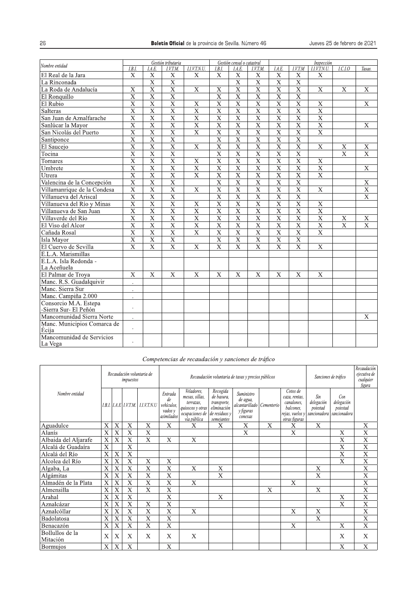|                                      | Gestión tributaria      |                         |                         |                         |                           | Gestión censal o catastral |                         | Inspección              |                           |                         |                         |                         |  |
|--------------------------------------|-------------------------|-------------------------|-------------------------|-------------------------|---------------------------|----------------------------|-------------------------|-------------------------|---------------------------|-------------------------|-------------------------|-------------------------|--|
| Nombre entidad                       | I.B.I.                  | I.A.E.                  | I.V.T.M.                | I.I.V.T.N.U.            | I.B.I.                    | I.A.E.                     | I.V.T.M.                | I.A.E.                  | I.V.T.M                   | I.I.V.T.N.U.            | LCAO                    | Tasas.                  |  |
| El Real de la Jara                   | $\mathbf X$             | X                       | X                       | $\mathbf X$             | $\mathbf X$               | $\mathbf X$                | X                       | $\mathbf X$             | X                         | $\mathbf X$             |                         |                         |  |
| La Rinconada                         |                         | $\overline{\mathrm{x}}$ | $\overline{\mathrm{x}}$ |                         |                           | $\overline{\mathrm{x}}$    | $\overline{\mathrm{x}}$ | $\overline{\mathrm{x}}$ | $\mathbf X$               |                         |                         |                         |  |
| La Roda de Andalucía                 | $\overline{X}$          | $\overline{\mathrm{X}}$ | $\overline{\mathrm{x}}$ | $\overline{\mathbf{X}}$ | $\overline{\mathbf{X}}$   | $\overline{\mathrm{X}}$    | $\overline{\mathrm{X}}$ | $\overline{\text{X}}$   | $\overline{\mathrm{X}}$   | $\mathbf X$             | $\mathbf X$             | $\mathbf X$             |  |
| El Ronquillo                         | $\overline{X}$          | $\overline{\mathbf{X}}$ | $\overline{\mathrm{X}}$ |                         | $\overline{X}$            | $\overline{X}$             | $\overline{X}$          | $\overline{X}$          | $\overline{\mathrm{X}}$   |                         |                         |                         |  |
| El Rubio                             | $\overline{X}$          | $\overline{\mathbf{X}}$ | $\overline{\mathrm{x}}$ | $\overline{\mathbf{X}}$ | $\overline{\mathbf{X}}$   | $\overline{X}$             | $\overline{\mathrm{x}}$ | $\overline{\mathbf{X}}$ | $\mathbf X$               | $\overline{\mathbf{X}}$ |                         | $\mathbf X$             |  |
| Salteras                             | $\overline{X}$          | $\overline{\mathbf{X}}$ | $\overline{\text{X}}$   | $\overline{X}$          | $\overline{\mathbf{X}}$   | $\overline{X}$             | $\overline{\mathbf{X}}$ | $\overline{\mathbf{X}}$ | $\overline{\mathbf{X}}$   | $\overline{\mathbf{X}}$ |                         |                         |  |
| San Juan de Aznalfarache             | $\overline{\mathbf{X}}$ | $\overline{\mathbf{X}}$ | $\overline{\mathrm{x}}$ | $\overline{\mathbf{X}}$ | $\overline{X}$            | $\overline{X}$             | $\overline{\mathrm{x}}$ | $\overline{\mathbf{X}}$ | $\overline{\mathrm{X}}$   | $\overline{\mathbf{X}}$ |                         |                         |  |
| Sanlúcar la Mayor                    | $\overline{X}$          | $\overline{X}$          | $\overline{\text{X}}$   | $\overline{X}$          | $\overline{\text{X}}$     | $\overline{X}$             | $\overline{\text{X}}$   | $\overline{X}$          | $\overline{\mathrm{X}}$   | $\overline{\mathbf{X}}$ |                         | $\mathbf X$             |  |
| San Nicolás del Puerto               | $\overline{X}$          | $\overline{\mathbf{X}}$ | $\overline{\mathrm{X}}$ | $\overline{\mathbf{X}}$ | $\overline{X}$            | $\overline{X}$             | $\overline{\mathbf{X}}$ | $\overline{\mathbf{X}}$ | $\overline{\text{X}}$     | $\overline{\mathbf{X}}$ |                         |                         |  |
| Santiponce                           | $\overline{\mathrm{x}}$ | $\overline{\mathrm{x}}$ | $\overline{\mathrm{x}}$ |                         | $\overline{\mathrm{x}}$   | $\overline{\mathrm{X}}$    | $\overline{\mathrm{x}}$ | $\overline{\mathrm{x}}$ | $\overline{\mathrm{x}}$   |                         |                         |                         |  |
| El Saucejo                           | $\overline{\mathbf{X}}$ | $\overline{\mathrm{x}}$ | $\overline{\mathrm{x}}$ | $\overline{X}$          | $\overline{\mathrm{x}}$   | $\overline{\mathbf{X}}$    | $\overline{\mathrm{x}}$ | $\overline{\mathbf{X}}$ | $\overline{\mathrm{X}}$   | $\overline{\mathbf{X}}$ | $\overline{\mathbf{X}}$ | $\overline{\mathrm{X}}$ |  |
| Tocina                               | $\overline{X}$          | $\overline{X}$          | $\overline{X}$          |                         | $\overline{X}$            | $\overline{\mathbf{X}}$    | $\overline{\mathbf{X}}$ | $\overline{\mathbf{X}}$ | $\overline{\mathbf{X}}$   |                         | $\overline{X}$          | $\bf{X}$                |  |
| Tomares                              | $\overline{\mathbf{X}}$ | $\overline{\mathbf{X}}$ | $\overline{\mathbf{X}}$ | $\overline{\mathbf{X}}$ | $\overline{\mathbf{X}}$   | $\overline{\mathbf{X}}$    | $\overline{\mathbf{X}}$ | $\overline{\mathbf{X}}$ | $\overline{\mathrm{X}}$   | $\mathbf X$             |                         |                         |  |
| Umbrete                              | $\overline{\mathbf{X}}$ | $\overline{\mathbf{X}}$ | $\overline{\mathrm{x}}$ | $\overline{\mathbf{X}}$ | $\overline{\mathbf{X}}$   | $\overline{\mathbf{X}}$    | $\overline{\mathrm{x}}$ | $\overline{\mathbf{X}}$ | $\overline{\mathrm{X}}$   | $\overline{\mathbf{X}}$ |                         | X                       |  |
| Utrera                               | $\overline{\mathbf{X}}$ | $\overline{\mathrm{x}}$ | $\overline{\mathrm{x}}$ | $\overline{\mathbf{X}}$ | $\overline{\mathbf{X}}$   | $\overline{\mathrm{X}}$    | $\overline{\mathrm{x}}$ | $\overline{\mathrm{X}}$ | $\mathbf X$               | $\overline{X}$          |                         |                         |  |
| Valencina de la Concepción           | $\overline{\mathbf{X}}$ | $\overline{\mathrm{x}}$ | $\overline{\mathrm{x}}$ |                         | $\overline{\mathbf{X}}$   | $\overline{\mathbf{X}}$    | $\overline{\mathrm{X}}$ | $\overline{\text{X}}$   | $\overline{\mathrm{x}}$   |                         |                         | $\overline{\mathrm{X}}$ |  |
| Villamanrique de la Condesa          | $\overline{X}$          | $\overline{\mathbf{X}}$ | $\overline{\mathbf{X}}$ | $\overline{X}$          | $\overline{\text{X}}$     | $\overline{\text{X}}$      | $\overline{\mathrm{X}}$ | $\overline{\mathbf{X}}$ | $\overline{\text{X}}$     | $\overline{\mathbf{X}}$ |                         | $\overline{\text{X}}$   |  |
| Villanueva del Ariscal               | $\overline{X}$          | $\overline{\mathrm{x}}$ | $\overline{\mathrm{x}}$ |                         | $\overline{\mathrm{x}}$   | $\overline{\mathrm{X}}$    | $\overline{\mathrm{x}}$ | $\overline{\mathbf{X}}$ | $\overline{\mathrm{x}}$   |                         |                         | $\overline{\mathrm{x}}$ |  |
| Villanueva del Río y Minas           | $\overline{\mathbf{X}}$ | $\overline{\mathbf{X}}$ | $\overline{\mathrm{x}}$ | $\overline{X}$          | $\overline{\mathbf{X}}$   | $\overline{\mathbf{X}}$    | $\overline{\mathrm{x}}$ | $\overline{\mathrm{X}}$ | $\overline{\mathbf{X}}$   | $\mathbf X$             |                         |                         |  |
| Villanueva de San Juan               | $\overline{\mathbf{X}}$ | $\overline{\mathbf{X}}$ | $\overline{\mathbf{X}}$ | $\overline{\mathbf{X}}$ | $\overline{X}$            | $\overline{\mathbf{X}}$    | $\overline{\mathrm{x}}$ | $\overline{\mathbf{X}}$ | $\overline{\mathbf{X}}$   | $\overline{X}$          |                         |                         |  |
| Villaverde del Río                   | $\overline{X}$          | $\overline{X}$          | $\overline{X}$          | $\overline{\mathbf{X}}$ | $\overline{\mathbf{X}}$   | $\overline{\textbf{X}}$    | $\overline{X}$          | $\overline{X}$          | $\overline{\mathrm{X}}$   | $\overline{X}$          | $\mathbf X$             | $\mathbf X$             |  |
| El Viso del Alcor                    | $\mathbf X$             | $\overline{\mathrm{X}}$ | $\overline{\text{X}}$   | $\overline{\mathbf{X}}$ | $\overline{\mathbf{X}}$   | $\overline{\mathbf{X}}$    | $\overline{\mathrm{X}}$ | $\overline{\mathbf{X}}$ | $\overline{\text{X}}$     | $\overline{\mathbf{X}}$ | $\overline{\mathbf{X}}$ | $\overline{\mathbf{X}}$ |  |
| Cañada Rosal                         | $\overline{X}$          | $\mathbf X$             | $\overline{\mathrm{x}}$ | $\mathbf X$             | $\overline{X}$            | $\overline{X}$             | $\overline{\mathbf{X}}$ | $\overline{\mathbf{X}}$ | $\boldsymbol{\mathrm{X}}$ | $\overline{\mathbf{X}}$ |                         |                         |  |
| Isla Mayor                           | $\overline{\mathbf{X}}$ | $\overline{\mathbf{X}}$ | $\overline{\mathbf{X}}$ |                         | $\overline{\mathbf{X}}$   | $\overline{\mathbf{X}}$    | $\overline{\mathbf{X}}$ | $\overline{\mathbf{X}}$ | $\overline{\mathrm{X}}$   |                         |                         |                         |  |
| El Cuervo de Sevilla                 | $\overline{X}$          | $\overline{\mathrm{X}}$ | $\overline{\mathrm{X}}$ | $\mathbf X$             | $\overline{\mathbf{X}}$   | $\overline{\mathbf{X}}$    | $\overline{\mathrm{X}}$ | $\overline{\mathbf{X}}$ | $\overline{\mathrm{X}}$   | $\mathbf X$             |                         |                         |  |
| E.L.A. Marismillas                   |                         |                         |                         |                         |                           |                            |                         |                         |                           |                         |                         |                         |  |
| E.L.A. Isla Redonda -                |                         |                         |                         |                         |                           |                            |                         |                         |                           |                         |                         |                         |  |
| La Aceñuela                          |                         |                         |                         |                         |                           |                            |                         |                         |                           |                         |                         |                         |  |
| El Palmar de Troya                   | $\overline{X}$          | X                       | X                       | X                       | $\boldsymbol{\mathrm{X}}$ | X                          | X                       | X                       | X                         | X                       |                         |                         |  |
| Manc. R.S. Guadalquivir              |                         |                         |                         |                         |                           |                            |                         |                         |                           |                         |                         |                         |  |
| Manc. Sierra Sur                     |                         |                         |                         |                         |                           |                            |                         |                         |                           |                         |                         |                         |  |
| Manc. Campiña 2.000                  |                         |                         |                         |                         |                           |                            |                         |                         |                           |                         |                         |                         |  |
| Consorcio M.A. Estepa                |                         |                         |                         |                         |                           |                            |                         |                         |                           |                         |                         |                         |  |
| -Sierra Sur- El Peñón                |                         |                         |                         |                         |                           |                            |                         |                         |                           |                         |                         |                         |  |
| Mancomunidad Sierra Norte            | ٠                       |                         |                         |                         |                           |                            |                         |                         |                           |                         |                         | X                       |  |
| Manc. Municipios Comarca de          |                         |                         |                         |                         |                           |                            |                         |                         |                           |                         |                         |                         |  |
| Écija                                |                         |                         |                         |                         |                           |                            |                         |                         |                           |                         |                         |                         |  |
| Mancomunidad de Servicios<br>La Vega |                         |                         |                         |                         |                           |                            |                         |                         |                           |                         |                         |                         |  |

## Competencias de recaudación y sanciones de tráfico

|                             |                         |                           | impuestos                 | Recaudación voluntaria de               |                                                      | Recaudación voluntaria de tasas y precios públicos                                             | Sanciones de tráfico                                                                | Recaudación<br>eiecutiva de<br>cualquier<br>figura                          |              |                                                                                          |                                               |                                               |                           |
|-----------------------------|-------------------------|---------------------------|---------------------------|-----------------------------------------|------------------------------------------------------|------------------------------------------------------------------------------------------------|-------------------------------------------------------------------------------------|-----------------------------------------------------------------------------|--------------|------------------------------------------------------------------------------------------|-----------------------------------------------|-----------------------------------------------|---------------------------|
| Nombre entidad              |                         |                           |                           | I.B.I.   I.A.E   I.V.T.M.   I.I.V.T.N.U | Entrada<br>de<br>vehículos.<br>vados v<br>asimilados | Veladores.<br>mesas, sillas,<br>terrazas.<br>quioscos y otras<br>ocupaciones de<br>vía pública | Recogida<br>de basura,<br>transporte,<br>eliminación<br>de residuos y<br>semejantes | Suministro<br>de agua,<br>alcantarillado Cementerio<br>y figuras<br>conexas |              | Cotos de<br>caza, rentas,<br>canalones.<br>balcones.<br>rejas, vuelos y<br>otras figuras | Sin<br>delegación<br>potestad<br>sancionadora | Con<br>delegación<br>potestad<br>sancionadora |                           |
| Aguadulce                   | X                       | X                         | $\bf{X}$                  | X                                       | X                                                    | X                                                                                              | Χ                                                                                   | X                                                                           | X            | X                                                                                        | X                                             |                                               | X                         |
| Alanís                      | $\overline{\mathbf{X}}$ | $\overline{\text{X}}$     | X                         | X                                       |                                                      |                                                                                                |                                                                                     | X                                                                           |              | X                                                                                        |                                               | X                                             | X                         |
| Albaida del Aljarafe        | X                       | X                         | X                         | X                                       | X                                                    | X                                                                                              |                                                                                     |                                                                             |              |                                                                                          |                                               | X                                             | X                         |
| Alcalá de Guadaíra          | $\mathbf X$             |                           | $\bar{X}$                 |                                         |                                                      |                                                                                                |                                                                                     |                                                                             |              |                                                                                          |                                               | $\boldsymbol{\mathrm{X}}$                     | X                         |
| Alcalá del Río              | X                       | $\overline{X}$            | $\overline{X}$            |                                         |                                                      |                                                                                                |                                                                                     |                                                                             |              |                                                                                          |                                               | $\mathbf X$                                   | $\boldsymbol{X}$          |
| Alcolea del Río             | X                       | X                         | X                         | X                                       | $\overline{X}$                                       |                                                                                                |                                                                                     |                                                                             |              |                                                                                          |                                               | $\mathbf{X}$                                  | $\boldsymbol{\mathrm{X}}$ |
| Algaba, La                  | X                       | X                         | X                         | X                                       | X                                                    | X                                                                                              | X                                                                                   |                                                                             |              |                                                                                          | X                                             |                                               | X                         |
| Algámitas                   | X                       | $\overline{X}$            | $\overline{X}$            | X                                       | X                                                    |                                                                                                | $\overline{X}$                                                                      |                                                                             |              |                                                                                          | $\overline{X}$                                |                                               | X                         |
| Almadén de la Plata         | X                       | $\overline{X}$            | X                         | X                                       | X                                                    | X                                                                                              |                                                                                     |                                                                             |              | $\boldsymbol{X}$                                                                         |                                               |                                               | $\boldsymbol{X}$          |
| Almensilla                  | X                       | $\boldsymbol{\mathrm{X}}$ | $\bf{X}$                  | $\bf{X}$                                | X                                                    |                                                                                                |                                                                                     |                                                                             | $\mathbf{X}$ |                                                                                          | X                                             |                                               | X                         |
| Arahal                      | X                       | X                         | X                         |                                         | X                                                    |                                                                                                | X                                                                                   |                                                                             |              |                                                                                          |                                               | X                                             | X                         |
| Aznalcázar                  | X                       | X                         | $\overline{X}$            | X                                       | $\overline{\mathrm{x}}$                              |                                                                                                |                                                                                     |                                                                             |              |                                                                                          |                                               | $\overline{\mathrm{X}}$                       | $\overline{\mathrm{x}}$   |
| Aznalcóllar                 | $\bf{X}$                | X                         | $\boldsymbol{\mathrm{X}}$ | $\overline{X}$                          | $\overline{X}$                                       | $\boldsymbol{\mathrm{X}}$                                                                      |                                                                                     |                                                                             |              | X                                                                                        | $\mathbf X$                                   |                                               | $\overline{X}$            |
| Badolatosa                  | X                       | $\overline{\mathbf{X}}$   | Х                         | $\bf{X}$                                | X                                                    |                                                                                                |                                                                                     |                                                                             |              |                                                                                          | X                                             |                                               | X                         |
| Benacazón                   | X                       | X                         | X                         | X                                       | X                                                    |                                                                                                |                                                                                     |                                                                             |              | X                                                                                        |                                               | X                                             | X                         |
| Bollullos de la<br>Mitación | X                       | X                         | X                         | X                                       | X                                                    | X                                                                                              |                                                                                     |                                                                             |              |                                                                                          |                                               | X                                             | X                         |
| <b>Bormuios</b>             | X                       | $\boldsymbol{X}$          | $\bf{X}$                  |                                         | X                                                    |                                                                                                |                                                                                     |                                                                             |              |                                                                                          |                                               | $\boldsymbol{\mathrm{X}}$                     | $\boldsymbol{\mathrm{X}}$ |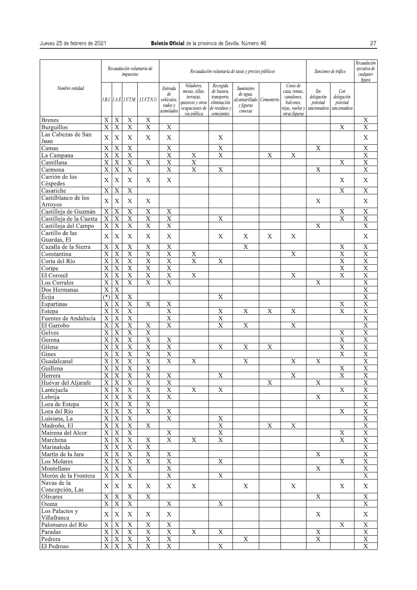|                                 |                                        |                                        | impuestos                              | Recaudación voluntaria de              |                                                      | Recaudación voluntaria de tasas y precios públicos                                             | Sanciones de tráfico                                                                | Recaudación<br>ejecutiva de<br>cualquier<br>figura                 |                           |                                                                                          |                                               |                                               |                                        |
|---------------------------------|----------------------------------------|----------------------------------------|----------------------------------------|----------------------------------------|------------------------------------------------------|------------------------------------------------------------------------------------------------|-------------------------------------------------------------------------------------|--------------------------------------------------------------------|---------------------------|------------------------------------------------------------------------------------------|-----------------------------------------------|-----------------------------------------------|----------------------------------------|
| Nombre entidad                  |                                        |                                        | 1.B.I.   I.A.E   I.V.T.M.              | <b>LLV.T.N.U</b>                       | Entrada<br>de<br>vehículos.<br>vados y<br>asimilados | Veladores,<br>mesas, sillas,<br>terrazas,<br>quioscos y otras<br>ocupaciones de<br>vía pública | Recogida<br>de basura,<br>transporte,<br>eliminación<br>de residuos v<br>semejantes | Suministro<br>de agua,<br>alcantarillado  <br>y figuras<br>conexas | Cementerio                | Cotos de<br>caza, rentas,<br>canalones,<br>balcones.<br>rejas, vuelos v<br>otras figuras | Sin<br>delegación<br>potestad<br>sancionadora | Con<br>delegación<br>potestad<br>sancionadora |                                        |
| <b>Brenes</b>                   | $\mathbf X$                            | $\mathbf X$                            | $\mathbf X$                            | $\mathbf X$                            |                                                      |                                                                                                |                                                                                     |                                                                    |                           |                                                                                          |                                               |                                               | X                                      |
| <b>Burguillos</b>               | $\overline{\mathrm{x}}$                | $\overline{X}$                         | $\overline{\mathbf{X}}$                | $\mathbf X$                            | X                                                    |                                                                                                |                                                                                     |                                                                    |                           |                                                                                          |                                               | $\mathbf X$                                   | X                                      |
| Las Cabezas de San              | $\bar{X}$                              | $\bar{X}$                              | $\boldsymbol{X}$                       | $\boldsymbol{X}$                       | X                                                    |                                                                                                | $\mathbf X$                                                                         |                                                                    |                           |                                                                                          |                                               |                                               | X                                      |
| Juan                            |                                        |                                        |                                        |                                        |                                                      |                                                                                                |                                                                                     |                                                                    |                           |                                                                                          |                                               |                                               |                                        |
| Camas                           | $\overline{\mathbf{X}}$                | $\overline{\mathbf{X}}$                | $\overline{X}$                         |                                        | $\overline{\mathbf{X}}$                              |                                                                                                | X                                                                                   |                                                                    |                           |                                                                                          | $\overline{\text{X}}$                         |                                               | $\overline{X}$                         |
| La Campana                      | $\overline{\mathrm{x}}$                | $\overline{\mathrm{X}}$                | $\overline{\mathrm{x}}$                |                                        | $\overline{\mathrm{x}}$                              | $\overline{X}$                                                                                 | $\overline{\mathrm{x}}$                                                             |                                                                    | $\mathbf X$               | $\overline{\mathbf{X}}$                                                                  |                                               |                                               | $\overline{\mathrm{X}}$                |
| Cantillana                      | $\overline{X}$                         | $\overline{X}$                         | $\overline{X}$                         | $\mathbf X$                            | $\overline{X}$                                       | $\overline{X}$                                                                                 |                                                                                     |                                                                    |                           |                                                                                          |                                               | $\mathbf X$                                   | $\overline{X}$                         |
| Carmona                         | $\overline{\mathbf{X}}$                | $\overline{\mathbf{X}}$                | $\overline{\text{X}}$                  |                                        | $\overline{X}$                                       | $\mathbf X$                                                                                    | X                                                                                   |                                                                    |                           |                                                                                          | $\mathbf X$                                   |                                               | $\overline{\mathbf{X}}$                |
| Carrión de los                  | $\mathbf X$                            | $\mathbf X$                            | $\mathbf X$                            | X                                      | $\boldsymbol{\mathrm{X}}$                            |                                                                                                |                                                                                     |                                                                    |                           |                                                                                          |                                               | $\mathbf X$                                   | X                                      |
| Céspedes<br>Casariche           | $\mathbf X$                            | $\overline{X}$                         | $\mathbf X$                            |                                        |                                                      |                                                                                                |                                                                                     |                                                                    |                           |                                                                                          |                                               | $\mathbf X$                                   | $\mathbf X$                            |
|                                 |                                        |                                        |                                        |                                        |                                                      |                                                                                                |                                                                                     |                                                                    |                           |                                                                                          |                                               |                                               |                                        |
| Castilblanco de los             | $\mathbf X$                            | $\bar{X}$                              | $\mathbf X$                            | X                                      |                                                      |                                                                                                |                                                                                     |                                                                    |                           |                                                                                          | X                                             |                                               | X                                      |
| Arroyos<br>Castilleja de Guzmán |                                        |                                        |                                        |                                        |                                                      |                                                                                                |                                                                                     |                                                                    |                           |                                                                                          |                                               |                                               |                                        |
|                                 | $\mathbf X$<br>$\overline{\mathrm{X}}$ | $\mathbf X$<br>$\overline{\mathrm{x}}$ | $\mathbf X$<br>$\overline{\mathrm{x}}$ | $\mathbf X$<br>$\overline{\mathrm{x}}$ | $\mathbf X$<br>$\overline{\mathrm{x}}$               |                                                                                                |                                                                                     |                                                                    |                           |                                                                                          |                                               | $\mathbf X$<br>$\overline{\mathrm{x}}$        | $\mathbf X$<br>$\overline{\mathrm{X}}$ |
| Castilleja de la Cuesta         |                                        |                                        |                                        |                                        |                                                      |                                                                                                | X                                                                                   |                                                                    |                           |                                                                                          |                                               |                                               |                                        |
| Castilleja del Campo            | $\overline{\mathbf{X}}$                | $\overline{\mathbf{X}}$                | $\overline{\text{X}}$                  | $\overline{\mathrm{X}}$                | $\overline{\mathbf{X}}$                              |                                                                                                |                                                                                     |                                                                    |                           |                                                                                          | $\overline{X}$                                |                                               | $\overline{\text{X}}$                  |
| Castillo de las                 | $\mathbf X$                            | $\boldsymbol{\mathrm{X}}$              | $\mathbf X$                            | X                                      | X                                                    |                                                                                                | $\mathbf X$                                                                         | X                                                                  | X                         | X                                                                                        |                                               |                                               | X                                      |
| Guardas, El                     |                                        |                                        |                                        |                                        |                                                      |                                                                                                |                                                                                     |                                                                    |                           |                                                                                          |                                               |                                               |                                        |
| Cazalla de la Sierra            | $\overline{\mathbf{X}}$                | $\overline{\mathbf{X}}$                | $\overline{\mathbf{X}}$                | $\mathbf X$                            | $\mathbf X$                                          |                                                                                                |                                                                                     | $\mathbf X$                                                        |                           |                                                                                          |                                               | X                                             | $\mathbf X$                            |
| Constantina                     | $\overline{\mathbf{X}}$                | $\mathbf X$                            | $\overline{\text{X}}$                  | $\overline{\mathrm{X}}$                | $\overline{X}$                                       | $\mathbf X$                                                                                    |                                                                                     |                                                                    |                           | $\mathbf X$                                                                              |                                               | X                                             | $\mathbf X$                            |
| Coria del Río                   | $\overline{\mathbf{X}}$                | $\overline{X}$                         | $\overline{\text{X}}$                  | $\overline{\mathbf{X}}$                | $\overline{X}$                                       | $\overline{X}$                                                                                 | $\overline{X}$                                                                      |                                                                    |                           |                                                                                          |                                               | $\overline{X}$                                | $\overline{X}$                         |
| Coripe                          | $\overline{\mathrm{x}}$                | $\overline{\mathbf{X}}$                | $\overline{X}$                         | $\overline{\text{X}}$                  | $\overline{\mathbf{X}}$                              |                                                                                                |                                                                                     |                                                                    |                           |                                                                                          |                                               | $\overline{X}$                                | $\overline{\mathrm{X}}$                |
| El Coronil                      | $\overline{\mathrm{X}}$                | $\overline{\mathbf{X}}$                | $\overline{\text{X}}$                  | $\overline{X}$                         | $\overline{X}$                                       | $\mathbf X$                                                                                    |                                                                                     |                                                                    |                           | $\mathbf X$                                                                              |                                               | $\overline{X}$                                | $\overline{X}$                         |
| Los Corrales                    | $\overline{\mathbf{X}}$                | $\mathbf X$                            | $\overline{\mathrm{X}}$                | $\overline{\text{X}}$                  | $\overline{X}$                                       |                                                                                                |                                                                                     |                                                                    |                           |                                                                                          | $\overline{X}$                                |                                               | $\overline{X}$                         |
| Dos Hermanas                    | $\overline{X}$                         | $\overline{X}$                         |                                        |                                        |                                                      |                                                                                                |                                                                                     |                                                                    |                           |                                                                                          |                                               |                                               | $\overline{X}$                         |
| Écija                           | $(\overline{\ast})$                    | $\overline{\mathbf{X}}$                | $\overline{\mathbf{X}}$                |                                        |                                                      |                                                                                                | X                                                                                   |                                                                    |                           |                                                                                          |                                               |                                               | $\overline{\mathbf{X}}$                |
| Espartinas                      | $\mathbf X$                            | $\overline{X}$                         | $\overline{X}$                         | $\mathbf X$                            | $\overline{X}$                                       |                                                                                                |                                                                                     |                                                                    |                           |                                                                                          |                                               | $\mathbf X$                                   | $\overline{X}$                         |
| Estepa                          | $\overline{\mathrm{x}}$                | $\overline{X}$                         | $\overline{\mathrm{x}}$                |                                        | $\overline{\mathrm{x}}$                              |                                                                                                | X                                                                                   | $\boldsymbol{\mathrm{X}}$                                          | $\boldsymbol{\mathrm{X}}$ | $\mathbf X$                                                                              |                                               | $\overline{\mathrm{x}}$                       | $\overline{\mathbf{X}}$                |
| Fuentes de Andalucía            | $\overline{\textbf{X}}$                | $\overline{\mathbf{X}}$                | $\overline{\text{X}}$                  |                                        | $\overline{X}$                                       |                                                                                                | $\overline{\text{X}}$                                                               |                                                                    |                           |                                                                                          |                                               |                                               | $\overline{X}$                         |
| El Garrobo                      | $\overline{\mathbf{X}}$                | $\overline{\mathbf{X}}$                | $\overline{\mathbf{X}}$                | $\mathbf X$                            | $\overline{\mathbf{X}}$                              |                                                                                                | $\overline{\text{X}}$                                                               | $\overline{\mathbf{X}}$                                            |                           | $\mathbf X$                                                                              |                                               |                                               | $\overline{X}$                         |
| Gelves                          | $\overline{\mathrm{x}}$                | $\overline{\mathbf{X}}$                | $\overline{\mathrm{x}}$                | $\overline{X}$                         |                                                      |                                                                                                |                                                                                     |                                                                    |                           |                                                                                          |                                               | $\mathbf X$                                   | $\overline{X}$                         |
| Gerena                          | $\overline{\mathbf{X}}$                | $\overline{X}$                         | $\overline{\mathrm{X}}$                | $\overline{X}$                         | $\overline{X}$                                       |                                                                                                |                                                                                     |                                                                    |                           |                                                                                          |                                               | $\overline{\mathbf{X}}$                       | $\overline{X}$                         |
| Gilena                          | $\overline{\mathbf{X}}$                | $\overline{\mathbf{X}}$                | $\overline{\text{X}}$                  | $\overline{\mathbf{X}}$                | $\overline{\mathbf{X}}$                              |                                                                                                | X                                                                                   | $\boldsymbol{\mathrm{X}}$                                          | $\mathbf X$               |                                                                                          |                                               | $\overline{\mathbf{X}}$                       | $\overline{\mathbf{X}}$                |
| Gines                           | $\overline{X}$                         | $\mathbf X$                            | $\overline{X}$                         | $\overline{X}$                         | $\overline{\text{X}}$                                |                                                                                                |                                                                                     |                                                                    |                           |                                                                                          |                                               | $\overline{X}$                                | $\overline{X}$                         |
| Guadalcanal                     | $\overline{\mathrm{x}}$                | $\overline{\text{X}}$                  | $\overline{\mathrm{x}}$                | $\overline{\mathrm{x}}$                | $\overline{\mathrm{x}}$                              | $\mathbf X$                                                                                    |                                                                                     | $\boldsymbol{\mathrm{X}}$                                          |                           | $\mathbf X$                                                                              | $\boldsymbol{\mathrm{X}}$                     |                                               | $\overline{\mathrm{X}}$                |
| Guillena                        | $\overline{\mathbf{X}}$                | $\overline{X}$                         | $\overline{\mathrm{X}}$                | $\overline{\mathrm{X}}$                |                                                      |                                                                                                |                                                                                     |                                                                    |                           |                                                                                          |                                               | $\overline{\mathbf{X}}$                       | $\overline{X}$                         |
| Herrera                         | X.                                     | $\mathbf{X}$                           | X                                      | $\mathbf{X}$                           | X                                                    |                                                                                                | Х                                                                                   |                                                                    |                           | X                                                                                        |                                               | X                                             | $\boldsymbol{\mathrm{X}}$              |
| Huévar del Aljarafe             | $\overline{X}$                         | $\overline{\mathbf{X}}$                | $\overline{\textbf{X}}$                | $\overline{X}$                         | $\overline{X}$                                       |                                                                                                |                                                                                     |                                                                    | $\mathbf X$               |                                                                                          | $\mathbf X$                                   |                                               | $\overline{\mathbf{X}}$                |
| Lantejuela                      | $\overline{X}$                         | $\mathbf X$                            | $\overline{\mathbf{X}}$                | $\mathbf X$                            | $\overline{\mathbf{X}}$                              | $\mathbf X$                                                                                    | $\overline{\mathbf{X}}$                                                             |                                                                    |                           |                                                                                          |                                               | $\overline{\mathbf{X}}$                       | $\overline{\mathbf{X}}$                |
| Lebrija                         | $\overline{\mathbf{X}}$                | $\mathbf X$                            | $\overline{\mathbf{X}}$                | $\overline{\mathbf{X}}$                | $\overline{\mathbf{X}}$                              |                                                                                                |                                                                                     |                                                                    |                           |                                                                                          | $\overline{\mathbf{X}}$                       |                                               | $\mathbf X$                            |
| Lora de Estepa                  | $\overline{\text{X}}$                  | $\mathbf X$                            | $\overline{\mathbf{X}}$                | $\overline{\mathbf{X}}$                |                                                      |                                                                                                |                                                                                     |                                                                    |                           |                                                                                          |                                               |                                               | $\mathbf X$                            |
| Lora del Río                    | $\overline{X}$                         | $\overline{\mathbf{X}}$                | $\overline{X}$                         | $\overline{X}$                         | $\overline{\mathbf{X}}$                              |                                                                                                |                                                                                     |                                                                    |                           |                                                                                          |                                               | $\overline{X}$                                | $\mathbf X$                            |
| Luisiana, La                    | $\overline{\textbf{X}}$                | $\mathbf X$                            | $\mathbf X$                            |                                        | $\overline{\mathbf{X}}$                              |                                                                                                | $\mathbf X$                                                                         |                                                                    |                           |                                                                                          |                                               |                                               | $\mathbf X$                            |
| Madroño, El                     | $\overline{\mathbf{X}}$                | $\mathbf X$                            | $\overline{\mathbf{X}}$                | $\mathbf X$                            |                                                      |                                                                                                | $\mathbf X$                                                                         |                                                                    | X                         | $\mathbf X$                                                                              |                                               |                                               | $\mathbf X$                            |
| Mairena del Alcor               | $\overline{\mathbf{X}}$                | $\overline{\mathbf{X}}$                | $\overline{\mathrm{X}}$                |                                        | $\overline{\mathbf{X}}$                              |                                                                                                | $\overline{\mathrm{x}}$                                                             |                                                                    |                           |                                                                                          |                                               | $\mathbf X$                                   | $\overline{\mathbf{X}}$                |
| Marchena                        | $\overline{X}$                         | $\mathbf X$                            | $\mathbf X$                            | $\mathbf X$                            | $\overline{\mathbf{X}}$                              | $\mathbf X$                                                                                    | $\mathbf X$                                                                         |                                                                    |                           |                                                                                          |                                               | $\overline{X}$                                | $\mathbf X$                            |
| Marinaleda                      | $\overline{\mathbf{X}}$                | $\mathbf{X}% _{0}$                     | $\mathbf X$                            | $\mathbf X$                            |                                                      |                                                                                                |                                                                                     |                                                                    |                           |                                                                                          |                                               |                                               | $\mathbf X$                            |
| Martín de la Jara               | $\overline{\mathbf{X}}$                | $\overline{\mathbf{X}}$                | $\overline{\mathbf{X}}$                | $\overline{\mathbf{X}}$                | $\overline{\mathbf{X}}$                              |                                                                                                |                                                                                     |                                                                    |                           |                                                                                          | $\overline{\mathbf{X}}$                       |                                               | $\overline{\mathbf{X}}$                |
| Los Molares                     | $\overline{\mathbf{X}}$                | $\mathbf X$                            | $\overline{\mathbf{X}}$                | $\mathbf X$                            | $\overline{\mathbf{X}}$                              |                                                                                                | $\boldsymbol{\mathrm{X}}$                                                           |                                                                    |                           |                                                                                          |                                               | $\mathbf X$                                   | $\mathbf X$                            |
| Montellano                      | $\overline{X}$                         | $\mathbf X$                            | $\mathbf X$                            |                                        | $\overline{\mathbf{X}}$                              |                                                                                                |                                                                                     |                                                                    |                           |                                                                                          | $\mathbf X$                                   |                                               | $\boldsymbol{\mathrm{X}}$              |
| Morón de la Frontera            | $\mathbf X$                            | $\mathbf X$                            | $\overline{X}$                         |                                        | $\overline{\textbf{X}}$                              |                                                                                                | $\overline{X}$                                                                      |                                                                    |                           |                                                                                          |                                               |                                               | $\mathbf X$                            |
| Navas de la<br>Concepción, Las  | $\mathbf X$                            | $\mathbf X$                            | $\mathbf X$                            | $\mathbf X$                            | $\mathbf X$                                          | $\mathbf X$                                                                                    |                                                                                     | X                                                                  |                           | $\mathbf{X}$                                                                             |                                               | $\boldsymbol{\mathrm{X}}$                     | $\boldsymbol{X}$                       |
| Olivares                        | $\overline{\mathbf{X}}$                | $\overline{X}$                         | $\overline{\mathbf{X}}$                | $\mathbf X$                            |                                                      |                                                                                                |                                                                                     |                                                                    |                           |                                                                                          | $\overline{\mathbf{X}}$                       |                                               | $\mathbf X$                            |
| Osuna                           | $\overline{X}$                         | $\mathbf X$                            | $\overline{X}$                         |                                        | $\mathbf X$                                          |                                                                                                | $\mathbf X$                                                                         |                                                                    |                           |                                                                                          |                                               |                                               | $\mathbf X$                            |
| Los Palacios y                  | $\mathbf X$                            | $\mathbf X$                            | $\mathbf X$                            |                                        | $\mathbf X$                                          |                                                                                                |                                                                                     |                                                                    |                           |                                                                                          | $\mathbf X$                                   |                                               | $\mathbf X$                            |
| Villafranca                     |                                        |                                        |                                        | $\mathbf X$                            |                                                      |                                                                                                |                                                                                     |                                                                    |                           |                                                                                          |                                               |                                               |                                        |
| Palomares del Río               | $\overline{X}$                         | $\overline{\mathbf{X}}$                | $\overline{\mathbf{X}}$                | $\overline{\mathbf{X}}$                | $\overline{\mathbf{X}}$                              |                                                                                                |                                                                                     |                                                                    |                           |                                                                                          |                                               | $\mathbf X$                                   | $\mathbf X$                            |
| Paradas                         | $\overline{X}$                         | $\mathbf X$                            | $\mathbf X$                            | $\mathbf X$                            | $\mathbf X$                                          | $\mathbf X$                                                                                    | $\mathbf X$                                                                         |                                                                    |                           |                                                                                          | $\mathbf X$                                   |                                               | $\mathbf X$                            |
| Pedrera                         | $\overline{\mathbf{X}}$                | $\mathbf X$                            | $\mathbf X$                            | $\mathbf X$                            | $\overline{\mathbf{X}}$                              |                                                                                                |                                                                                     | $\mathbf X$                                                        |                           |                                                                                          | $\mathbf X$                                   |                                               | $\mathbf X$                            |
| El Pedroso                      | $\overline{\mathbf{X}}$                | X                                      | $\overline{\mathbf{X}}$                | $\overline{\mathbf{X}}$                | $\overline{\mathbf{X}}$                              |                                                                                                | $\overline{\mathbf{X}}$                                                             |                                                                    |                           |                                                                                          |                                               |                                               | $\mathbf X$                            |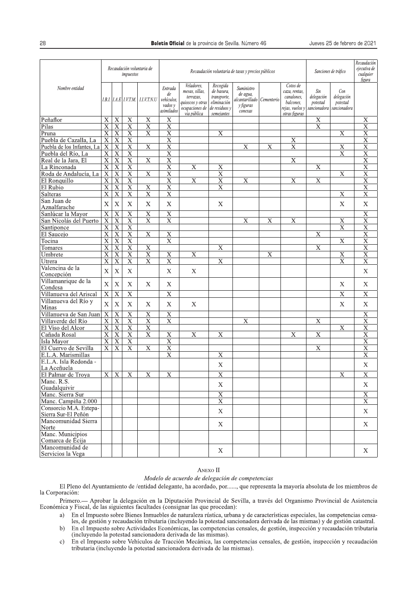|                                               |                           |                         | impuestos                 | Recaudación voluntaria de |                                                      | Recaudación voluntaria de tasas y precios públicos                                             | Sanciones de tráfico                                                                | Recaudación<br>ejecutiva de<br>cualquier<br>figura                            |                |                                                                                          |                                               |                                               |                         |
|-----------------------------------------------|---------------------------|-------------------------|---------------------------|---------------------------|------------------------------------------------------|------------------------------------------------------------------------------------------------|-------------------------------------------------------------------------------------|-------------------------------------------------------------------------------|----------------|------------------------------------------------------------------------------------------|-----------------------------------------------|-----------------------------------------------|-------------------------|
| Nombre entidad                                |                           |                         | I.B.I.   I.A.E   I.V.T.M. | LLV,T.N.U                 | Entrada<br>de<br>vehículos,<br>vados v<br>asimilados | Veladores,<br>mesas, sillas,<br>terrazas,<br>quioscos y otras<br>ocupaciones de<br>via pública | Recogida<br>de basura,<br>transporte,<br>eliminación<br>de residuos v<br>semejantes | Suministro<br>de agua,<br>alcantarillado   Cementerio<br>y figuras<br>conexas |                | Cotos de<br>caza, rentas,<br>canalones,<br>balcones.<br>rejas, vuelos v<br>otras figuras | Sin<br>delegación<br>potestad<br>sancionadora | Con<br>delegación<br>potestad<br>sancionadora |                         |
| Peñaflor                                      | $\overline{X}$            | $\overline{X}$          | $\overline{X}$            | $\overline{\text{X}}$     | $\overline{X}$                                       |                                                                                                |                                                                                     |                                                                               |                |                                                                                          | $\mathbf X$                                   |                                               | $\mathbf X$             |
| Pilas                                         | $\overline{X}$            | $\overline{X}$          | $\overline{X}$            | $\overline{X}$            | $\overline{X}$                                       |                                                                                                |                                                                                     |                                                                               |                |                                                                                          | $\overline{X}$                                |                                               | $\overline{\mathrm{X}}$ |
| Pruna                                         | X                         | $\overline{X}$          | $\overline{\mathbf{X}}$   | $\overline{\mathrm{X}}$   | $\overline{\mathrm{x}}$                              |                                                                                                | $\overline{\mathbf{X}}$                                                             |                                                                               |                |                                                                                          |                                               | $\mathbf X$                                   | $\overline{\text{X}}$   |
| Puebla de Cazalla, La                         | $\overline{X}$            | $\overline{X}$          | $\overline{X}$            |                           | $\overline{X}$                                       |                                                                                                |                                                                                     |                                                                               |                | $\overline{\mathbf{X}}$                                                                  |                                               |                                               | $\overline{X}$          |
| Puebla de los Infantes, La                    | $\overline{X}$            | $\overline{X}$          | $\overline{\textbf{X}}$   | $\overline{X}$            | $\overline{X}$                                       |                                                                                                |                                                                                     | X                                                                             | $\mathbf X$    | $\overline{\mathrm{X}}$                                                                  |                                               | $\mathbf X$                                   | $\overline{\text{X}}$   |
| Puebla del Río, La                            | $\overline{\mathrm{X}}$   | $\overline{\text{X}}$   | $\overline{\mathrm{x}}$   |                           | $\overline{\mathrm{x}}$                              |                                                                                                |                                                                                     |                                                                               |                |                                                                                          |                                               | $\overline{\text{X}}$                         | $\overline{\text{X}}$   |
| Real de la Jara, El                           | $\overline{\mathrm{X}}$   | $\overline{\mathbf{X}}$ | $\overline{\mathbf{X}}$   | $\overline{\mathbf{X}}$   | $\overline{X}$                                       |                                                                                                |                                                                                     |                                                                               |                | $\overline{X}$                                                                           |                                               |                                               | $\overline{\mathrm{x}}$ |
| La Rinconada                                  | $\boldsymbol{\mathrm{X}}$ | $\overline{X}$          | $\overline{X}$            |                           | $\overline{\mathbf{X}}$                              | $\overline{X}$                                                                                 | $\overline{X}$                                                                      |                                                                               |                |                                                                                          | $\overline{X}$                                |                                               | $\overline{\text{X}}$   |
| Roda de Andalucía, La                         | $\overline{\mathbf{X}}$   | $\overline{\mathbf{X}}$ | $\overline{\text{X}}$     | $\overline{\mathbf{X}}$   | $\overline{\mathbf{X}}$                              |                                                                                                | $\overline{\mathbf{X}}$                                                             |                                                                               |                |                                                                                          |                                               | $\overline{X}$                                | $\overline{\mathbf{X}}$ |
| El Ronquillo                                  | $\overline{\mathbf{X}}$   | $\overline{X}$          | $\overline{\mathrm{X}}$   |                           | $\overline{\mathbf{X}}$                              | $\overline{\mathbf{X}}$                                                                        | $\overline{X}$                                                                      | $\overline{\text{X}}$                                                         |                | $\overline{\mathrm{X}}$                                                                  | $\overline{\mathbf{X}}$                       |                                               | $\overline{\mathrm{x}}$ |
| El Rubio                                      | X                         | $\overline{X}$          | $\overline{X}$            | $\overline{\mathrm{X}}$   | $\overline{X}$                                       |                                                                                                | $\overline{\mathrm{x}}$                                                             |                                                                               |                |                                                                                          |                                               |                                               | $\overline{X}$          |
| Salteras                                      | $\overline{X}$            | $\overline{\textbf{X}}$ | $\overline{X}$            | $\overline{\text{X}}$     | $\overline{X}$                                       |                                                                                                |                                                                                     |                                                                               |                |                                                                                          |                                               | $\overline{X}$                                | $\overline{X}$          |
|                                               |                           |                         |                           |                           |                                                      |                                                                                                |                                                                                     |                                                                               |                |                                                                                          |                                               |                                               |                         |
| San Juan de<br>Aznalfarache                   | $\mathbf X$               | $\bar{X}$               | $\mathbf X$               | $\boldsymbol{\mathrm{X}}$ | $\mathbf X$                                          |                                                                                                | $\mathbf X$                                                                         |                                                                               |                |                                                                                          |                                               | $\boldsymbol{\mathrm{X}}$                     | $\mathbf X$             |
| Sanlúcar la Mayor                             | $\overline{\mathbf{X}}$   | $\overline{\mathbf{X}}$ | $\overline{\mathbf{X}}$   | $\overline{\mathrm{X}}$   | $\overline{\mathbf{X}}$                              |                                                                                                |                                                                                     |                                                                               |                |                                                                                          |                                               |                                               | $\overline{X}$          |
| San Nicolás del Puerto                        | $\overline{X}$            | $\overline{X}$          | $\overline{\mathbf{X}}$   | $\overline{\mathrm{X}}$   | $\overline{\mathrm{X}}$                              |                                                                                                |                                                                                     | X                                                                             | $\overline{X}$ | $\overline{\mathrm{X}}$                                                                  |                                               | $\overline{X}$                                | $\overline{\text{X}}$   |
| Santiponce                                    | $\overline{X}$            | $\overline{X}$          | $\overline{X}$            |                           |                                                      |                                                                                                |                                                                                     |                                                                               |                |                                                                                          |                                               | $\overline{\mathbf{X}}$                       | $\overline{X}$          |
|                                               |                           | $\overline{X}$          | $\overline{\mathbf{X}}$   | $\overline{\text{X}}$     |                                                      |                                                                                                |                                                                                     |                                                                               |                |                                                                                          | $\overline{\mathbf{X}}$                       |                                               | $\overline{\mathrm{X}}$ |
| El Saucejo                                    | X                         |                         |                           |                           | $\overline{X}$<br>$\overline{\mathrm{X}}$            |                                                                                                |                                                                                     |                                                                               |                |                                                                                          |                                               |                                               |                         |
| Tocina                                        | $\overline{\mathbf{X}}$   | $\overline{\mathrm{X}}$ | $\overline{\mathbf{X}}$   |                           |                                                      |                                                                                                |                                                                                     |                                                                               |                |                                                                                          |                                               | $\overline{X}$                                | $\overline{X}$          |
| Tomares                                       | $\overline{X}$            | $\overline{X}$          | $\overline{\textbf{X}}$   | $\mathbf X$               |                                                      |                                                                                                | $\overline{X}$                                                                      |                                                                               |                |                                                                                          | $\overline{\mathbf{X}}$                       |                                               | $\overline{X}$          |
| Umbrete                                       | $\overline{\text{X}}$     | $\overline{\text{X}}$   | $\overline{\mathrm{X}}$   | $\overline{\mathrm{X}}$   | $\overline{\text{X}}$                                | $\overline{\mathrm{X}}$                                                                        |                                                                                     |                                                                               | $\mathbf X$    |                                                                                          |                                               | $\overline{\text{X}}$                         | $\overline{\mathrm{x}}$ |
| Utrera                                        | $\overline{\mathrm{X}}$   | $\overline{\mathbf{X}}$ | $\overline{\mathbf{X}}$   | $\overline{\mathbf{X}}$   | $\overline{\mathrm{x}}$                              |                                                                                                | $\overline{\mathbf{X}}$                                                             |                                                                               |                |                                                                                          |                                               | $\overline{X}$                                | $\overline{\mathrm{x}}$ |
| Valencina de la<br>Concepción                 | $\mathbf X$               | $\bar{X}$               | $\mathbf X$               |                           | $\mathbf X$                                          | $\mathbf X$                                                                                    |                                                                                     |                                                                               |                |                                                                                          |                                               |                                               | X                       |
| Villamanrique de la<br>Condesa                | $\bar{X}$                 | $\bar{X}$               | $\bar{X}$                 | $\mathbf X$               | $\mathbf X$                                          |                                                                                                |                                                                                     |                                                                               |                |                                                                                          |                                               | $\boldsymbol{\mathrm{X}}$                     | $\mathbf X$             |
| Villanueva del Ariscal                        | $\overline{\mathbf{X}}$   | $\overline{\mathrm{X}}$ | $\overline{\mathrm{X}}$   |                           | $\overline{\text{X}}$                                |                                                                                                |                                                                                     |                                                                               |                |                                                                                          |                                               | $\overline{\mathrm{X}}$                       | $\overline{\mathrm{X}}$ |
| Villanueva del Río y                          | $\bar{X}$                 | $\mathbf X$             | $\mathbf X$               | $\mathbf X$               | $\mathbf X$                                          | X                                                                                              |                                                                                     |                                                                               |                |                                                                                          |                                               | $\mathbf X$                                   | X                       |
| Minas                                         |                           |                         |                           |                           |                                                      |                                                                                                |                                                                                     |                                                                               |                |                                                                                          |                                               |                                               |                         |
| Villanueva de San Juan                        | $\overline{\mathbf{X}}$   | $\overline{\mathrm{X}}$ | $\overline{\mathrm{X}}$   | $\overline{\mathrm{X}}$   | $\overline{X}$                                       |                                                                                                |                                                                                     |                                                                               |                |                                                                                          |                                               |                                               | $\overline{\mathrm{X}}$ |
| Villaverde del Río                            | $\overline{\mathrm{X}}$   | $\overline{X}$          | $\overline{X}$            | $\overline{\mathbf{X}}$   | $\overline{\mathrm{X}}$                              |                                                                                                |                                                                                     | X                                                                             |                |                                                                                          | $\mathbf X$                                   |                                               | $\overline{\mathrm{X}}$ |
| El Viso del Alcor                             | $\overline{X}$            | $\overline{X}$          | $\overline{X}$            | $\overline{X}$            |                                                      |                                                                                                |                                                                                     |                                                                               |                |                                                                                          |                                               | $\boldsymbol{\mathrm{X}}$                     | $\overline{\text{X}}$   |
| Cañada Rosal                                  | $\overline{\text{X}}$     | $\overline{X}$          | $\overline{X}$            | $\overline{\mathrm{x}}$   | $\overline{X}$                                       | $\overline{\mathbf{X}}$                                                                        | $\overline{\text{X}}$                                                               |                                                                               |                | $\overline{\mathrm{X}}$                                                                  | $\overline{\mathbf{X}}$                       |                                               | $\overline{X}$          |
| Isla Mayor                                    | $\overline{\mathrm{X}}$   | $\overline{\mathbf{X}}$ | $\overline{\mathbf{X}}$   |                           | $\overline{\mathrm{x}}$                              |                                                                                                |                                                                                     |                                                                               |                |                                                                                          |                                               |                                               | $\overline{\mathrm{x}}$ |
| El Cuervo de Sevilla                          | X                         | $\mathbf X$             | $\mathbf X$               | $\overline{X}$            | $\overline{\mathbf{X}}$                              |                                                                                                |                                                                                     |                                                                               |                |                                                                                          | $\mathbf X$                                   |                                               | $\overline{X}$          |
| E.L.A. Marismillas                            |                           |                         |                           |                           | $\overline{\mathrm{X}}$                              |                                                                                                | $\overline{\text{X}}$                                                               |                                                                               |                |                                                                                          |                                               |                                               | $\overline{\mathrm{X}}$ |
| E.L.A. Isla Redonda -<br>La Aceñuela          |                           |                         |                           |                           |                                                      |                                                                                                | $\bar{X}$                                                                           |                                                                               |                |                                                                                          |                                               |                                               | $\mathbf X$             |
| El Palmar de Troya                            |                           | X X                     | X                         | X                         | X                                                    |                                                                                                | $\mathbf X$                                                                         |                                                                               |                |                                                                                          |                                               | X                                             | X                       |
| Manc. R.S.                                    |                           |                         |                           |                           |                                                      |                                                                                                |                                                                                     |                                                                               |                |                                                                                          |                                               |                                               |                         |
| Guadalquivir                                  |                           |                         |                           |                           |                                                      |                                                                                                | $\mathbf X$                                                                         |                                                                               |                |                                                                                          |                                               |                                               | X                       |
| Manc. Sierra Sur                              |                           |                         |                           |                           |                                                      |                                                                                                | $\overline{X}$<br>$\overline{\mathrm{X}}$                                           |                                                                               |                |                                                                                          |                                               |                                               | $\mathbf X$             |
| Manc. Campiña 2.000                           |                           |                         |                           |                           |                                                      |                                                                                                |                                                                                     |                                                                               |                |                                                                                          |                                               |                                               | $\overline{\text{X}}$   |
| Consorcio M.A. Estepa-<br>Sierra Sur-El Peñón |                           |                         |                           |                           |                                                      |                                                                                                | $\mathbf X$                                                                         |                                                                               |                |                                                                                          |                                               |                                               | $\mathbf X$             |
| Mancomunidad Sierra<br>Norte                  |                           |                         |                           |                           |                                                      |                                                                                                | $\mathbf X$                                                                         |                                                                               |                |                                                                                          |                                               |                                               | X                       |
| Manc. Municipios                              |                           |                         |                           |                           |                                                      |                                                                                                |                                                                                     |                                                                               |                |                                                                                          |                                               |                                               |                         |
| Comarca de Écija                              |                           |                         |                           |                           |                                                      |                                                                                                |                                                                                     |                                                                               |                |                                                                                          |                                               |                                               |                         |
| Mancomunidad de                               |                           |                         |                           |                           |                                                      |                                                                                                | X                                                                                   |                                                                               |                |                                                                                          |                                               |                                               | X                       |
| Servicios la Vega                             |                           |                         |                           |                           |                                                      |                                                                                                |                                                                                     |                                                                               |                |                                                                                          |                                               |                                               |                         |

## ANEXO II

## Modelo de acuerdo de delegación de competencias

El Pleno del Ayuntamiento de /entidad delegante, ha acordado, por ....., que representa la mayoría absoluta de los miembros de la Corporación:

Primero. - Aprobar la delegación en la Diputación Provincial de Sevilla, a través del Organismo Provincial de Asistencia Económica y Fiscal, de las siguientes facultades (consignar las que procedan):

- En el Impuesto sobre Bienes Inmuebles de naturaleza rústica, urbana y de características especiales, las competencias censaa) les, de gestión y recaudación tributaria (incluyendo la potestad sancionadora derivada de las mismas) y de gestión catastral.
- En el Impuesto sobre Actividades Económicas, las competencias censales, de gestión, inspección y recaudación tributaria  $b)$ (incluyendo la potestad sancionadora derivada de las mismas).
- En el Impuesto sobre Vehículos de Tracción Mecánica, las competencias censales, de gestión, inspección y recaudación  $\circ$ ) tributaria (incluyendo la potestad sancionadora derivada de las mismas).